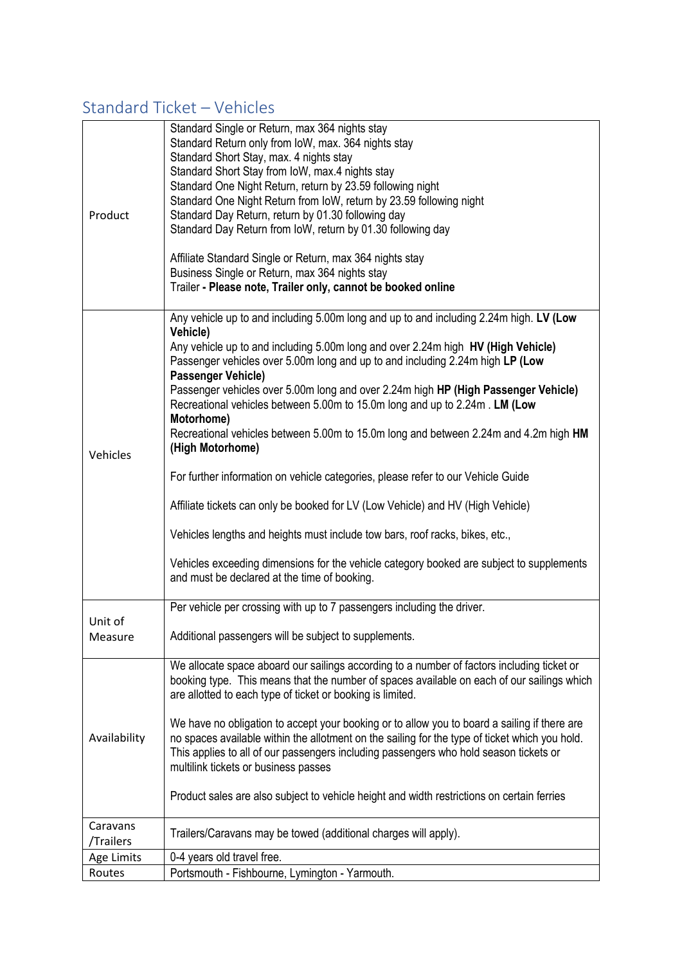#### Standard Ticket – Vehicles

| Product                 | Standard Single or Return, max 364 nights stay<br>Standard Return only from IoW, max. 364 nights stay<br>Standard Short Stay, max. 4 nights stay<br>Standard Short Stay from IoW, max.4 nights stay<br>Standard One Night Return, return by 23.59 following night<br>Standard One Night Return from IoW, return by 23.59 following night<br>Standard Day Return, return by 01.30 following day<br>Standard Day Return from IoW, return by 01.30 following day<br>Affiliate Standard Single or Return, max 364 nights stay<br>Business Single or Return, max 364 nights stay<br>Trailer - Please note, Trailer only, cannot be booked online                                                                                                                                                                                                                                                                                                                                                           |
|-------------------------|-------------------------------------------------------------------------------------------------------------------------------------------------------------------------------------------------------------------------------------------------------------------------------------------------------------------------------------------------------------------------------------------------------------------------------------------------------------------------------------------------------------------------------------------------------------------------------------------------------------------------------------------------------------------------------------------------------------------------------------------------------------------------------------------------------------------------------------------------------------------------------------------------------------------------------------------------------------------------------------------------------|
| Vehicles                | Any vehicle up to and including 5.00m long and up to and including 2.24m high. LV (Low<br>Vehicle)<br>Any vehicle up to and including 5.00m long and over 2.24m high HV (High Vehicle)<br>Passenger vehicles over 5.00m long and up to and including 2.24m high LP (Low<br><b>Passenger Vehicle)</b><br>Passenger vehicles over 5.00m long and over 2.24m high HP (High Passenger Vehicle)<br>Recreational vehicles between 5.00m to 15.0m long and up to 2.24m. LM (Low<br>Motorhome)<br>Recreational vehicles between 5.00m to 15.0m long and between 2.24m and 4.2m high HM<br>(High Motorhome)<br>For further information on vehicle categories, please refer to our Vehicle Guide<br>Affiliate tickets can only be booked for LV (Low Vehicle) and HV (High Vehicle)<br>Vehicles lengths and heights must include tow bars, roof racks, bikes, etc.,<br>Vehicles exceeding dimensions for the vehicle category booked are subject to supplements<br>and must be declared at the time of booking. |
|                         | Per vehicle per crossing with up to 7 passengers including the driver.                                                                                                                                                                                                                                                                                                                                                                                                                                                                                                                                                                                                                                                                                                                                                                                                                                                                                                                                |
| Unit of<br>Measure      | Additional passengers will be subject to supplements.                                                                                                                                                                                                                                                                                                                                                                                                                                                                                                                                                                                                                                                                                                                                                                                                                                                                                                                                                 |
| Availability            | We allocate space aboard our sailings according to a number of factors including ticket or<br>booking type. This means that the number of spaces available on each of our sailings which<br>are allotted to each type of ticket or booking is limited.<br>We have no obligation to accept your booking or to allow you to board a sailing if there are<br>no spaces available within the allotment on the sailing for the type of ticket which you hold.<br>This applies to all of our passengers including passengers who hold season tickets or<br>multilink tickets or business passes<br>Product sales are also subject to vehicle height and width restrictions on certain ferries                                                                                                                                                                                                                                                                                                               |
| Caravans                | Trailers/Caravans may be towed (additional charges will apply).                                                                                                                                                                                                                                                                                                                                                                                                                                                                                                                                                                                                                                                                                                                                                                                                                                                                                                                                       |
| /Trailers<br>Age Limits | 0-4 years old travel free.                                                                                                                                                                                                                                                                                                                                                                                                                                                                                                                                                                                                                                                                                                                                                                                                                                                                                                                                                                            |
| Routes                  | Portsmouth - Fishbourne, Lymington - Yarmouth.                                                                                                                                                                                                                                                                                                                                                                                                                                                                                                                                                                                                                                                                                                                                                                                                                                                                                                                                                        |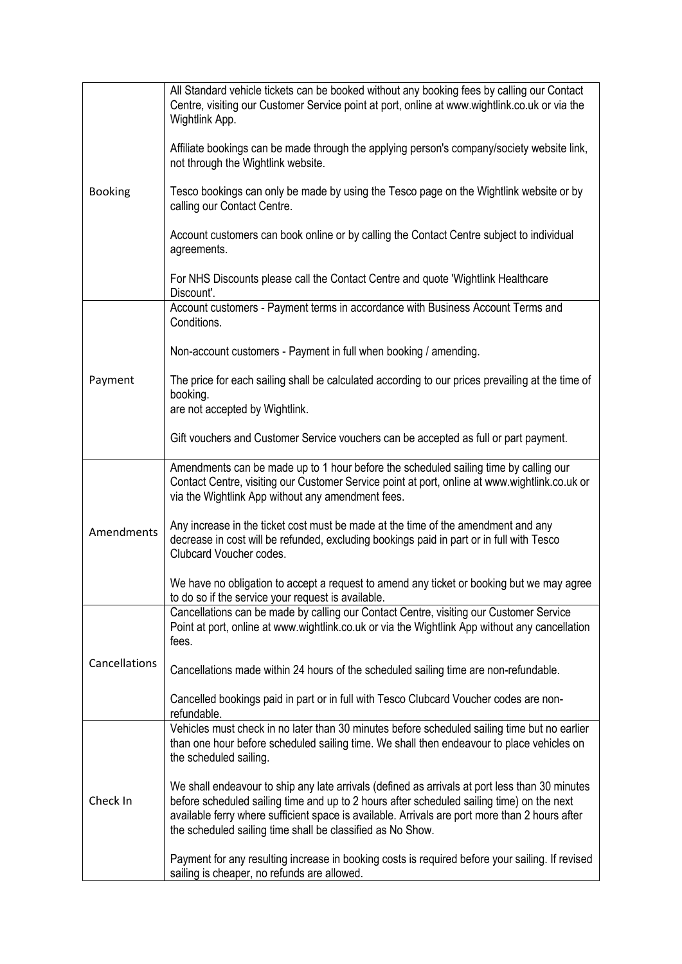|                | All Standard vehicle tickets can be booked without any booking fees by calling our Contact<br>Centre, visiting our Customer Service point at port, online at www.wightlink.co.uk or via the<br>Wightlink App.                                                                                                                                               |
|----------------|-------------------------------------------------------------------------------------------------------------------------------------------------------------------------------------------------------------------------------------------------------------------------------------------------------------------------------------------------------------|
|                | Affiliate bookings can be made through the applying person's company/society website link,<br>not through the Wightlink website.                                                                                                                                                                                                                            |
| <b>Booking</b> | Tesco bookings can only be made by using the Tesco page on the Wightlink website or by<br>calling our Contact Centre.                                                                                                                                                                                                                                       |
|                | Account customers can book online or by calling the Contact Centre subject to individual<br>agreements.                                                                                                                                                                                                                                                     |
|                | For NHS Discounts please call the Contact Centre and quote 'Wightlink Healthcare'<br>Discount'.                                                                                                                                                                                                                                                             |
|                | Account customers - Payment terms in accordance with Business Account Terms and<br>Conditions.                                                                                                                                                                                                                                                              |
|                | Non-account customers - Payment in full when booking / amending.                                                                                                                                                                                                                                                                                            |
| Payment        | The price for each sailing shall be calculated according to our prices prevailing at the time of<br>booking.<br>are not accepted by Wightlink.                                                                                                                                                                                                              |
|                | Gift vouchers and Customer Service vouchers can be accepted as full or part payment.                                                                                                                                                                                                                                                                        |
|                | Amendments can be made up to 1 hour before the scheduled sailing time by calling our<br>Contact Centre, visiting our Customer Service point at port, online at www.wightlink.co.uk or<br>via the Wightlink App without any amendment fees.                                                                                                                  |
| Amendments     | Any increase in the ticket cost must be made at the time of the amendment and any<br>decrease in cost will be refunded, excluding bookings paid in part or in full with Tesco<br>Clubcard Voucher codes.                                                                                                                                                    |
|                | We have no obligation to accept a request to amend any ticket or booking but we may agree<br>to do so if the service your request is available.                                                                                                                                                                                                             |
|                | Cancellations can be made by calling our Contact Centre, visiting our Customer Service<br>Point at port, online at www.wightlink.co.uk or via the Wightlink App without any cancellation<br>fees.                                                                                                                                                           |
| Cancellations  | Cancellations made within 24 hours of the scheduled sailing time are non-refundable.                                                                                                                                                                                                                                                                        |
|                | Cancelled bookings paid in part or in full with Tesco Clubcard Voucher codes are non-<br>refundable.                                                                                                                                                                                                                                                        |
| Check In       | Vehicles must check in no later than 30 minutes before scheduled sailing time but no earlier<br>than one hour before scheduled sailing time. We shall then endeavour to place vehicles on<br>the scheduled sailing.                                                                                                                                         |
|                | We shall endeavour to ship any late arrivals (defined as arrivals at port less than 30 minutes<br>before scheduled sailing time and up to 2 hours after scheduled sailing time) on the next<br>available ferry where sufficient space is available. Arrivals are port more than 2 hours after<br>the scheduled sailing time shall be classified as No Show. |
|                | Payment for any resulting increase in booking costs is required before your sailing. If revised<br>sailing is cheaper, no refunds are allowed.                                                                                                                                                                                                              |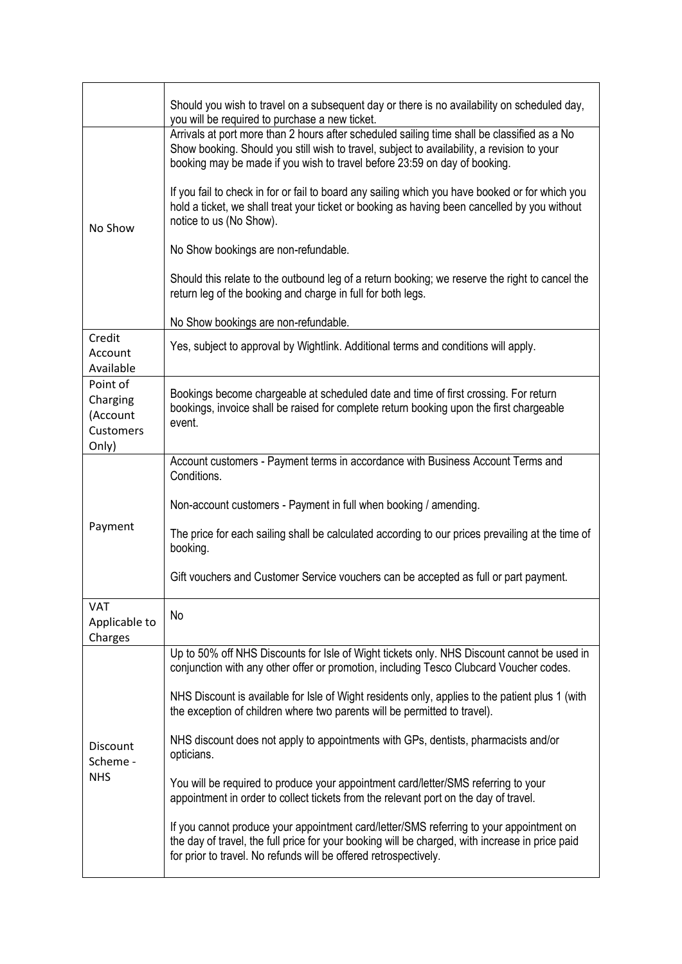|                                                               | Should you wish to travel on a subsequent day or there is no availability on scheduled day,<br>you will be required to purchase a new ticket.                                                                                                                          |
|---------------------------------------------------------------|------------------------------------------------------------------------------------------------------------------------------------------------------------------------------------------------------------------------------------------------------------------------|
| No Show                                                       | Arrivals at port more than 2 hours after scheduled sailing time shall be classified as a No<br>Show booking. Should you still wish to travel, subject to availability, a revision to your<br>booking may be made if you wish to travel before 23:59 on day of booking. |
|                                                               | If you fail to check in for or fail to board any sailing which you have booked or for which you<br>hold a ticket, we shall treat your ticket or booking as having been cancelled by you without<br>notice to us (No Show).                                             |
|                                                               | No Show bookings are non-refundable.                                                                                                                                                                                                                                   |
|                                                               | Should this relate to the outbound leg of a return booking; we reserve the right to cancel the<br>return leg of the booking and charge in full for both legs.                                                                                                          |
|                                                               | No Show bookings are non-refundable.                                                                                                                                                                                                                                   |
| Credit<br>Account<br>Available                                | Yes, subject to approval by Wightlink. Additional terms and conditions will apply.                                                                                                                                                                                     |
| Point of<br>Charging<br>(Account<br><b>Customers</b><br>Only) | Bookings become chargeable at scheduled date and time of first crossing. For return<br>bookings, invoice shall be raised for complete return booking upon the first chargeable<br>event.                                                                               |
| Payment                                                       | Account customers - Payment terms in accordance with Business Account Terms and<br>Conditions.                                                                                                                                                                         |
|                                                               | Non-account customers - Payment in full when booking / amending.                                                                                                                                                                                                       |
|                                                               | The price for each sailing shall be calculated according to our prices prevailing at the time of<br>booking.                                                                                                                                                           |
|                                                               | Gift vouchers and Customer Service vouchers can be accepted as full or part payment.                                                                                                                                                                                   |
| <b>VAT</b><br>Applicable to<br>Charges                        | No                                                                                                                                                                                                                                                                     |
|                                                               | Up to 50% off NHS Discounts for Isle of Wight tickets only. NHS Discount cannot be used in<br>conjunction with any other offer or promotion, including Tesco Clubcard Voucher codes.                                                                                   |
| Discount<br>Scheme -<br><b>NHS</b>                            | NHS Discount is available for Isle of Wight residents only, applies to the patient plus 1 (with<br>the exception of children where two parents will be permitted to travel).                                                                                           |
|                                                               | NHS discount does not apply to appointments with GPs, dentists, pharmacists and/or<br>opticians.                                                                                                                                                                       |
|                                                               | You will be required to produce your appointment card/letter/SMS referring to your<br>appointment in order to collect tickets from the relevant port on the day of travel.                                                                                             |
|                                                               | If you cannot produce your appointment card/letter/SMS referring to your appointment on<br>the day of travel, the full price for your booking will be charged, with increase in price paid<br>for prior to travel. No refunds will be offered retrospectively.         |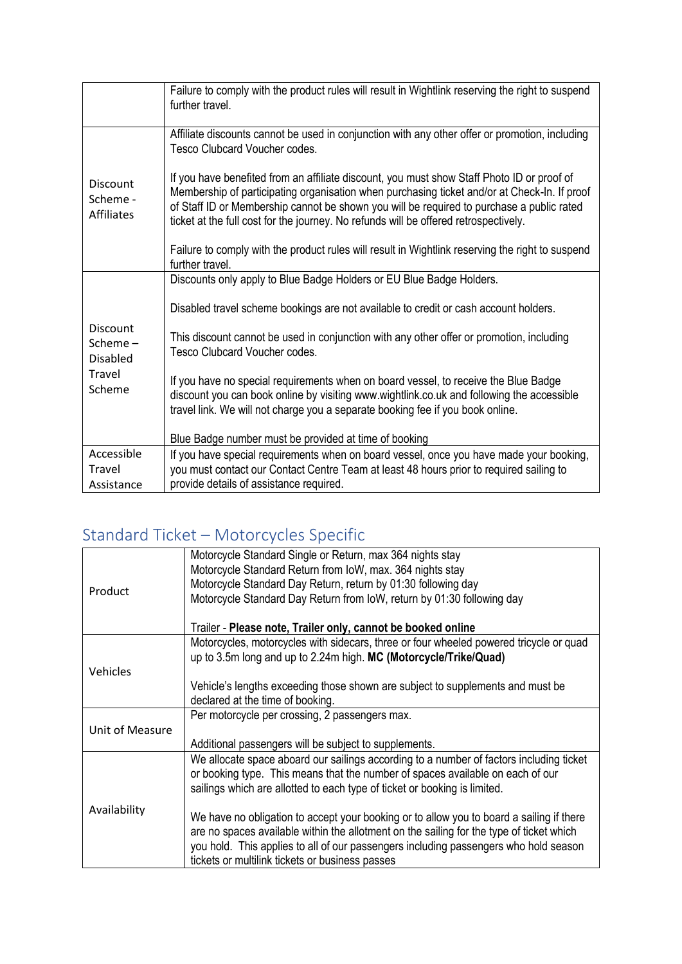|                                                                      | Failure to comply with the product rules will result in Wightlink reserving the right to suspend<br>further travel.                                                                                                                                                                                                                                                             |
|----------------------------------------------------------------------|---------------------------------------------------------------------------------------------------------------------------------------------------------------------------------------------------------------------------------------------------------------------------------------------------------------------------------------------------------------------------------|
|                                                                      | Affiliate discounts cannot be used in conjunction with any other offer or promotion, including<br>Tesco Clubcard Voucher codes.                                                                                                                                                                                                                                                 |
| <b>Discount</b><br>Scheme -<br><b>Affiliates</b>                     | If you have benefited from an affiliate discount, you must show Staff Photo ID or proof of<br>Membership of participating organisation when purchasing ticket and/or at Check-In. If proof<br>of Staff ID or Membership cannot be shown you will be required to purchase a public rated<br>ticket at the full cost for the journey. No refunds will be offered retrospectively. |
|                                                                      | Failure to comply with the product rules will result in Wightlink reserving the right to suspend<br>further travel.                                                                                                                                                                                                                                                             |
|                                                                      | Discounts only apply to Blue Badge Holders or EU Blue Badge Holders.                                                                                                                                                                                                                                                                                                            |
|                                                                      | Disabled travel scheme bookings are not available to credit or cash account holders.                                                                                                                                                                                                                                                                                            |
| <b>Discount</b><br>Scheme $-$<br><b>Disabled</b><br>Travel<br>Scheme | This discount cannot be used in conjunction with any other offer or promotion, including<br>Tesco Clubcard Voucher codes.                                                                                                                                                                                                                                                       |
|                                                                      | If you have no special requirements when on board vessel, to receive the Blue Badge<br>discount you can book online by visiting www.wightlink.co.uk and following the accessible<br>travel link. We will not charge you a separate booking fee if you book online.                                                                                                              |
|                                                                      | Blue Badge number must be provided at time of booking                                                                                                                                                                                                                                                                                                                           |
| Accessible                                                           | If you have special requirements when on board vessel, once you have made your booking,                                                                                                                                                                                                                                                                                         |
| Travel<br>Assistance                                                 | you must contact our Contact Centre Team at least 48 hours prior to required sailing to<br>provide details of assistance required.                                                                                                                                                                                                                                              |
|                                                                      |                                                                                                                                                                                                                                                                                                                                                                                 |

## Standard Ticket – Motorcycles Specific

|                 | Motorcycle Standard Single or Return, max 364 nights stay<br>Motorcycle Standard Return from IoW, max. 364 nights stay                                                               |
|-----------------|--------------------------------------------------------------------------------------------------------------------------------------------------------------------------------------|
|                 | Motorcycle Standard Day Return, return by 01:30 following day                                                                                                                        |
| Product         | Motorcycle Standard Day Return from IoW, return by 01:30 following day                                                                                                               |
|                 |                                                                                                                                                                                      |
|                 | Trailer - Please note, Trailer only, cannot be booked online                                                                                                                         |
|                 | Motorcycles, motorcycles with sidecars, three or four wheeled powered tricycle or quad                                                                                               |
|                 | up to 3.5m long and up to 2.24m high. MC (Motorcycle/Trike/Quad)                                                                                                                     |
| Vehicles        |                                                                                                                                                                                      |
|                 | Vehicle's lengths exceeding those shown are subject to supplements and must be                                                                                                       |
|                 | declared at the time of booking.                                                                                                                                                     |
|                 | Per motorcycle per crossing, 2 passengers max.                                                                                                                                       |
| Unit of Measure |                                                                                                                                                                                      |
|                 | Additional passengers will be subject to supplements.                                                                                                                                |
|                 | We allocate space aboard our sailings according to a number of factors including ticket                                                                                              |
|                 | or booking type. This means that the number of spaces available on each of our                                                                                                       |
|                 | sailings which are allotted to each type of ticket or booking is limited.                                                                                                            |
| Availability    |                                                                                                                                                                                      |
|                 | We have no obligation to accept your booking or to allow you to board a sailing if there<br>are no spaces available within the allotment on the sailing for the type of ticket which |
|                 | you hold. This applies to all of our passengers including passengers who hold season                                                                                                 |
|                 | tickets or multilink tickets or business passes                                                                                                                                      |
|                 |                                                                                                                                                                                      |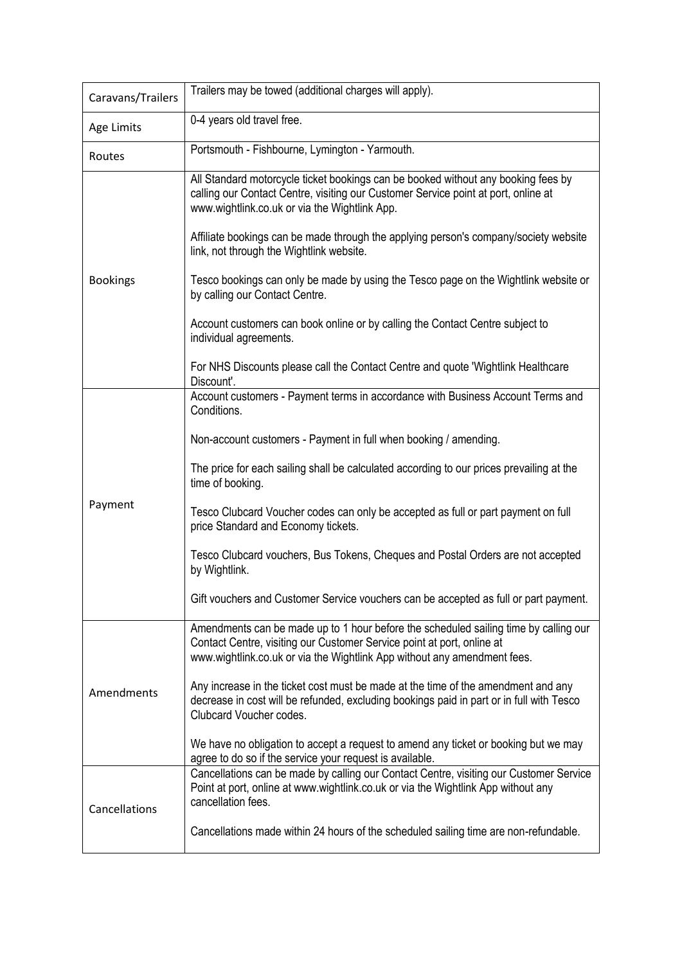| Caravans/Trailers | Trailers may be towed (additional charges will apply).                                                                                                                                                                                     |
|-------------------|--------------------------------------------------------------------------------------------------------------------------------------------------------------------------------------------------------------------------------------------|
| Age Limits        | 0-4 years old travel free.                                                                                                                                                                                                                 |
| Routes            | Portsmouth - Fishbourne, Lymington - Yarmouth.                                                                                                                                                                                             |
| <b>Bookings</b>   | All Standard motorcycle ticket bookings can be booked without any booking fees by<br>calling our Contact Centre, visiting our Customer Service point at port, online at<br>www.wightlink.co.uk or via the Wightlink App.                   |
|                   | Affiliate bookings can be made through the applying person's company/society website<br>link, not through the Wightlink website.                                                                                                           |
|                   | Tesco bookings can only be made by using the Tesco page on the Wightlink website or<br>by calling our Contact Centre.                                                                                                                      |
|                   | Account customers can book online or by calling the Contact Centre subject to<br>individual agreements.                                                                                                                                    |
|                   | For NHS Discounts please call the Contact Centre and quote 'Wightlink Healthcare<br>Discount'.                                                                                                                                             |
|                   | Account customers - Payment terms in accordance with Business Account Terms and<br>Conditions.                                                                                                                                             |
|                   | Non-account customers - Payment in full when booking / amending.                                                                                                                                                                           |
|                   | The price for each sailing shall be calculated according to our prices prevailing at the<br>time of booking.                                                                                                                               |
| Payment           | Tesco Clubcard Voucher codes can only be accepted as full or part payment on full<br>price Standard and Economy tickets.                                                                                                                   |
|                   | Tesco Clubcard vouchers, Bus Tokens, Cheques and Postal Orders are not accepted<br>by Wightlink.                                                                                                                                           |
|                   | Gift vouchers and Customer Service vouchers can be accepted as full or part payment.                                                                                                                                                       |
| Amendments        | Amendments can be made up to 1 hour before the scheduled sailing time by calling our<br>Contact Centre, visiting our Customer Service point at port, online at<br>www.wightlink.co.uk or via the Wightlink App without any amendment fees. |
|                   | Any increase in the ticket cost must be made at the time of the amendment and any<br>decrease in cost will be refunded, excluding bookings paid in part or in full with Tesco<br>Clubcard Voucher codes.                                   |
|                   | We have no obligation to accept a request to amend any ticket or booking but we may<br>agree to do so if the service your request is available.                                                                                            |
| Cancellations     | Cancellations can be made by calling our Contact Centre, visiting our Customer Service<br>Point at port, online at www.wightlink.co.uk or via the Wightlink App without any<br>cancellation fees.                                          |
|                   | Cancellations made within 24 hours of the scheduled sailing time are non-refundable.                                                                                                                                                       |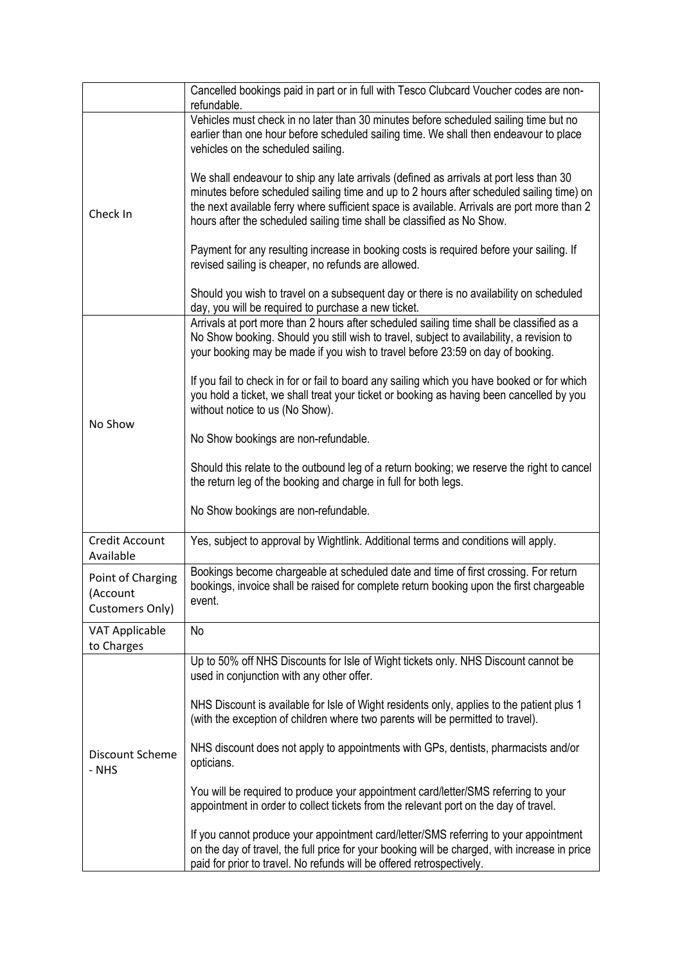|                                                  | Cancelled bookings paid in part or in full with Tesco Clubcard Voucher codes are non-<br>refundable.                                                                                                                                                                                                                                                        |
|--------------------------------------------------|-------------------------------------------------------------------------------------------------------------------------------------------------------------------------------------------------------------------------------------------------------------------------------------------------------------------------------------------------------------|
| Check In                                         | Vehicles must check in no later than 30 minutes before scheduled sailing time but no<br>earlier than one hour before scheduled sailing time. We shall then endeavour to place<br>vehicles on the scheduled sailing.                                                                                                                                         |
|                                                  | We shall endeavour to ship any late arrivals (defined as arrivals at port less than 30<br>minutes before scheduled sailing time and up to 2 hours after scheduled sailing time) on<br>the next available ferry where sufficient space is available. Arrivals are port more than 2<br>hours after the scheduled sailing time shall be classified as No Show. |
|                                                  | Payment for any resulting increase in booking costs is required before your sailing. If<br>revised sailing is cheaper, no refunds are allowed.                                                                                                                                                                                                              |
|                                                  | Should you wish to travel on a subsequent day or there is no availability on scheduled<br>day, you will be required to purchase a new ticket.                                                                                                                                                                                                               |
|                                                  | Arrivals at port more than 2 hours after scheduled sailing time shall be classified as a<br>No Show booking. Should you still wish to travel, subject to availability, a revision to<br>your booking may be made if you wish to travel before 23:59 on day of booking.                                                                                      |
| No Show                                          | If you fail to check in for or fail to board any sailing which you have booked or for which<br>you hold a ticket, we shall treat your ticket or booking as having been cancelled by you<br>without notice to us (No Show).                                                                                                                                  |
|                                                  | No Show bookings are non-refundable.                                                                                                                                                                                                                                                                                                                        |
|                                                  | Should this relate to the outbound leg of a return booking; we reserve the right to cancel<br>the return leg of the booking and charge in full for both legs.                                                                                                                                                                                               |
|                                                  | No Show bookings are non-refundable.                                                                                                                                                                                                                                                                                                                        |
| Credit Account<br>Available                      | Yes, subject to approval by Wightlink. Additional terms and conditions will apply.                                                                                                                                                                                                                                                                          |
| Point of Charging<br>(Account<br>Customers Only) | Bookings become chargeable at scheduled date and time of first crossing. For return<br>bookings, invoice shall be raised for complete return booking upon the first chargeable<br>event.                                                                                                                                                                    |
| <b>VAT Applicable</b><br>to Charges              | No                                                                                                                                                                                                                                                                                                                                                          |
|                                                  | Up to 50% off NHS Discounts for Isle of Wight tickets only. NHS Discount cannot be<br>used in conjunction with any other offer.                                                                                                                                                                                                                             |
| Discount Scheme<br>- NHS                         | NHS Discount is available for Isle of Wight residents only, applies to the patient plus 1<br>(with the exception of children where two parents will be permitted to travel).                                                                                                                                                                                |
|                                                  | NHS discount does not apply to appointments with GPs, dentists, pharmacists and/or<br>opticians.                                                                                                                                                                                                                                                            |
|                                                  | You will be required to produce your appointment card/letter/SMS referring to your<br>appointment in order to collect tickets from the relevant port on the day of travel.                                                                                                                                                                                  |
|                                                  | If you cannot produce your appointment card/letter/SMS referring to your appointment<br>on the day of travel, the full price for your booking will be charged, with increase in price<br>paid for prior to travel. No refunds will be offered retrospectively.                                                                                              |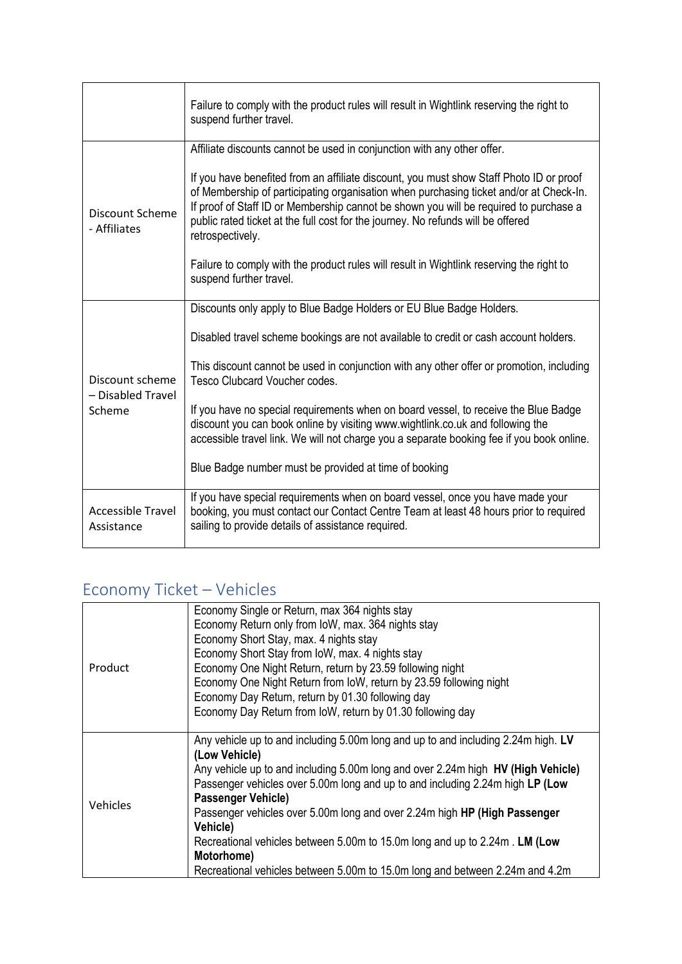|                                                | Failure to comply with the product rules will result in Wightlink reserving the right to<br>suspend further travel.                                                                                                                                                                                                                                                                |
|------------------------------------------------|------------------------------------------------------------------------------------------------------------------------------------------------------------------------------------------------------------------------------------------------------------------------------------------------------------------------------------------------------------------------------------|
|                                                | Affiliate discounts cannot be used in conjunction with any other offer.                                                                                                                                                                                                                                                                                                            |
| Discount Scheme<br>- Affiliates                | If you have benefited from an affiliate discount, you must show Staff Photo ID or proof<br>of Membership of participating organisation when purchasing ticket and/or at Check-In.<br>If proof of Staff ID or Membership cannot be shown you will be required to purchase a<br>public rated ticket at the full cost for the journey. No refunds will be offered<br>retrospectively. |
|                                                | Failure to comply with the product rules will result in Wightlink reserving the right to<br>suspend further travel.                                                                                                                                                                                                                                                                |
|                                                | Discounts only apply to Blue Badge Holders or EU Blue Badge Holders.                                                                                                                                                                                                                                                                                                               |
|                                                | Disabled travel scheme bookings are not available to credit or cash account holders.                                                                                                                                                                                                                                                                                               |
| Discount scheme<br>- Disabled Travel<br>Scheme | This discount cannot be used in conjunction with any other offer or promotion, including<br>Tesco Clubcard Voucher codes.                                                                                                                                                                                                                                                          |
|                                                | If you have no special requirements when on board vessel, to receive the Blue Badge<br>discount you can book online by visiting www.wightlink.co.uk and following the<br>accessible travel link. We will not charge you a separate booking fee if you book online.                                                                                                                 |
|                                                | Blue Badge number must be provided at time of booking                                                                                                                                                                                                                                                                                                                              |
| <b>Accessible Travel</b><br>Assistance         | If you have special requirements when on board vessel, once you have made your<br>booking, you must contact our Contact Centre Team at least 48 hours prior to required<br>sailing to provide details of assistance required.                                                                                                                                                      |

## Economy Ticket – Vehicles

|          | Economy Single or Return, max 364 nights stay                                     |
|----------|-----------------------------------------------------------------------------------|
|          | Economy Return only from IoW, max. 364 nights stay                                |
|          | Economy Short Stay, max. 4 nights stay                                            |
|          | Economy Short Stay from IoW, max. 4 nights stay                                   |
| Product  | Economy One Night Return, return by 23.59 following night                         |
|          | Economy One Night Return from IoW, return by 23.59 following night                |
|          | Economy Day Return, return by 01.30 following day                                 |
|          | Economy Day Return from IoW, return by 01.30 following day                        |
|          |                                                                                   |
|          | Any vehicle up to and including 5.00m long and up to and including 2.24m high. LV |
|          | (Low Vehicle)                                                                     |
|          | Any vehicle up to and including 5.00m long and over 2.24m high HV (High Vehicle)  |
|          | Passenger vehicles over 5.00m long and up to and including 2.24m high LP (Low     |
| Vehicles | <b>Passenger Vehicle)</b>                                                         |
|          | Passenger vehicles over 5.00m long and over 2.24m high HP (High Passenger         |
|          | Vehicle)                                                                          |
|          | Recreational vehicles between 5.00m to 15.0m long and up to 2.24m. LM (Low        |
|          | Motorhome)                                                                        |
|          | Recreational vehicles between 5.00m to 15.0m long and between 2.24m and 4.2m      |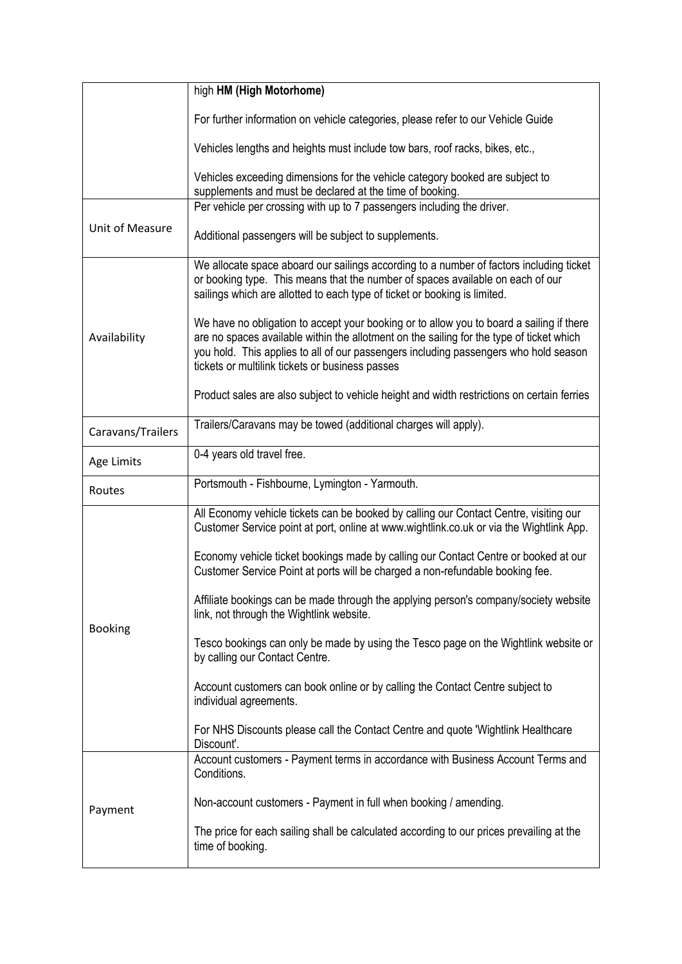|                        | high HM (High Motorhome)                                                                                                                                                                                                                                                                                                        |
|------------------------|---------------------------------------------------------------------------------------------------------------------------------------------------------------------------------------------------------------------------------------------------------------------------------------------------------------------------------|
|                        | For further information on vehicle categories, please refer to our Vehicle Guide                                                                                                                                                                                                                                                |
|                        | Vehicles lengths and heights must include tow bars, roof racks, bikes, etc.,                                                                                                                                                                                                                                                    |
|                        | Vehicles exceeding dimensions for the vehicle category booked are subject to<br>supplements and must be declared at the time of booking.                                                                                                                                                                                        |
|                        | Per vehicle per crossing with up to 7 passengers including the driver.                                                                                                                                                                                                                                                          |
| <b>Unit of Measure</b> | Additional passengers will be subject to supplements.                                                                                                                                                                                                                                                                           |
| Availability           | We allocate space aboard our sailings according to a number of factors including ticket<br>or booking type. This means that the number of spaces available on each of our<br>sailings which are allotted to each type of ticket or booking is limited.                                                                          |
|                        | We have no obligation to accept your booking or to allow you to board a sailing if there<br>are no spaces available within the allotment on the sailing for the type of ticket which<br>you hold. This applies to all of our passengers including passengers who hold season<br>tickets or multilink tickets or business passes |
|                        | Product sales are also subject to vehicle height and width restrictions on certain ferries                                                                                                                                                                                                                                      |
| Caravans/Trailers      | Trailers/Caravans may be towed (additional charges will apply).                                                                                                                                                                                                                                                                 |
| Age Limits             | 0-4 years old travel free.                                                                                                                                                                                                                                                                                                      |
| Routes                 | Portsmouth - Fishbourne, Lymington - Yarmouth.                                                                                                                                                                                                                                                                                  |
|                        | All Economy vehicle tickets can be booked by calling our Contact Centre, visiting our<br>Customer Service point at port, online at www.wightlink.co.uk or via the Wightlink App.                                                                                                                                                |
|                        | Economy vehicle ticket bookings made by calling our Contact Centre or booked at our<br>Customer Service Point at ports will be charged a non-refundable booking fee.                                                                                                                                                            |
|                        | Affiliate bookings can be made through the applying person's company/society website<br>link, not through the Wightlink website.                                                                                                                                                                                                |
| <b>Booking</b>         | Tesco bookings can only be made by using the Tesco page on the Wightlink website or<br>by calling our Contact Centre.                                                                                                                                                                                                           |
|                        | Account customers can book online or by calling the Contact Centre subject to<br>individual agreements.                                                                                                                                                                                                                         |
|                        | For NHS Discounts please call the Contact Centre and quote 'Wightlink Healthcare<br>Discount'.                                                                                                                                                                                                                                  |
|                        | Account customers - Payment terms in accordance with Business Account Terms and<br>Conditions.                                                                                                                                                                                                                                  |
| Payment                | Non-account customers - Payment in full when booking / amending.                                                                                                                                                                                                                                                                |
|                        | The price for each sailing shall be calculated according to our prices prevailing at the<br>time of booking.                                                                                                                                                                                                                    |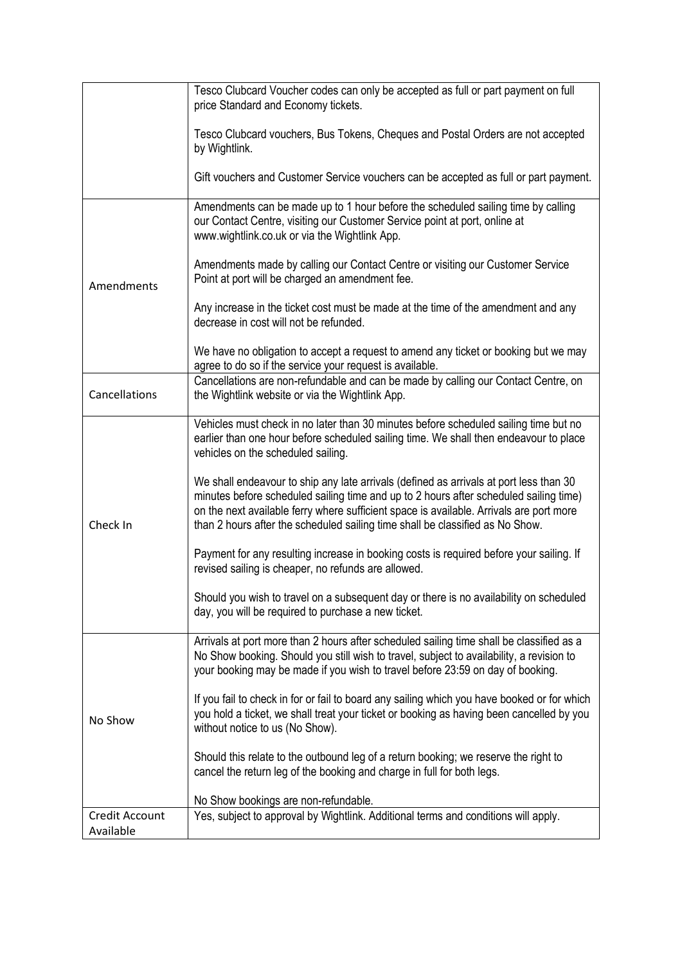|                                    | Tesco Clubcard Voucher codes can only be accepted as full or part payment on full<br>price Standard and Economy tickets.                                                                                                                                                                                                                                    |
|------------------------------------|-------------------------------------------------------------------------------------------------------------------------------------------------------------------------------------------------------------------------------------------------------------------------------------------------------------------------------------------------------------|
|                                    | Tesco Clubcard vouchers, Bus Tokens, Cheques and Postal Orders are not accepted<br>by Wightlink.                                                                                                                                                                                                                                                            |
|                                    | Gift vouchers and Customer Service vouchers can be accepted as full or part payment.                                                                                                                                                                                                                                                                        |
|                                    | Amendments can be made up to 1 hour before the scheduled sailing time by calling<br>our Contact Centre, visiting our Customer Service point at port, online at<br>www.wightlink.co.uk or via the Wightlink App.                                                                                                                                             |
| Amendments                         | Amendments made by calling our Contact Centre or visiting our Customer Service<br>Point at port will be charged an amendment fee.                                                                                                                                                                                                                           |
|                                    | Any increase in the ticket cost must be made at the time of the amendment and any<br>decrease in cost will not be refunded.                                                                                                                                                                                                                                 |
|                                    | We have no obligation to accept a request to amend any ticket or booking but we may<br>agree to do so if the service your request is available.                                                                                                                                                                                                             |
| Cancellations                      | Cancellations are non-refundable and can be made by calling our Contact Centre, on<br>the Wightlink website or via the Wightlink App.                                                                                                                                                                                                                       |
|                                    | Vehicles must check in no later than 30 minutes before scheduled sailing time but no<br>earlier than one hour before scheduled sailing time. We shall then endeavour to place<br>vehicles on the scheduled sailing.                                                                                                                                         |
| Check In                           | We shall endeavour to ship any late arrivals (defined as arrivals at port less than 30<br>minutes before scheduled sailing time and up to 2 hours after scheduled sailing time)<br>on the next available ferry where sufficient space is available. Arrivals are port more<br>than 2 hours after the scheduled sailing time shall be classified as No Show. |
|                                    | Payment for any resulting increase in booking costs is required before your sailing. If<br>revised sailing is cheaper, no refunds are allowed.                                                                                                                                                                                                              |
|                                    | Should you wish to travel on a subsequent day or there is no availability on scheduled<br>day, you will be required to purchase a new ticket.                                                                                                                                                                                                               |
|                                    | Arrivals at port more than 2 hours after scheduled sailing time shall be classified as a<br>No Show booking. Should you still wish to travel, subject to availability, a revision to<br>your booking may be made if you wish to travel before 23:59 on day of booking.                                                                                      |
| No Show                            | If you fail to check in for or fail to board any sailing which you have booked or for which<br>you hold a ticket, we shall treat your ticket or booking as having been cancelled by you<br>without notice to us (No Show).                                                                                                                                  |
|                                    | Should this relate to the outbound leg of a return booking; we reserve the right to<br>cancel the return leg of the booking and charge in full for both legs.                                                                                                                                                                                               |
|                                    | No Show bookings are non-refundable.                                                                                                                                                                                                                                                                                                                        |
| <b>Credit Account</b><br>Available | Yes, subject to approval by Wightlink. Additional terms and conditions will apply.                                                                                                                                                                                                                                                                          |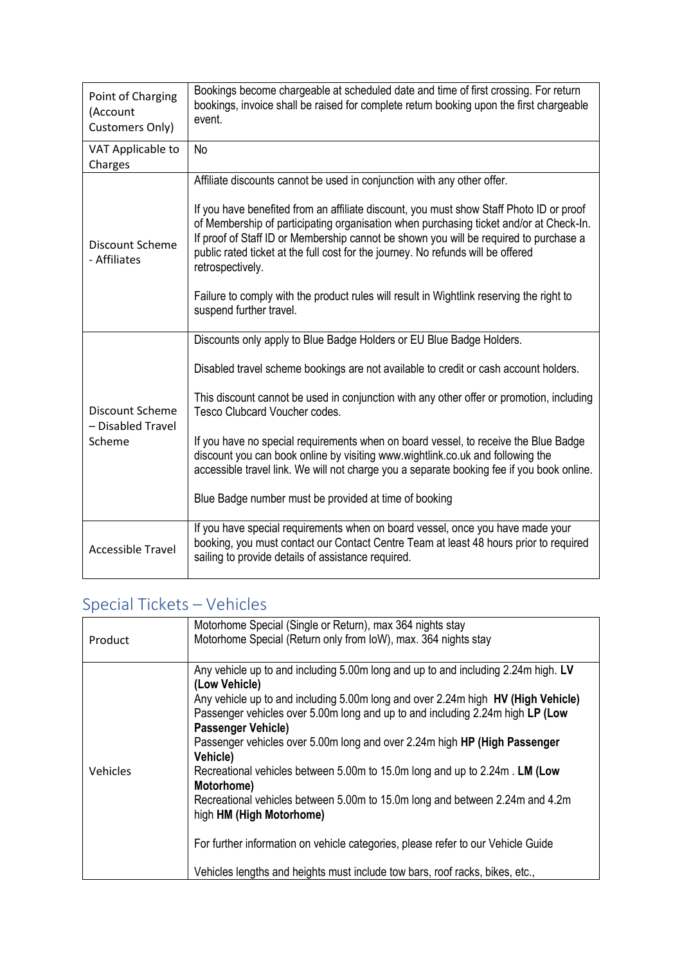| Point of Charging<br>(Account<br>Customers Only)      | Bookings become chargeable at scheduled date and time of first crossing. For return<br>bookings, invoice shall be raised for complete return booking upon the first chargeable<br>event.                                                                                                                                                                                                                                                                                                                                                                                                                                 |
|-------------------------------------------------------|--------------------------------------------------------------------------------------------------------------------------------------------------------------------------------------------------------------------------------------------------------------------------------------------------------------------------------------------------------------------------------------------------------------------------------------------------------------------------------------------------------------------------------------------------------------------------------------------------------------------------|
| VAT Applicable to<br>Charges                          | <b>No</b>                                                                                                                                                                                                                                                                                                                                                                                                                                                                                                                                                                                                                |
| Discount Scheme<br>- Affiliates                       | Affiliate discounts cannot be used in conjunction with any other offer.<br>If you have benefited from an affiliate discount, you must show Staff Photo ID or proof<br>of Membership of participating organisation when purchasing ticket and/or at Check-In.<br>If proof of Staff ID or Membership cannot be shown you will be required to purchase a<br>public rated ticket at the full cost for the journey. No refunds will be offered<br>retrospectively.<br>Failure to comply with the product rules will result in Wightlink reserving the right to<br>suspend further travel.                                     |
| <b>Discount Scheme</b><br>- Disabled Travel<br>Scheme | Discounts only apply to Blue Badge Holders or EU Blue Badge Holders.<br>Disabled travel scheme bookings are not available to credit or cash account holders.<br>This discount cannot be used in conjunction with any other offer or promotion, including<br>Tesco Clubcard Voucher codes.<br>If you have no special requirements when on board vessel, to receive the Blue Badge<br>discount you can book online by visiting www.wightlink.co.uk and following the<br>accessible travel link. We will not charge you a separate booking fee if you book online.<br>Blue Badge number must be provided at time of booking |
| <b>Accessible Travel</b>                              | If you have special requirements when on board vessel, once you have made your<br>booking, you must contact our Contact Centre Team at least 48 hours prior to required<br>sailing to provide details of assistance required.                                                                                                                                                                                                                                                                                                                                                                                            |

# Special Tickets – Vehicles

| Product         | Motorhome Special (Single or Return), max 364 nights stay<br>Motorhome Special (Return only from IoW), max. 364 nights stay                                                                                                                                                                                                                                                                                                                                                                                                                                                                                                                                                                                                                                               |
|-----------------|---------------------------------------------------------------------------------------------------------------------------------------------------------------------------------------------------------------------------------------------------------------------------------------------------------------------------------------------------------------------------------------------------------------------------------------------------------------------------------------------------------------------------------------------------------------------------------------------------------------------------------------------------------------------------------------------------------------------------------------------------------------------------|
| <b>Vehicles</b> | Any vehicle up to and including 5.00m long and up to and including 2.24m high. LV<br>(Low Vehicle)<br>Any vehicle up to and including 5.00m long and over 2.24m high HV (High Vehicle)<br>Passenger vehicles over 5.00m long and up to and including 2.24m high LP (Low<br><b>Passenger Vehicle)</b><br>Passenger vehicles over 5.00m long and over 2.24m high HP (High Passenger<br>Vehicle)<br>Recreational vehicles between 5.00m to 15.0m long and up to 2.24m. LM (Low<br>Motorhome)<br>Recreational vehicles between 5.00m to 15.0m long and between 2.24m and 4.2m<br>high HM (High Motorhome)<br>For further information on vehicle categories, please refer to our Vehicle Guide<br>Vehicles lengths and heights must include tow bars, roof racks, bikes, etc., |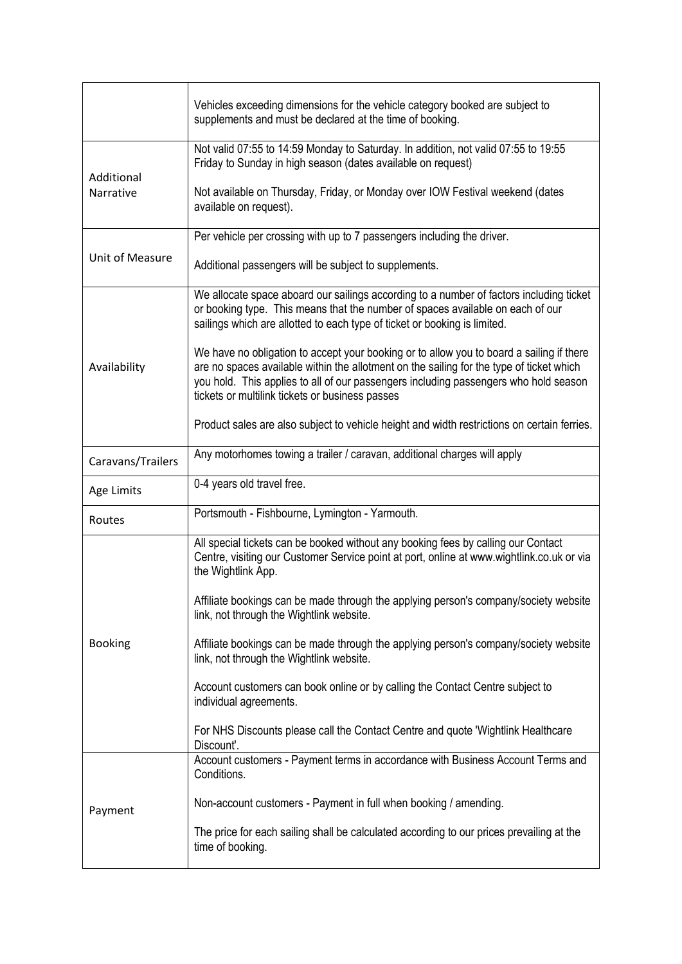|                   | Vehicles exceeding dimensions for the vehicle category booked are subject to<br>supplements and must be declared at the time of booking.                                                                                                                                                                                        |
|-------------------|---------------------------------------------------------------------------------------------------------------------------------------------------------------------------------------------------------------------------------------------------------------------------------------------------------------------------------|
| Additional        | Not valid 07:55 to 14:59 Monday to Saturday. In addition, not valid 07:55 to 19:55<br>Friday to Sunday in high season (dates available on request)                                                                                                                                                                              |
| Narrative         | Not available on Thursday, Friday, or Monday over IOW Festival weekend (dates<br>available on request).                                                                                                                                                                                                                         |
|                   | Per vehicle per crossing with up to 7 passengers including the driver.                                                                                                                                                                                                                                                          |
| Unit of Measure   | Additional passengers will be subject to supplements.                                                                                                                                                                                                                                                                           |
| Availability      | We allocate space aboard our sailings according to a number of factors including ticket<br>or booking type. This means that the number of spaces available on each of our<br>sailings which are allotted to each type of ticket or booking is limited.                                                                          |
|                   | We have no obligation to accept your booking or to allow you to board a sailing if there<br>are no spaces available within the allotment on the sailing for the type of ticket which<br>you hold. This applies to all of our passengers including passengers who hold season<br>tickets or multilink tickets or business passes |
|                   | Product sales are also subject to vehicle height and width restrictions on certain ferries.                                                                                                                                                                                                                                     |
| Caravans/Trailers | Any motorhomes towing a trailer / caravan, additional charges will apply                                                                                                                                                                                                                                                        |
| Age Limits        | 0-4 years old travel free.                                                                                                                                                                                                                                                                                                      |
|                   |                                                                                                                                                                                                                                                                                                                                 |
| Routes            | Portsmouth - Fishbourne, Lymington - Yarmouth.                                                                                                                                                                                                                                                                                  |
|                   | All special tickets can be booked without any booking fees by calling our Contact<br>Centre, visiting our Customer Service point at port, online at www.wightlink.co.uk or via<br>the Wightlink App.                                                                                                                            |
|                   | Affiliate bookings can be made through the applying person's company/society website<br>link, not through the Wightlink website.                                                                                                                                                                                                |
| <b>Booking</b>    | Affiliate bookings can be made through the applying person's company/society website<br>link, not through the Wightlink website.                                                                                                                                                                                                |
|                   | Account customers can book online or by calling the Contact Centre subject to<br>individual agreements.                                                                                                                                                                                                                         |
|                   | For NHS Discounts please call the Contact Centre and quote 'Wightlink Healthcare'<br>Discount'.                                                                                                                                                                                                                                 |
|                   | Account customers - Payment terms in accordance with Business Account Terms and<br>Conditions.                                                                                                                                                                                                                                  |
| Payment           | Non-account customers - Payment in full when booking / amending.                                                                                                                                                                                                                                                                |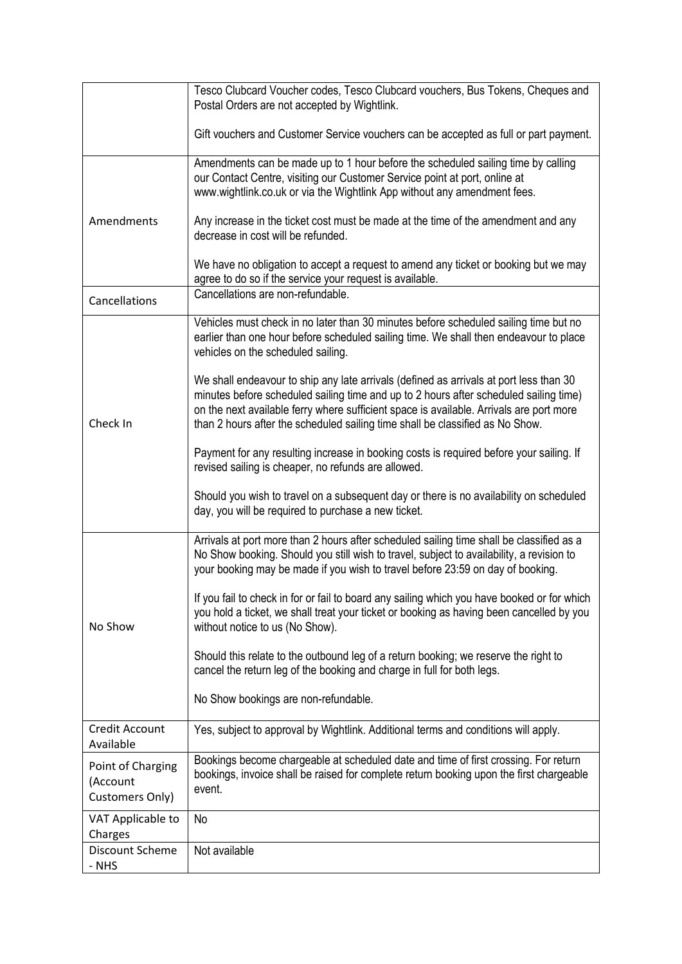|                                                  | Tesco Clubcard Voucher codes, Tesco Clubcard vouchers, Bus Tokens, Cheques and<br>Postal Orders are not accepted by Wightlink.                                                                                                                                                                                                                              |
|--------------------------------------------------|-------------------------------------------------------------------------------------------------------------------------------------------------------------------------------------------------------------------------------------------------------------------------------------------------------------------------------------------------------------|
|                                                  | Gift vouchers and Customer Service vouchers can be accepted as full or part payment.                                                                                                                                                                                                                                                                        |
|                                                  | Amendments can be made up to 1 hour before the scheduled sailing time by calling<br>our Contact Centre, visiting our Customer Service point at port, online at<br>www.wightlink.co.uk or via the Wightlink App without any amendment fees.                                                                                                                  |
| Amendments                                       | Any increase in the ticket cost must be made at the time of the amendment and any<br>decrease in cost will be refunded.                                                                                                                                                                                                                                     |
|                                                  | We have no obligation to accept a request to amend any ticket or booking but we may<br>agree to do so if the service your request is available.                                                                                                                                                                                                             |
| Cancellations                                    | Cancellations are non-refundable.                                                                                                                                                                                                                                                                                                                           |
| Check In                                         | Vehicles must check in no later than 30 minutes before scheduled sailing time but no<br>earlier than one hour before scheduled sailing time. We shall then endeavour to place<br>vehicles on the scheduled sailing.                                                                                                                                         |
|                                                  | We shall endeavour to ship any late arrivals (defined as arrivals at port less than 30<br>minutes before scheduled sailing time and up to 2 hours after scheduled sailing time)<br>on the next available ferry where sufficient space is available. Arrivals are port more<br>than 2 hours after the scheduled sailing time shall be classified as No Show. |
|                                                  | Payment for any resulting increase in booking costs is required before your sailing. If<br>revised sailing is cheaper, no refunds are allowed.                                                                                                                                                                                                              |
|                                                  | Should you wish to travel on a subsequent day or there is no availability on scheduled<br>day, you will be required to purchase a new ticket.                                                                                                                                                                                                               |
| No Show                                          | Arrivals at port more than 2 hours after scheduled sailing time shall be classified as a<br>No Show booking. Should you still wish to travel, subject to availability, a revision to<br>your booking may be made if you wish to travel before 23:59 on day of booking.                                                                                      |
|                                                  | If you fail to check in for or fail to board any sailing which you have booked or for which<br>you hold a ticket, we shall treat your ticket or booking as having been cancelled by you<br>without notice to us (No Show).                                                                                                                                  |
|                                                  | Should this relate to the outbound leg of a return booking; we reserve the right to<br>cancel the return leg of the booking and charge in full for both legs.                                                                                                                                                                                               |
|                                                  | No Show bookings are non-refundable.                                                                                                                                                                                                                                                                                                                        |
| <b>Credit Account</b><br>Available               | Yes, subject to approval by Wightlink. Additional terms and conditions will apply.                                                                                                                                                                                                                                                                          |
| Point of Charging<br>(Account<br>Customers Only) | Bookings become chargeable at scheduled date and time of first crossing. For return<br>bookings, invoice shall be raised for complete return booking upon the first chargeable<br>event.                                                                                                                                                                    |
| VAT Applicable to<br>Charges                     | No                                                                                                                                                                                                                                                                                                                                                          |
| Discount Scheme<br>- NHS                         | Not available                                                                                                                                                                                                                                                                                                                                               |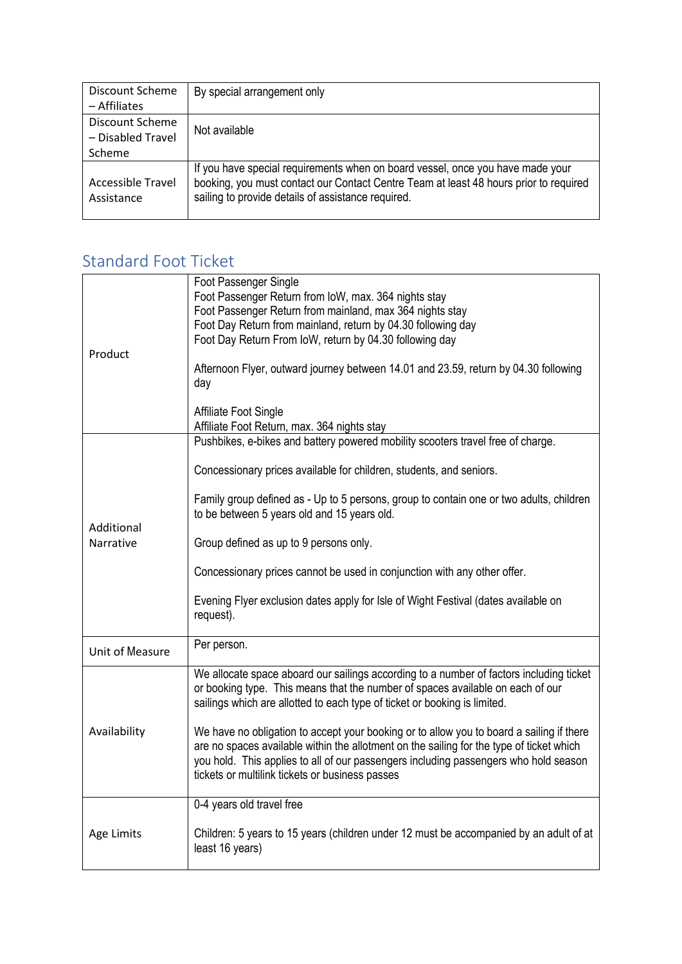| Discount Scheme<br>– Affiliates                | By special arrangement only                                                                                                                                                                                                   |
|------------------------------------------------|-------------------------------------------------------------------------------------------------------------------------------------------------------------------------------------------------------------------------------|
| Discount Scheme<br>- Disabled Travel<br>Scheme | Not available                                                                                                                                                                                                                 |
| Accessible Travel<br>Assistance                | If you have special requirements when on board vessel, once you have made your<br>booking, you must contact our Contact Centre Team at least 48 hours prior to required<br>sailing to provide details of assistance required. |

#### Standard Foot Ticket

| Product         | Foot Passenger Single<br>Foot Passenger Return from IoW, max. 364 nights stay<br>Foot Passenger Return from mainland, max 364 nights stay<br>Foot Day Return from mainland, return by 04.30 following day<br>Foot Day Return From IoW, return by 04.30 following day<br>Afternoon Flyer, outward journey between 14.01 and 23.59, return by 04.30 following<br>day |
|-----------------|--------------------------------------------------------------------------------------------------------------------------------------------------------------------------------------------------------------------------------------------------------------------------------------------------------------------------------------------------------------------|
|                 | Affiliate Foot Single<br>Affiliate Foot Return, max. 364 nights stay                                                                                                                                                                                                                                                                                               |
|                 | Pushbikes, e-bikes and battery powered mobility scooters travel free of charge.                                                                                                                                                                                                                                                                                    |
|                 | Concessionary prices available for children, students, and seniors.                                                                                                                                                                                                                                                                                                |
| Additional      | Family group defined as - Up to 5 persons, group to contain one or two adults, children<br>to be between 5 years old and 15 years old.                                                                                                                                                                                                                             |
| Narrative       | Group defined as up to 9 persons only.                                                                                                                                                                                                                                                                                                                             |
|                 | Concessionary prices cannot be used in conjunction with any other offer.                                                                                                                                                                                                                                                                                           |
|                 | Evening Flyer exclusion dates apply for Isle of Wight Festival (dates available on<br>request).                                                                                                                                                                                                                                                                    |
| Unit of Measure | Per person.                                                                                                                                                                                                                                                                                                                                                        |
|                 | We allocate space aboard our sailings according to a number of factors including ticket<br>or booking type. This means that the number of spaces available on each of our<br>sailings which are allotted to each type of ticket or booking is limited.                                                                                                             |
| Availability    | We have no obligation to accept your booking or to allow you to board a sailing if there<br>are no spaces available within the allotment on the sailing for the type of ticket which<br>you hold. This applies to all of our passengers including passengers who hold season<br>tickets or multilink tickets or business passes                                    |
|                 | 0-4 years old travel free                                                                                                                                                                                                                                                                                                                                          |
| Age Limits      | Children: 5 years to 15 years (children under 12 must be accompanied by an adult of at<br>least 16 years)                                                                                                                                                                                                                                                          |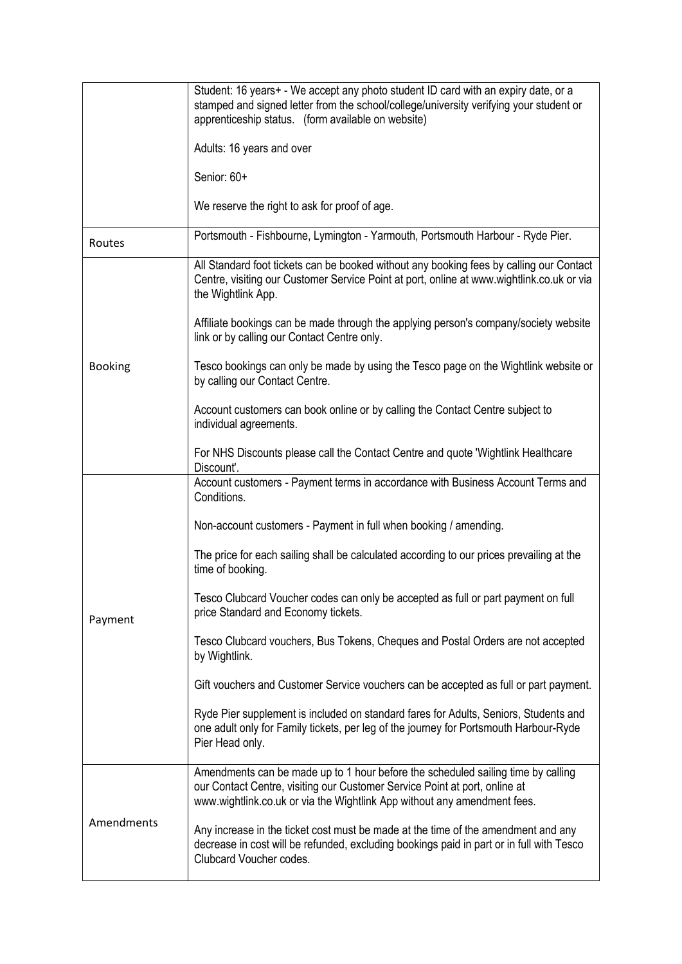|                | Student: 16 years+ - We accept any photo student ID card with an expiry date, or a<br>stamped and signed letter from the school/college/university verifying your student or<br>apprenticeship status. (form available on website)         |
|----------------|--------------------------------------------------------------------------------------------------------------------------------------------------------------------------------------------------------------------------------------------|
|                | Adults: 16 years and over                                                                                                                                                                                                                  |
|                | Senior: 60+                                                                                                                                                                                                                                |
|                | We reserve the right to ask for proof of age.                                                                                                                                                                                              |
| Routes         | Portsmouth - Fishbourne, Lymington - Yarmouth, Portsmouth Harbour - Ryde Pier.                                                                                                                                                             |
|                | All Standard foot tickets can be booked without any booking fees by calling our Contact<br>Centre, visiting our Customer Service Point at port, online at www.wightlink.co.uk or via<br>the Wightlink App.                                 |
|                | Affiliate bookings can be made through the applying person's company/society website<br>link or by calling our Contact Centre only.                                                                                                        |
| <b>Booking</b> | Tesco bookings can only be made by using the Tesco page on the Wightlink website or<br>by calling our Contact Centre.                                                                                                                      |
|                | Account customers can book online or by calling the Contact Centre subject to<br>individual agreements.                                                                                                                                    |
|                | For NHS Discounts please call the Contact Centre and quote 'Wightlink Healthcare<br>Discount'.                                                                                                                                             |
|                | Account customers - Payment terms in accordance with Business Account Terms and<br>Conditions.                                                                                                                                             |
|                | Non-account customers - Payment in full when booking / amending.                                                                                                                                                                           |
|                | The price for each sailing shall be calculated according to our prices prevailing at the<br>time of booking.                                                                                                                               |
| Payment        | Tesco Clubcard Voucher codes can only be accepted as full or part payment on full<br>price Standard and Economy tickets.                                                                                                                   |
|                | Tesco Clubcard vouchers, Bus Tokens, Cheques and Postal Orders are not accepted<br>by Wightlink.                                                                                                                                           |
|                | Gift vouchers and Customer Service vouchers can be accepted as full or part payment.                                                                                                                                                       |
|                | Ryde Pier supplement is included on standard fares for Adults, Seniors, Students and<br>one adult only for Family tickets, per leg of the journey for Portsmouth Harbour-Ryde<br>Pier Head only.                                           |
| Amendments     | Amendments can be made up to 1 hour before the scheduled sailing time by calling<br>our Contact Centre, visiting our Customer Service Point at port, online at<br>www.wightlink.co.uk or via the Wightlink App without any amendment fees. |
|                | Any increase in the ticket cost must be made at the time of the amendment and any<br>decrease in cost will be refunded, excluding bookings paid in part or in full with Tesco<br>Clubcard Voucher codes.                                   |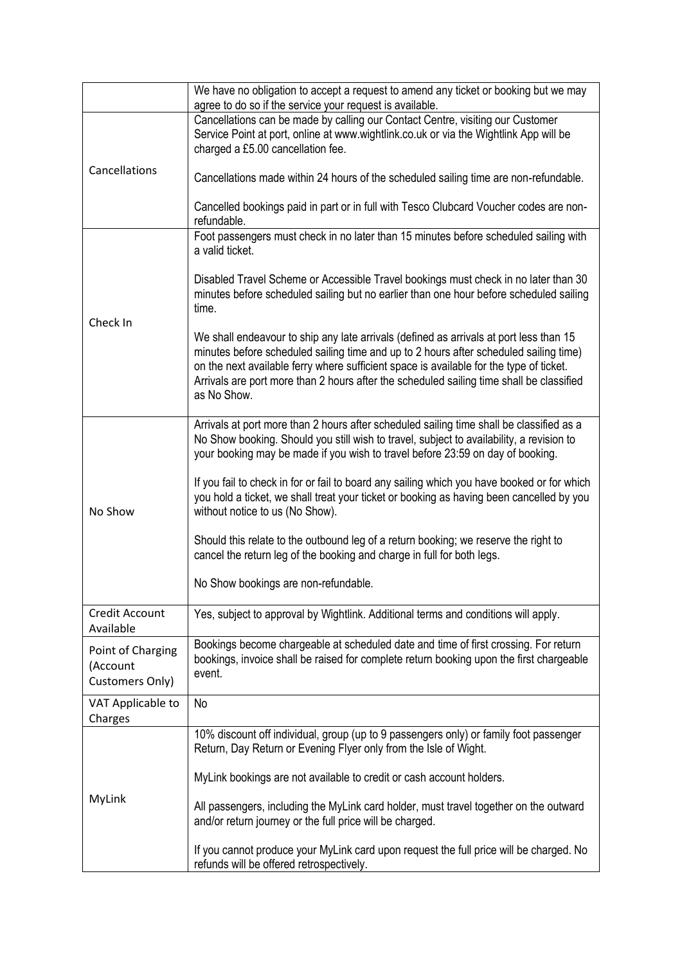|                                                  | We have no obligation to accept a request to amend any ticket or booking but we may<br>agree to do so if the service your request is available.                                                                                                                                                                                                                                       |
|--------------------------------------------------|---------------------------------------------------------------------------------------------------------------------------------------------------------------------------------------------------------------------------------------------------------------------------------------------------------------------------------------------------------------------------------------|
| Cancellations                                    | Cancellations can be made by calling our Contact Centre, visiting our Customer<br>Service Point at port, online at www.wightlink.co.uk or via the Wightlink App will be<br>charged a £5.00 cancellation fee.                                                                                                                                                                          |
|                                                  | Cancellations made within 24 hours of the scheduled sailing time are non-refundable.                                                                                                                                                                                                                                                                                                  |
|                                                  | Cancelled bookings paid in part or in full with Tesco Clubcard Voucher codes are non-<br>refundable.                                                                                                                                                                                                                                                                                  |
| Check In                                         | Foot passengers must check in no later than 15 minutes before scheduled sailing with<br>a valid ticket.                                                                                                                                                                                                                                                                               |
|                                                  | Disabled Travel Scheme or Accessible Travel bookings must check in no later than 30<br>minutes before scheduled sailing but no earlier than one hour before scheduled sailing<br>time.                                                                                                                                                                                                |
|                                                  | We shall endeavour to ship any late arrivals (defined as arrivals at port less than 15<br>minutes before scheduled sailing time and up to 2 hours after scheduled sailing time)<br>on the next available ferry where sufficient space is available for the type of ticket.<br>Arrivals are port more than 2 hours after the scheduled sailing time shall be classified<br>as No Show. |
| No Show                                          | Arrivals at port more than 2 hours after scheduled sailing time shall be classified as a<br>No Show booking. Should you still wish to travel, subject to availability, a revision to<br>your booking may be made if you wish to travel before 23:59 on day of booking.                                                                                                                |
|                                                  | If you fail to check in for or fail to board any sailing which you have booked or for which<br>you hold a ticket, we shall treat your ticket or booking as having been cancelled by you<br>without notice to us (No Show).                                                                                                                                                            |
|                                                  | Should this relate to the outbound leg of a return booking; we reserve the right to<br>cancel the return leg of the booking and charge in full for both legs.                                                                                                                                                                                                                         |
|                                                  | No Show bookings are non-refundable.                                                                                                                                                                                                                                                                                                                                                  |
| Credit Account<br>Available                      | Yes, subject to approval by Wightlink. Additional terms and conditions will apply.                                                                                                                                                                                                                                                                                                    |
| Point of Charging<br>(Account<br>Customers Only) | Bookings become chargeable at scheduled date and time of first crossing. For return<br>bookings, invoice shall be raised for complete return booking upon the first chargeable<br>event.                                                                                                                                                                                              |
| VAT Applicable to<br>Charges                     | No                                                                                                                                                                                                                                                                                                                                                                                    |
|                                                  | 10% discount off individual, group (up to 9 passengers only) or family foot passenger<br>Return, Day Return or Evening Flyer only from the Isle of Wight.                                                                                                                                                                                                                             |
| MyLink                                           | MyLink bookings are not available to credit or cash account holders.                                                                                                                                                                                                                                                                                                                  |
|                                                  | All passengers, including the MyLink card holder, must travel together on the outward<br>and/or return journey or the full price will be charged.                                                                                                                                                                                                                                     |
|                                                  | If you cannot produce your MyLink card upon request the full price will be charged. No<br>refunds will be offered retrospectively.                                                                                                                                                                                                                                                    |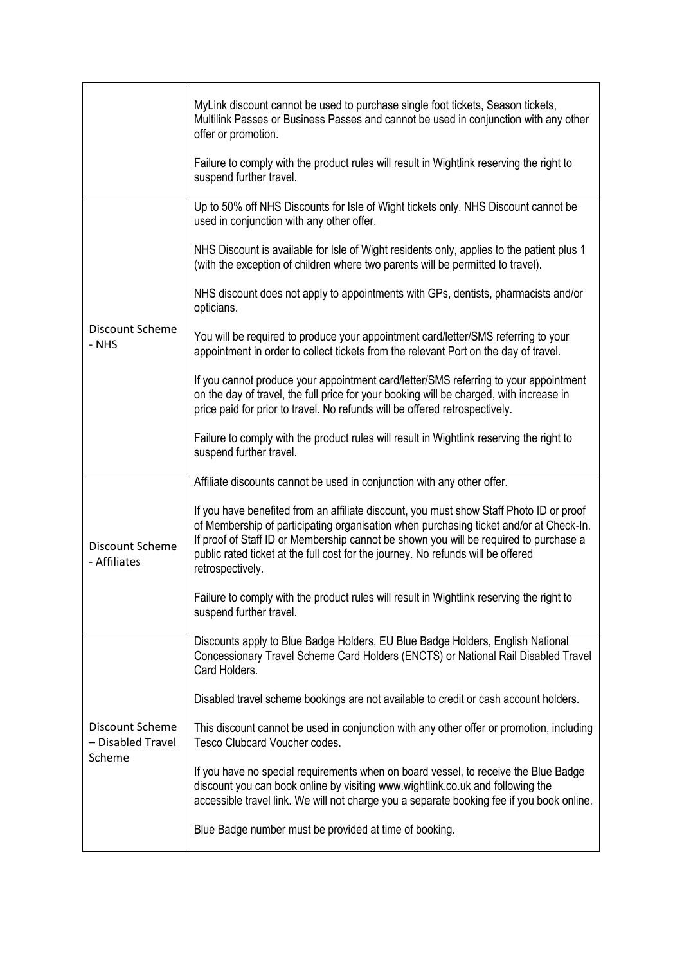|                                                | MyLink discount cannot be used to purchase single foot tickets, Season tickets,<br>Multilink Passes or Business Passes and cannot be used in conjunction with any other<br>offer or promotion.                                                                                                                                                                                     |
|------------------------------------------------|------------------------------------------------------------------------------------------------------------------------------------------------------------------------------------------------------------------------------------------------------------------------------------------------------------------------------------------------------------------------------------|
|                                                | Failure to comply with the product rules will result in Wightlink reserving the right to<br>suspend further travel.                                                                                                                                                                                                                                                                |
|                                                | Up to 50% off NHS Discounts for Isle of Wight tickets only. NHS Discount cannot be<br>used in conjunction with any other offer.                                                                                                                                                                                                                                                    |
|                                                | NHS Discount is available for Isle of Wight residents only, applies to the patient plus 1<br>(with the exception of children where two parents will be permitted to travel).                                                                                                                                                                                                       |
|                                                | NHS discount does not apply to appointments with GPs, dentists, pharmacists and/or<br>opticians.                                                                                                                                                                                                                                                                                   |
| Discount Scheme<br>- NHS                       | You will be required to produce your appointment card/letter/SMS referring to your<br>appointment in order to collect tickets from the relevant Port on the day of travel.                                                                                                                                                                                                         |
|                                                | If you cannot produce your appointment card/letter/SMS referring to your appointment<br>on the day of travel, the full price for your booking will be charged, with increase in<br>price paid for prior to travel. No refunds will be offered retrospectively.                                                                                                                     |
|                                                | Failure to comply with the product rules will result in Wightlink reserving the right to<br>suspend further travel.                                                                                                                                                                                                                                                                |
|                                                | Affiliate discounts cannot be used in conjunction with any other offer.                                                                                                                                                                                                                                                                                                            |
| Discount Scheme<br>- Affiliates                | If you have benefited from an affiliate discount, you must show Staff Photo ID or proof<br>of Membership of participating organisation when purchasing ticket and/or at Check-In.<br>If proof of Staff ID or Membership cannot be shown you will be required to purchase a<br>public rated ticket at the full cost for the journey. No refunds will be offered<br>retrospectively. |
|                                                | Failure to comply with the product rules will result in Wightlink reserving the right to<br>suspend further travel.                                                                                                                                                                                                                                                                |
|                                                | Discounts apply to Blue Badge Holders, EU Blue Badge Holders, English National<br>Concessionary Travel Scheme Card Holders (ENCTS) or National Rail Disabled Travel<br>Card Holders.                                                                                                                                                                                               |
|                                                | Disabled travel scheme bookings are not available to credit or cash account holders.                                                                                                                                                                                                                                                                                               |
| Discount Scheme<br>- Disabled Travel<br>Scheme | This discount cannot be used in conjunction with any other offer or promotion, including<br>Tesco Clubcard Voucher codes.                                                                                                                                                                                                                                                          |
|                                                | If you have no special requirements when on board vessel, to receive the Blue Badge<br>discount you can book online by visiting www.wightlink.co.uk and following the<br>accessible travel link. We will not charge you a separate booking fee if you book online.                                                                                                                 |
|                                                | Blue Badge number must be provided at time of booking.                                                                                                                                                                                                                                                                                                                             |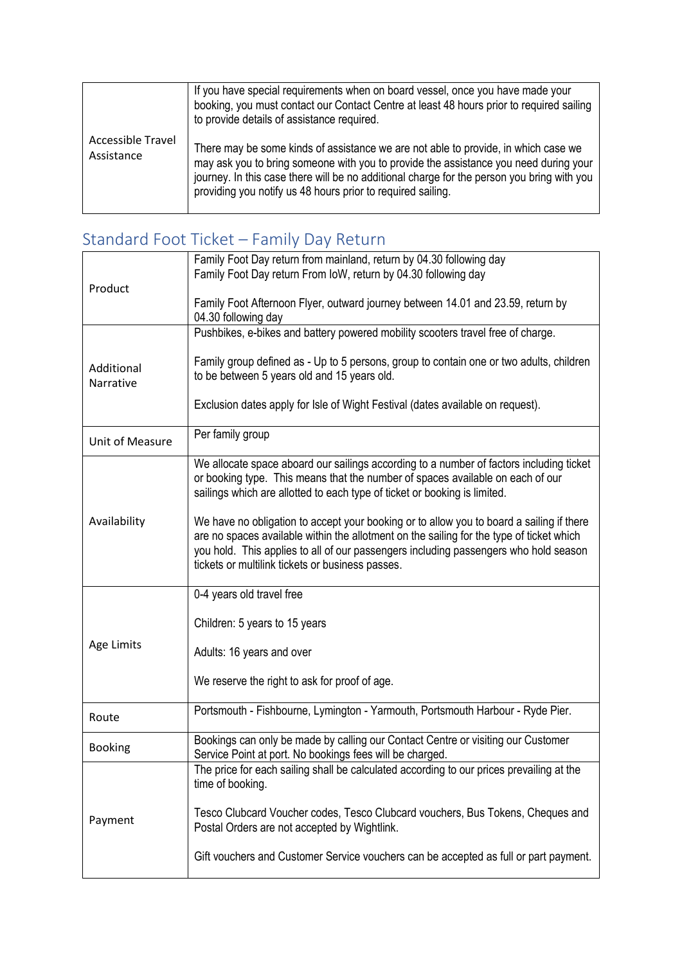|                                 | If you have special requirements when on board vessel, once you have made your<br>booking, you must contact our Contact Centre at least 48 hours prior to required sailing<br>to provide details of assistance required.                                                                                                                |
|---------------------------------|-----------------------------------------------------------------------------------------------------------------------------------------------------------------------------------------------------------------------------------------------------------------------------------------------------------------------------------------|
| Accessible Travel<br>Assistance | There may be some kinds of assistance we are not able to provide, in which case we<br>may ask you to bring someone with you to provide the assistance you need during your<br>journey. In this case there will be no additional charge for the person you bring with you<br>providing you notify us 48 hours prior to required sailing. |

## Standard Foot Ticket – Family Day Return

|                         | Family Foot Day return from mainland, return by 04.30 following day                                          |
|-------------------------|--------------------------------------------------------------------------------------------------------------|
|                         | Family Foot Day return From IoW, return by 04.30 following day                                               |
| Product                 |                                                                                                              |
|                         | Family Foot Afternoon Flyer, outward journey between 14.01 and 23.59, return by                              |
|                         | 04.30 following day                                                                                          |
|                         | Pushbikes, e-bikes and battery powered mobility scooters travel free of charge.                              |
|                         |                                                                                                              |
| Additional<br>Narrative | Family group defined as - Up to 5 persons, group to contain one or two adults, children                      |
|                         | to be between 5 years old and 15 years old.                                                                  |
|                         |                                                                                                              |
|                         | Exclusion dates apply for Isle of Wight Festival (dates available on request).                               |
|                         |                                                                                                              |
| Unit of Measure         | Per family group                                                                                             |
|                         |                                                                                                              |
|                         | We allocate space aboard our sailings according to a number of factors including ticket                      |
|                         | or booking type. This means that the number of spaces available on each of our                               |
|                         | sailings which are allotted to each type of ticket or booking is limited.                                    |
| Availability            | We have no obligation to accept your booking or to allow you to board a sailing if there                     |
|                         | are no spaces available within the allotment on the sailing for the type of ticket which                     |
|                         | you hold. This applies to all of our passengers including passengers who hold season                         |
|                         | tickets or multilink tickets or business passes.                                                             |
|                         |                                                                                                              |
|                         | 0-4 years old travel free                                                                                    |
|                         |                                                                                                              |
|                         | Children: 5 years to 15 years                                                                                |
| Age Limits              |                                                                                                              |
|                         | Adults: 16 years and over                                                                                    |
|                         |                                                                                                              |
|                         | We reserve the right to ask for proof of age.                                                                |
|                         | Portsmouth - Fishbourne, Lymington - Yarmouth, Portsmouth Harbour - Ryde Pier.                               |
| Route                   |                                                                                                              |
|                         |                                                                                                              |
| <b>Booking</b>          |                                                                                                              |
|                         | Bookings can only be made by calling our Contact Centre or visiting our Customer                             |
|                         | Service Point at port. No bookings fees will be charged.                                                     |
|                         | The price for each sailing shall be calculated according to our prices prevailing at the<br>time of booking. |
|                         |                                                                                                              |
|                         | Tesco Clubcard Voucher codes, Tesco Clubcard vouchers, Bus Tokens, Cheques and                               |
| Payment                 | Postal Orders are not accepted by Wightlink.                                                                 |
|                         |                                                                                                              |
|                         | Gift vouchers and Customer Service vouchers can be accepted as full or part payment.                         |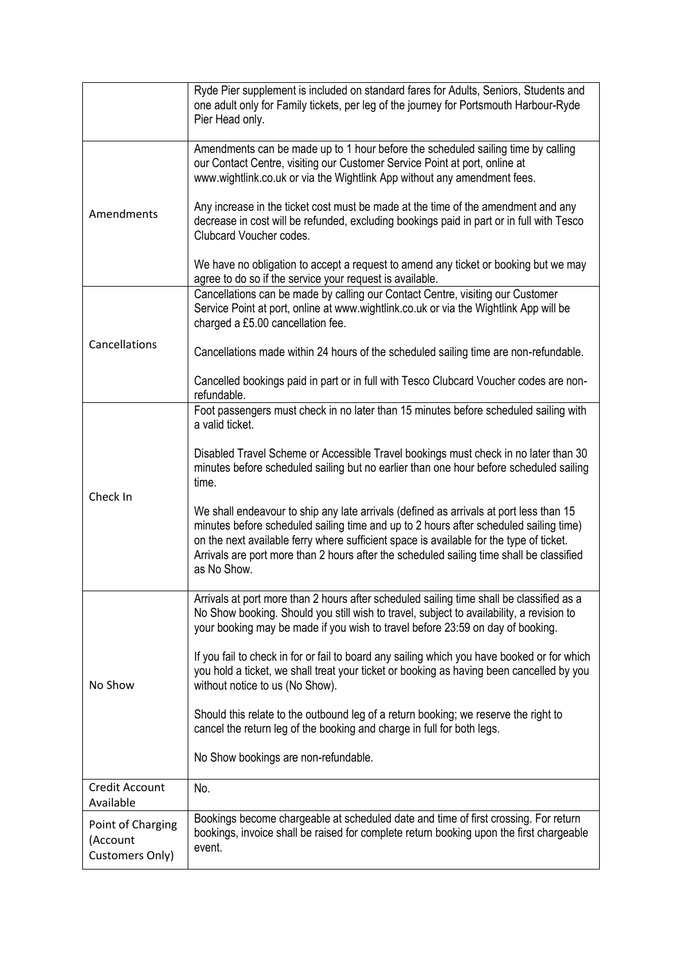|                                                  | Ryde Pier supplement is included on standard fares for Adults, Seniors, Students and<br>one adult only for Family tickets, per leg of the journey for Portsmouth Harbour-Ryde<br>Pier Head only.                                                                                                                                                                                      |
|--------------------------------------------------|---------------------------------------------------------------------------------------------------------------------------------------------------------------------------------------------------------------------------------------------------------------------------------------------------------------------------------------------------------------------------------------|
| Amendments                                       | Amendments can be made up to 1 hour before the scheduled sailing time by calling<br>our Contact Centre, visiting our Customer Service Point at port, online at<br>www.wightlink.co.uk or via the Wightlink App without any amendment fees.                                                                                                                                            |
|                                                  | Any increase in the ticket cost must be made at the time of the amendment and any<br>decrease in cost will be refunded, excluding bookings paid in part or in full with Tesco<br>Clubcard Voucher codes.                                                                                                                                                                              |
|                                                  | We have no obligation to accept a request to amend any ticket or booking but we may<br>agree to do so if the service your request is available.                                                                                                                                                                                                                                       |
|                                                  | Cancellations can be made by calling our Contact Centre, visiting our Customer<br>Service Point at port, online at www.wightlink.co.uk or via the Wightlink App will be<br>charged a £5.00 cancellation fee.                                                                                                                                                                          |
| Cancellations                                    | Cancellations made within 24 hours of the scheduled sailing time are non-refundable.                                                                                                                                                                                                                                                                                                  |
|                                                  | Cancelled bookings paid in part or in full with Tesco Clubcard Voucher codes are non-<br>refundable.                                                                                                                                                                                                                                                                                  |
|                                                  | Foot passengers must check in no later than 15 minutes before scheduled sailing with<br>a valid ticket.                                                                                                                                                                                                                                                                               |
| Check In                                         | Disabled Travel Scheme or Accessible Travel bookings must check in no later than 30<br>minutes before scheduled sailing but no earlier than one hour before scheduled sailing<br>time.                                                                                                                                                                                                |
|                                                  | We shall endeavour to ship any late arrivals (defined as arrivals at port less than 15<br>minutes before scheduled sailing time and up to 2 hours after scheduled sailing time)<br>on the next available ferry where sufficient space is available for the type of ticket.<br>Arrivals are port more than 2 hours after the scheduled sailing time shall be classified<br>as No Show. |
| No Show                                          | Arrivals at port more than 2 hours after scheduled sailing time shall be classified as a<br>No Show booking. Should you still wish to travel, subject to availability, a revision to<br>your booking may be made if you wish to travel before 23:59 on day of booking.                                                                                                                |
|                                                  | If you fail to check in for or fail to board any sailing which you have booked or for which<br>you hold a ticket, we shall treat your ticket or booking as having been cancelled by you<br>without notice to us (No Show).                                                                                                                                                            |
|                                                  | Should this relate to the outbound leg of a return booking; we reserve the right to<br>cancel the return leg of the booking and charge in full for both legs.                                                                                                                                                                                                                         |
|                                                  | No Show bookings are non-refundable.                                                                                                                                                                                                                                                                                                                                                  |
| <b>Credit Account</b><br>Available               | No.                                                                                                                                                                                                                                                                                                                                                                                   |
| Point of Charging<br>(Account<br>Customers Only) | Bookings become chargeable at scheduled date and time of first crossing. For return<br>bookings, invoice shall be raised for complete return booking upon the first chargeable<br>event.                                                                                                                                                                                              |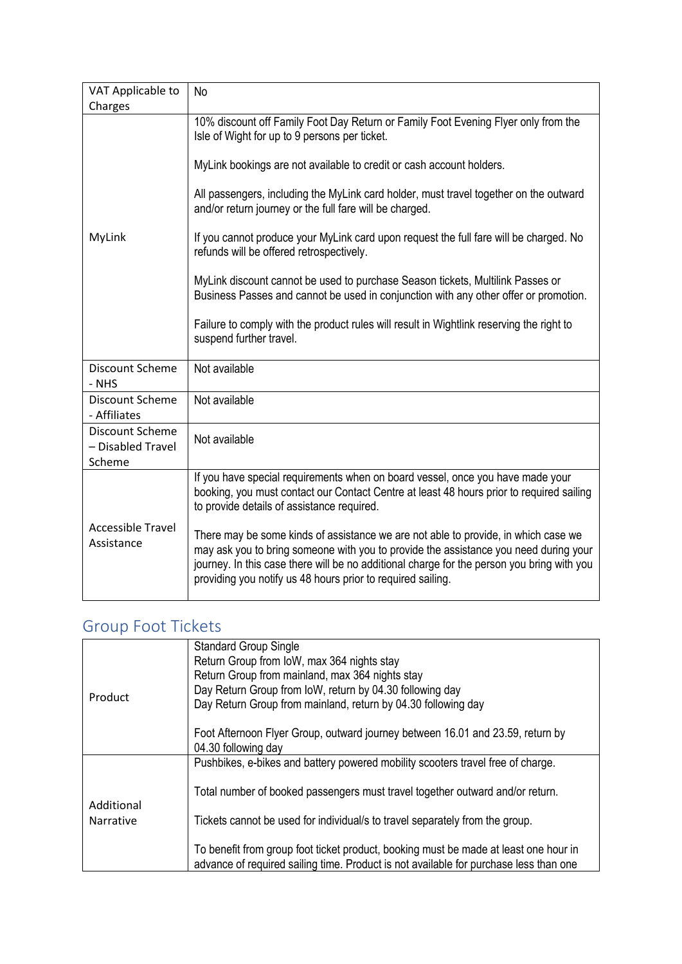| VAT Applicable to                      | No                                                                                                                                                                                                                                                                                                                                      |
|----------------------------------------|-----------------------------------------------------------------------------------------------------------------------------------------------------------------------------------------------------------------------------------------------------------------------------------------------------------------------------------------|
| Charges                                |                                                                                                                                                                                                                                                                                                                                         |
|                                        | 10% discount off Family Foot Day Return or Family Foot Evening Flyer only from the<br>Isle of Wight for up to 9 persons per ticket.                                                                                                                                                                                                     |
|                                        | MyLink bookings are not available to credit or cash account holders.                                                                                                                                                                                                                                                                    |
|                                        | All passengers, including the MyLink card holder, must travel together on the outward<br>and/or return journey or the full fare will be charged.                                                                                                                                                                                        |
| MyLink                                 | If you cannot produce your MyLink card upon request the full fare will be charged. No<br>refunds will be offered retrospectively.                                                                                                                                                                                                       |
|                                        | MyLink discount cannot be used to purchase Season tickets, Multilink Passes or<br>Business Passes and cannot be used in conjunction with any other offer or promotion.                                                                                                                                                                  |
|                                        | Failure to comply with the product rules will result in Wightlink reserving the right to<br>suspend further travel.                                                                                                                                                                                                                     |
| Discount Scheme<br>- NHS               | Not available                                                                                                                                                                                                                                                                                                                           |
| <b>Discount Scheme</b><br>- Affiliates | Not available                                                                                                                                                                                                                                                                                                                           |
| Discount Scheme<br>- Disabled Travel   | Not available                                                                                                                                                                                                                                                                                                                           |
| Scheme                                 |                                                                                                                                                                                                                                                                                                                                         |
| <b>Accessible Travel</b><br>Assistance | If you have special requirements when on board vessel, once you have made your<br>booking, you must contact our Contact Centre at least 48 hours prior to required sailing<br>to provide details of assistance required.                                                                                                                |
|                                        | There may be some kinds of assistance we are not able to provide, in which case we<br>may ask you to bring someone with you to provide the assistance you need during your<br>journey. In this case there will be no additional charge for the person you bring with you<br>providing you notify us 48 hours prior to required sailing. |

### Group Foot Tickets

| Product                 | <b>Standard Group Single</b><br>Return Group from IoW, max 364 nights stay<br>Return Group from mainland, max 364 nights stay<br>Day Return Group from IoW, return by 04.30 following day<br>Day Return Group from mainland, return by 04.30 following day<br>Foot Afternoon Flyer Group, outward journey between 16.01 and 23.59, return by |
|-------------------------|----------------------------------------------------------------------------------------------------------------------------------------------------------------------------------------------------------------------------------------------------------------------------------------------------------------------------------------------|
|                         | 04.30 following day                                                                                                                                                                                                                                                                                                                          |
| Additional<br>Narrative | Pushbikes, e-bikes and battery powered mobility scooters travel free of charge.                                                                                                                                                                                                                                                              |
|                         | Total number of booked passengers must travel together outward and/or return.                                                                                                                                                                                                                                                                |
|                         | Tickets cannot be used for individual/s to travel separately from the group.                                                                                                                                                                                                                                                                 |
|                         | To benefit from group foot ticket product, booking must be made at least one hour in<br>advance of required sailing time. Product is not available for purchase less than one                                                                                                                                                                |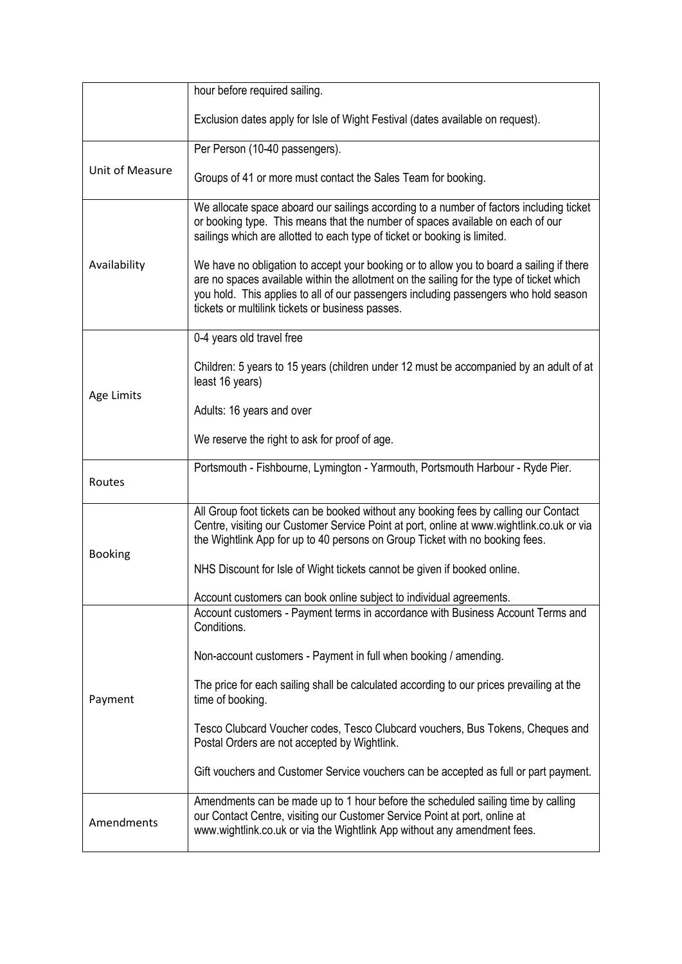|                 | hour before required sailing.                                                                                                                                                                                                                                                                                                    |
|-----------------|----------------------------------------------------------------------------------------------------------------------------------------------------------------------------------------------------------------------------------------------------------------------------------------------------------------------------------|
|                 | Exclusion dates apply for Isle of Wight Festival (dates available on request).                                                                                                                                                                                                                                                   |
| Unit of Measure | Per Person (10-40 passengers).                                                                                                                                                                                                                                                                                                   |
|                 | Groups of 41 or more must contact the Sales Team for booking.                                                                                                                                                                                                                                                                    |
| Availability    | We allocate space aboard our sailings according to a number of factors including ticket<br>or booking type. This means that the number of spaces available on each of our<br>sailings which are allotted to each type of ticket or booking is limited.                                                                           |
|                 | We have no obligation to accept your booking or to allow you to board a sailing if there<br>are no spaces available within the allotment on the sailing for the type of ticket which<br>you hold. This applies to all of our passengers including passengers who hold season<br>tickets or multilink tickets or business passes. |
|                 | 0-4 years old travel free                                                                                                                                                                                                                                                                                                        |
| Age Limits      | Children: 5 years to 15 years (children under 12 must be accompanied by an adult of at<br>least 16 years)                                                                                                                                                                                                                        |
|                 | Adults: 16 years and over                                                                                                                                                                                                                                                                                                        |
|                 | We reserve the right to ask for proof of age.                                                                                                                                                                                                                                                                                    |
| Routes          | Portsmouth - Fishbourne, Lymington - Yarmouth, Portsmouth Harbour - Ryde Pier.                                                                                                                                                                                                                                                   |
|                 | All Group foot tickets can be booked without any booking fees by calling our Contact<br>Centre, visiting our Customer Service Point at port, online at www.wightlink.co.uk or via<br>the Wightlink App for up to 40 persons on Group Ticket with no booking fees.                                                                |
| <b>Booking</b>  | NHS Discount for Isle of Wight tickets cannot be given if booked online.                                                                                                                                                                                                                                                         |
|                 | Account customers can book online subject to individual agreements.                                                                                                                                                                                                                                                              |
| Payment         | Account customers - Payment terms in accordance with Business Account Terms and<br>Conditions.                                                                                                                                                                                                                                   |
|                 | Non-account customers - Payment in full when booking / amending.                                                                                                                                                                                                                                                                 |
|                 | The price for each sailing shall be calculated according to our prices prevailing at the<br>time of booking.                                                                                                                                                                                                                     |
|                 | Tesco Clubcard Voucher codes, Tesco Clubcard vouchers, Bus Tokens, Cheques and<br>Postal Orders are not accepted by Wightlink.                                                                                                                                                                                                   |
|                 | Gift vouchers and Customer Service vouchers can be accepted as full or part payment.                                                                                                                                                                                                                                             |
| Amendments      | Amendments can be made up to 1 hour before the scheduled sailing time by calling<br>our Contact Centre, visiting our Customer Service Point at port, online at<br>www.wightlink.co.uk or via the Wightlink App without any amendment fees.                                                                                       |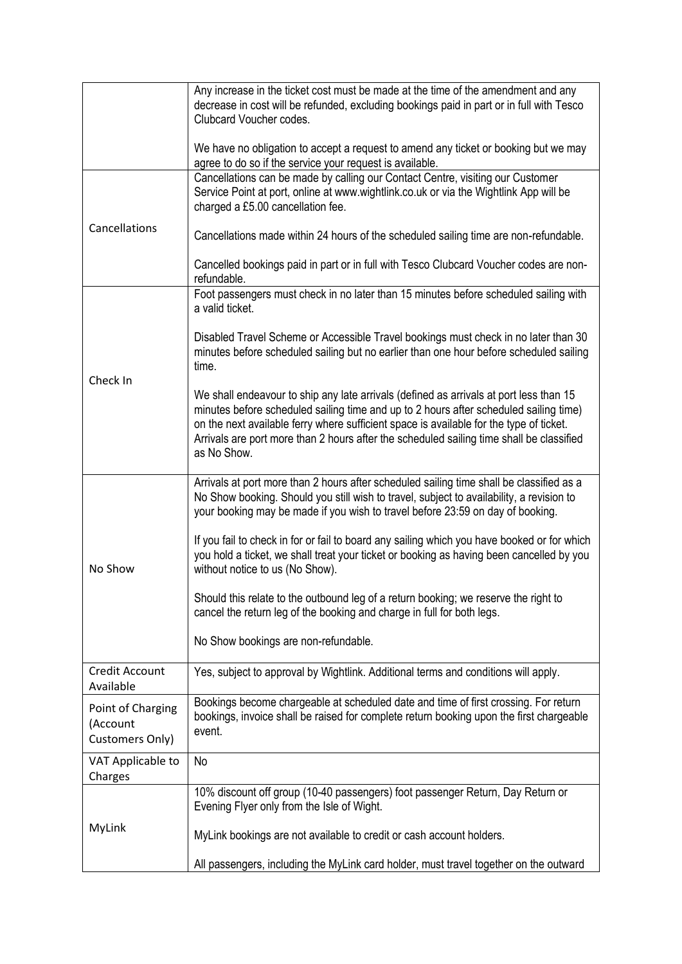|                                                  | Any increase in the ticket cost must be made at the time of the amendment and any<br>decrease in cost will be refunded, excluding bookings paid in part or in full with Tesco<br>Clubcard Voucher codes.                                                                                                                                                                              |
|--------------------------------------------------|---------------------------------------------------------------------------------------------------------------------------------------------------------------------------------------------------------------------------------------------------------------------------------------------------------------------------------------------------------------------------------------|
|                                                  | We have no obligation to accept a request to amend any ticket or booking but we may<br>agree to do so if the service your request is available.                                                                                                                                                                                                                                       |
|                                                  | Cancellations can be made by calling our Contact Centre, visiting our Customer<br>Service Point at port, online at www.wightlink.co.uk or via the Wightlink App will be<br>charged a £5.00 cancellation fee.                                                                                                                                                                          |
| Cancellations                                    | Cancellations made within 24 hours of the scheduled sailing time are non-refundable.                                                                                                                                                                                                                                                                                                  |
|                                                  | Cancelled bookings paid in part or in full with Tesco Clubcard Voucher codes are non-<br>refundable.                                                                                                                                                                                                                                                                                  |
|                                                  | Foot passengers must check in no later than 15 minutes before scheduled sailing with<br>a valid ticket.                                                                                                                                                                                                                                                                               |
| Check In                                         | Disabled Travel Scheme or Accessible Travel bookings must check in no later than 30<br>minutes before scheduled sailing but no earlier than one hour before scheduled sailing<br>time.                                                                                                                                                                                                |
|                                                  | We shall endeavour to ship any late arrivals (defined as arrivals at port less than 15<br>minutes before scheduled sailing time and up to 2 hours after scheduled sailing time)<br>on the next available ferry where sufficient space is available for the type of ticket.<br>Arrivals are port more than 2 hours after the scheduled sailing time shall be classified<br>as No Show. |
| No Show                                          | Arrivals at port more than 2 hours after scheduled sailing time shall be classified as a<br>No Show booking. Should you still wish to travel, subject to availability, a revision to<br>your booking may be made if you wish to travel before 23:59 on day of booking.                                                                                                                |
|                                                  | If you fail to check in for or fail to board any sailing which you have booked or for which<br>you hold a ticket, we shall treat your ticket or booking as having been cancelled by you<br>without notice to us (No Show).                                                                                                                                                            |
|                                                  | Should this relate to the outbound leg of a return booking; we reserve the right to<br>cancel the return leg of the booking and charge in full for both legs.                                                                                                                                                                                                                         |
|                                                  | No Show bookings are non-refundable.                                                                                                                                                                                                                                                                                                                                                  |
| Credit Account<br>Available                      | Yes, subject to approval by Wightlink. Additional terms and conditions will apply.                                                                                                                                                                                                                                                                                                    |
| Point of Charging<br>(Account<br>Customers Only) | Bookings become chargeable at scheduled date and time of first crossing. For return<br>bookings, invoice shall be raised for complete return booking upon the first chargeable<br>event.                                                                                                                                                                                              |
| VAT Applicable to<br>Charges                     | No                                                                                                                                                                                                                                                                                                                                                                                    |
| MyLink                                           | 10% discount off group (10-40 passengers) foot passenger Return, Day Return or<br>Evening Flyer only from the Isle of Wight.                                                                                                                                                                                                                                                          |
|                                                  | MyLink bookings are not available to credit or cash account holders.                                                                                                                                                                                                                                                                                                                  |
|                                                  | All passengers, including the MyLink card holder, must travel together on the outward                                                                                                                                                                                                                                                                                                 |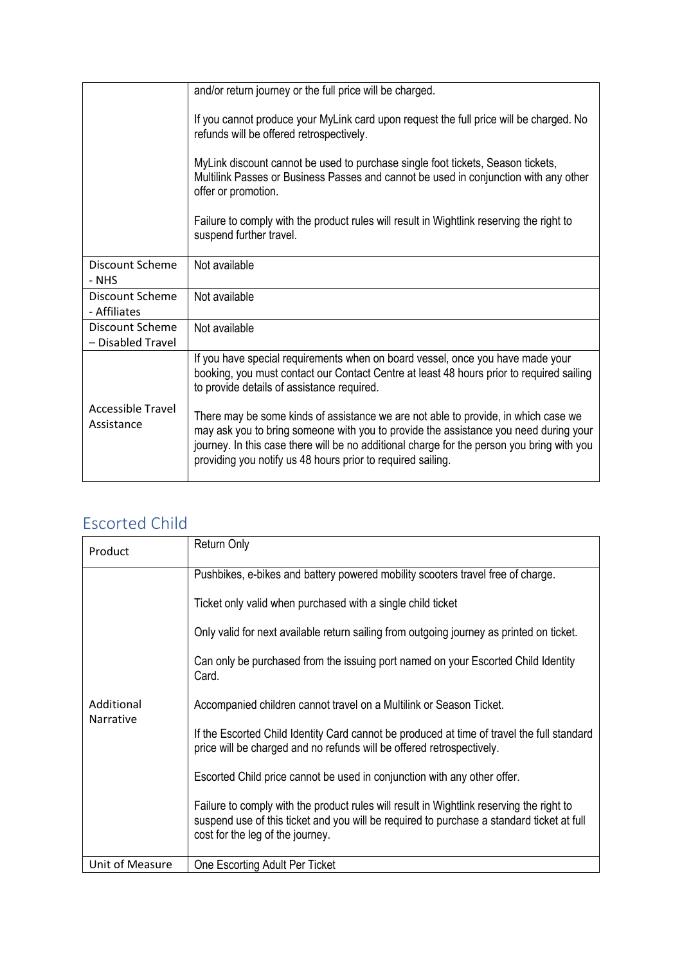|                                      | and/or return journey or the full price will be charged.                                                                                                                                                                                                                                                                                |
|--------------------------------------|-----------------------------------------------------------------------------------------------------------------------------------------------------------------------------------------------------------------------------------------------------------------------------------------------------------------------------------------|
|                                      | If you cannot produce your MyLink card upon request the full price will be charged. No<br>refunds will be offered retrospectively.                                                                                                                                                                                                      |
|                                      | MyLink discount cannot be used to purchase single foot tickets, Season tickets,<br>Multilink Passes or Business Passes and cannot be used in conjunction with any other<br>offer or promotion.                                                                                                                                          |
|                                      | Failure to comply with the product rules will result in Wightlink reserving the right to<br>suspend further travel.                                                                                                                                                                                                                     |
| Discount Scheme<br>- NHS             | Not available                                                                                                                                                                                                                                                                                                                           |
| Discount Scheme<br>- Affiliates      | Not available                                                                                                                                                                                                                                                                                                                           |
| Discount Scheme<br>- Disabled Travel | Not available                                                                                                                                                                                                                                                                                                                           |
|                                      | If you have special requirements when on board vessel, once you have made your<br>booking, you must contact our Contact Centre at least 48 hours prior to required sailing<br>to provide details of assistance required.                                                                                                                |
| Accessible Travel<br>Assistance      | There may be some kinds of assistance we are not able to provide, in which case we<br>may ask you to bring someone with you to provide the assistance you need during your<br>journey. In this case there will be no additional charge for the person you bring with you<br>providing you notify us 48 hours prior to required sailing. |

#### Escorted Child

| Product                        | <b>Return Only</b>                                                                                                                                                                                                        |
|--------------------------------|---------------------------------------------------------------------------------------------------------------------------------------------------------------------------------------------------------------------------|
| Additional<br><b>Narrative</b> | Pushbikes, e-bikes and battery powered mobility scooters travel free of charge.                                                                                                                                           |
|                                | Ticket only valid when purchased with a single child ticket                                                                                                                                                               |
|                                | Only valid for next available return sailing from outgoing journey as printed on ticket.                                                                                                                                  |
|                                | Can only be purchased from the issuing port named on your Escorted Child Identity<br>Card.                                                                                                                                |
|                                | Accompanied children cannot travel on a Multilink or Season Ticket.                                                                                                                                                       |
|                                | If the Escorted Child Identity Card cannot be produced at time of travel the full standard<br>price will be charged and no refunds will be offered retrospectively.                                                       |
|                                | Escorted Child price cannot be used in conjunction with any other offer.                                                                                                                                                  |
|                                | Failure to comply with the product rules will result in Wightlink reserving the right to<br>suspend use of this ticket and you will be required to purchase a standard ticket at full<br>cost for the leg of the journey. |
| Unit of Measure                | One Escorting Adult Per Ticket                                                                                                                                                                                            |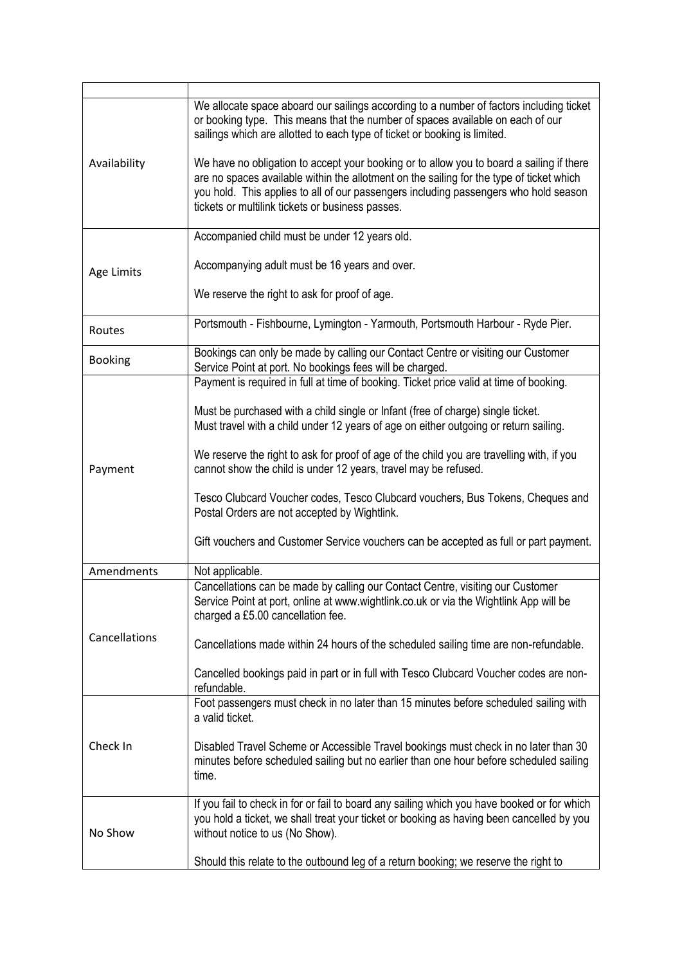| Availability   | We allocate space aboard our sailings according to a number of factors including ticket<br>or booking type. This means that the number of spaces available on each of our<br>sailings which are allotted to each type of ticket or booking is limited.<br>We have no obligation to accept your booking or to allow you to board a sailing if there<br>are no spaces available within the allotment on the sailing for the type of ticket which<br>you hold. This applies to all of our passengers including passengers who hold season<br>tickets or multilink tickets or business passes. |
|----------------|--------------------------------------------------------------------------------------------------------------------------------------------------------------------------------------------------------------------------------------------------------------------------------------------------------------------------------------------------------------------------------------------------------------------------------------------------------------------------------------------------------------------------------------------------------------------------------------------|
|                | Accompanied child must be under 12 years old.                                                                                                                                                                                                                                                                                                                                                                                                                                                                                                                                              |
| Age Limits     | Accompanying adult must be 16 years and over.                                                                                                                                                                                                                                                                                                                                                                                                                                                                                                                                              |
|                | We reserve the right to ask for proof of age.                                                                                                                                                                                                                                                                                                                                                                                                                                                                                                                                              |
| Routes         | Portsmouth - Fishbourne, Lymington - Yarmouth, Portsmouth Harbour - Ryde Pier.                                                                                                                                                                                                                                                                                                                                                                                                                                                                                                             |
| <b>Booking</b> | Bookings can only be made by calling our Contact Centre or visiting our Customer<br>Service Point at port. No bookings fees will be charged.                                                                                                                                                                                                                                                                                                                                                                                                                                               |
|                | Payment is required in full at time of booking. Ticket price valid at time of booking.                                                                                                                                                                                                                                                                                                                                                                                                                                                                                                     |
|                | Must be purchased with a child single or Infant (free of charge) single ticket.<br>Must travel with a child under 12 years of age on either outgoing or return sailing.                                                                                                                                                                                                                                                                                                                                                                                                                    |
| Payment        | We reserve the right to ask for proof of age of the child you are travelling with, if you<br>cannot show the child is under 12 years, travel may be refused.                                                                                                                                                                                                                                                                                                                                                                                                                               |
|                | Tesco Clubcard Voucher codes, Tesco Clubcard vouchers, Bus Tokens, Cheques and<br>Postal Orders are not accepted by Wightlink.                                                                                                                                                                                                                                                                                                                                                                                                                                                             |
|                | Gift vouchers and Customer Service vouchers can be accepted as full or part payment.                                                                                                                                                                                                                                                                                                                                                                                                                                                                                                       |
| Amendments     | Not applicable.                                                                                                                                                                                                                                                                                                                                                                                                                                                                                                                                                                            |
| Cancellations  | Cancellations can be made by calling our Contact Centre, visiting our Customer<br>Service Point at port, online at www.wightlink.co.uk or via the Wightlink App will be<br>charged a £5.00 cancellation fee.                                                                                                                                                                                                                                                                                                                                                                               |
|                | Cancellations made within 24 hours of the scheduled sailing time are non-refundable.                                                                                                                                                                                                                                                                                                                                                                                                                                                                                                       |
|                | Cancelled bookings paid in part or in full with Tesco Clubcard Voucher codes are non-<br>refundable.                                                                                                                                                                                                                                                                                                                                                                                                                                                                                       |
|                | Foot passengers must check in no later than 15 minutes before scheduled sailing with<br>a valid ticket.                                                                                                                                                                                                                                                                                                                                                                                                                                                                                    |
| Check In       | Disabled Travel Scheme or Accessible Travel bookings must check in no later than 30<br>minutes before scheduled sailing but no earlier than one hour before scheduled sailing<br>time.                                                                                                                                                                                                                                                                                                                                                                                                     |
| No Show        | If you fail to check in for or fail to board any sailing which you have booked or for which<br>you hold a ticket, we shall treat your ticket or booking as having been cancelled by you<br>without notice to us (No Show).                                                                                                                                                                                                                                                                                                                                                                 |
|                | Should this relate to the outbound leg of a return booking; we reserve the right to                                                                                                                                                                                                                                                                                                                                                                                                                                                                                                        |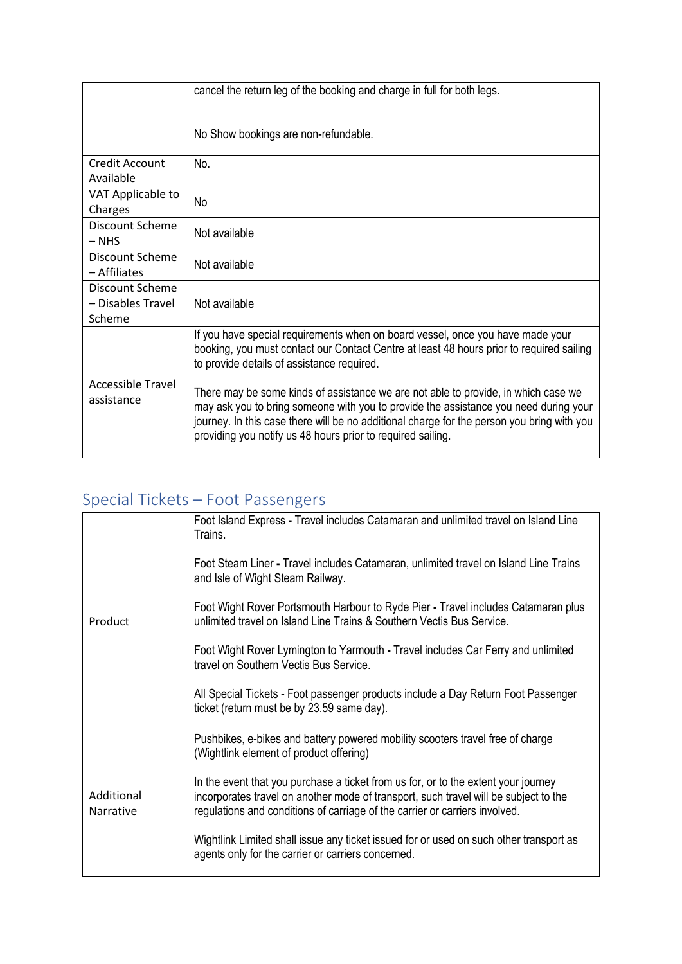|                                                | cancel the return leg of the booking and charge in full for both legs.                                                                                                                                                                                                                                                                  |
|------------------------------------------------|-----------------------------------------------------------------------------------------------------------------------------------------------------------------------------------------------------------------------------------------------------------------------------------------------------------------------------------------|
|                                                | No Show bookings are non-refundable.                                                                                                                                                                                                                                                                                                    |
| Credit Account<br>Available                    | No.                                                                                                                                                                                                                                                                                                                                     |
| VAT Applicable to<br>Charges                   | No                                                                                                                                                                                                                                                                                                                                      |
| Discount Scheme<br>$-$ NHS                     | Not available                                                                                                                                                                                                                                                                                                                           |
| <b>Discount Scheme</b><br>- Affiliates         | Not available                                                                                                                                                                                                                                                                                                                           |
| Discount Scheme<br>- Disables Travel<br>Scheme | Not available                                                                                                                                                                                                                                                                                                                           |
|                                                | If you have special requirements when on board vessel, once you have made your<br>booking, you must contact our Contact Centre at least 48 hours prior to required sailing<br>to provide details of assistance required.                                                                                                                |
| Accessible Travel<br>assistance                | There may be some kinds of assistance we are not able to provide, in which case we<br>may ask you to bring someone with you to provide the assistance you need during your<br>journey. In this case there will be no additional charge for the person you bring with you<br>providing you notify us 48 hours prior to required sailing. |

## Special Tickets – Foot Passengers

| Product                 | Foot Island Express - Travel includes Catamaran and unlimited travel on Island Line<br>Trains.                                                                                                                                                            |
|-------------------------|-----------------------------------------------------------------------------------------------------------------------------------------------------------------------------------------------------------------------------------------------------------|
|                         | Foot Steam Liner - Travel includes Catamaran, unlimited travel on Island Line Trains<br>and Isle of Wight Steam Railway.                                                                                                                                  |
|                         | Foot Wight Rover Portsmouth Harbour to Ryde Pier - Travel includes Catamaran plus<br>unlimited travel on Island Line Trains & Southern Vectis Bus Service.                                                                                                |
|                         | Foot Wight Rover Lymington to Yarmouth - Travel includes Car Ferry and unlimited<br>travel on Southern Vectis Bus Service.                                                                                                                                |
|                         | All Special Tickets - Foot passenger products include a Day Return Foot Passenger<br>ticket (return must be by 23.59 same day).                                                                                                                           |
|                         | Pushbikes, e-bikes and battery powered mobility scooters travel free of charge<br>(Wightlink element of product offering)                                                                                                                                 |
| Additional<br>Narrative | In the event that you purchase a ticket from us for, or to the extent your journey<br>incorporates travel on another mode of transport, such travel will be subject to the<br>regulations and conditions of carriage of the carrier or carriers involved. |
|                         | Wightlink Limited shall issue any ticket issued for or used on such other transport as<br>agents only for the carrier or carriers concerned.                                                                                                              |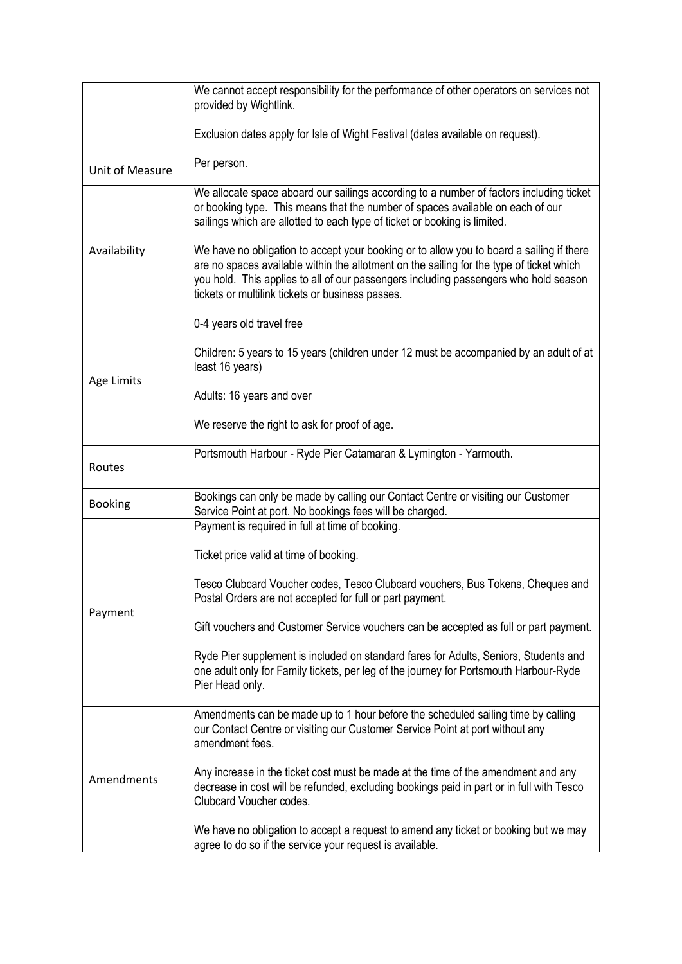|                 | We cannot accept responsibility for the performance of other operators on services not                                                                                                                                                                                                                                           |
|-----------------|----------------------------------------------------------------------------------------------------------------------------------------------------------------------------------------------------------------------------------------------------------------------------------------------------------------------------------|
|                 | provided by Wightlink.                                                                                                                                                                                                                                                                                                           |
|                 |                                                                                                                                                                                                                                                                                                                                  |
|                 | Exclusion dates apply for Isle of Wight Festival (dates available on request).                                                                                                                                                                                                                                                   |
| Unit of Measure | Per person.                                                                                                                                                                                                                                                                                                                      |
|                 | We allocate space aboard our sailings according to a number of factors including ticket<br>or booking type. This means that the number of spaces available on each of our<br>sailings which are allotted to each type of ticket or booking is limited.                                                                           |
| Availability    | We have no obligation to accept your booking or to allow you to board a sailing if there<br>are no spaces available within the allotment on the sailing for the type of ticket which<br>you hold. This applies to all of our passengers including passengers who hold season<br>tickets or multilink tickets or business passes. |
|                 | 0-4 years old travel free                                                                                                                                                                                                                                                                                                        |
| Age Limits      | Children: 5 years to 15 years (children under 12 must be accompanied by an adult of at<br>least 16 years)                                                                                                                                                                                                                        |
|                 | Adults: 16 years and over                                                                                                                                                                                                                                                                                                        |
|                 | We reserve the right to ask for proof of age.                                                                                                                                                                                                                                                                                    |
| Routes          | Portsmouth Harbour - Ryde Pier Catamaran & Lymington - Yarmouth.                                                                                                                                                                                                                                                                 |
| <b>Booking</b>  | Bookings can only be made by calling our Contact Centre or visiting our Customer<br>Service Point at port. No bookings fees will be charged.                                                                                                                                                                                     |
|                 | Payment is required in full at time of booking.                                                                                                                                                                                                                                                                                  |
|                 | Ticket price valid at time of booking.                                                                                                                                                                                                                                                                                           |
|                 | Tesco Clubcard Voucher codes, Tesco Clubcard vouchers, Bus Tokens, Cheques and<br>Postal Orders are not accepted for full or part payment.                                                                                                                                                                                       |
| Payment         | Gift vouchers and Customer Service vouchers can be accepted as full or part payment.                                                                                                                                                                                                                                             |
|                 | Ryde Pier supplement is included on standard fares for Adults, Seniors, Students and<br>one adult only for Family tickets, per leg of the journey for Portsmouth Harbour-Ryde<br>Pier Head only.                                                                                                                                 |
| Amendments      | Amendments can be made up to 1 hour before the scheduled sailing time by calling<br>our Contact Centre or visiting our Customer Service Point at port without any<br>amendment fees.                                                                                                                                             |
|                 | Any increase in the ticket cost must be made at the time of the amendment and any<br>decrease in cost will be refunded, excluding bookings paid in part or in full with Tesco<br>Clubcard Voucher codes.                                                                                                                         |
|                 | We have no obligation to accept a request to amend any ticket or booking but we may<br>agree to do so if the service your request is available.                                                                                                                                                                                  |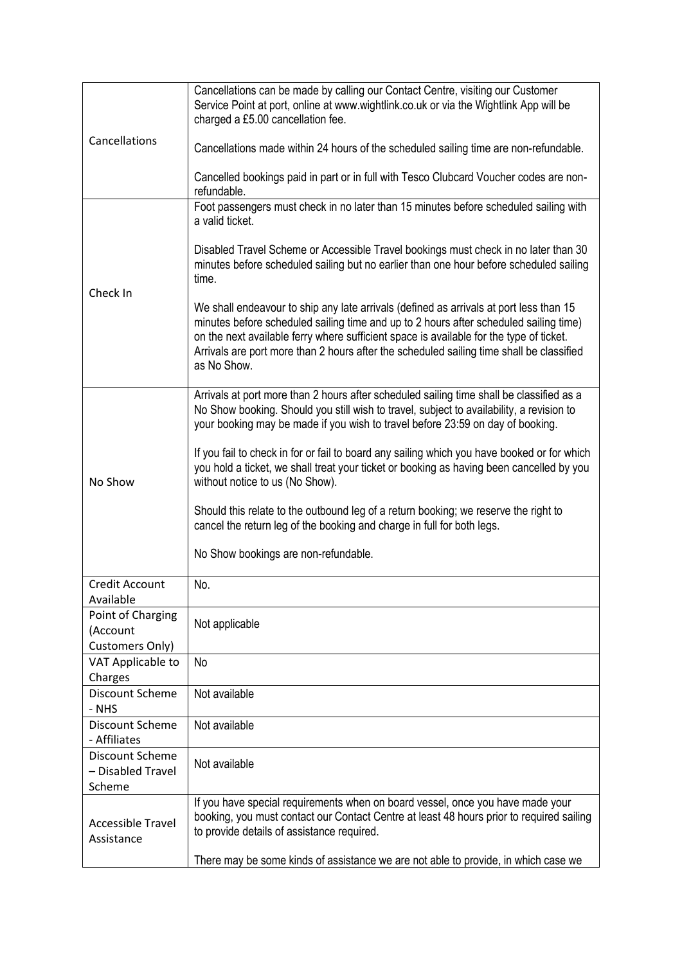| Cancellations can be made by calling our Contact Centre, visiting our Customer<br>Service Point at port, online at www.wightlink.co.uk or via the Wightlink App will be<br>charged a £5.00 cancellation fee.<br>Cancellations made within 24 hours of the scheduled sailing time are non-refundable.<br>Cancelled bookings paid in part or in full with Tesco Clubcard Voucher codes are non-<br>refundable.                                                                                                                                                                                                                                                                                                  |
|---------------------------------------------------------------------------------------------------------------------------------------------------------------------------------------------------------------------------------------------------------------------------------------------------------------------------------------------------------------------------------------------------------------------------------------------------------------------------------------------------------------------------------------------------------------------------------------------------------------------------------------------------------------------------------------------------------------|
| Foot passengers must check in no later than 15 minutes before scheduled sailing with<br>a valid ticket.<br>Disabled Travel Scheme or Accessible Travel bookings must check in no later than 30<br>minutes before scheduled sailing but no earlier than one hour before scheduled sailing<br>time.<br>We shall endeavour to ship any late arrivals (defined as arrivals at port less than 15<br>minutes before scheduled sailing time and up to 2 hours after scheduled sailing time)<br>on the next available ferry where sufficient space is available for the type of ticket.<br>Arrivals are port more than 2 hours after the scheduled sailing time shall be classified<br>as No Show.                    |
| Arrivals at port more than 2 hours after scheduled sailing time shall be classified as a<br>No Show booking. Should you still wish to travel, subject to availability, a revision to<br>your booking may be made if you wish to travel before 23:59 on day of booking.<br>If you fail to check in for or fail to board any sailing which you have booked or for which<br>you hold a ticket, we shall treat your ticket or booking as having been cancelled by you<br>without notice to us (No Show).<br>Should this relate to the outbound leg of a return booking; we reserve the right to<br>cancel the return leg of the booking and charge in full for both legs.<br>No Show bookings are non-refundable. |
| No.                                                                                                                                                                                                                                                                                                                                                                                                                                                                                                                                                                                                                                                                                                           |
| Not applicable                                                                                                                                                                                                                                                                                                                                                                                                                                                                                                                                                                                                                                                                                                |
| <b>No</b>                                                                                                                                                                                                                                                                                                                                                                                                                                                                                                                                                                                                                                                                                                     |
| Not available                                                                                                                                                                                                                                                                                                                                                                                                                                                                                                                                                                                                                                                                                                 |
| Not available                                                                                                                                                                                                                                                                                                                                                                                                                                                                                                                                                                                                                                                                                                 |
| Not available                                                                                                                                                                                                                                                                                                                                                                                                                                                                                                                                                                                                                                                                                                 |
| If you have special requirements when on board vessel, once you have made your<br>booking, you must contact our Contact Centre at least 48 hours prior to required sailing<br>to provide details of assistance required.<br>There may be some kinds of assistance we are not able to provide, in which case we                                                                                                                                                                                                                                                                                                                                                                                                |
|                                                                                                                                                                                                                                                                                                                                                                                                                                                                                                                                                                                                                                                                                                               |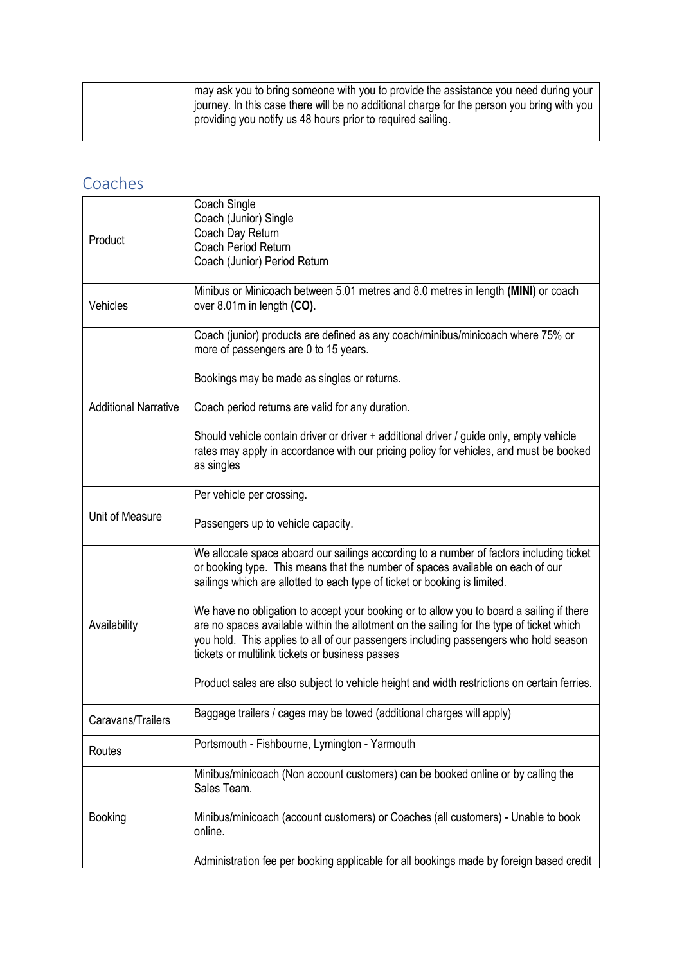| may ask you to bring someone with you to provide the assistance you need during your       |
|--------------------------------------------------------------------------------------------|
| journey. In this case there will be no additional charge for the person you bring with you |
| providing you notify us 48 hours prior to required sailing.                                |
|                                                                                            |

#### Coaches

| Product                     | Coach Single<br>Coach (Junior) Single<br>Coach Day Return<br>Coach Period Return<br>Coach (Junior) Period Return                                                                                                                                                                                                                |
|-----------------------------|---------------------------------------------------------------------------------------------------------------------------------------------------------------------------------------------------------------------------------------------------------------------------------------------------------------------------------|
| Vehicles                    | Minibus or Minicoach between 5.01 metres and 8.0 metres in length (MINI) or coach<br>over 8.01m in length (CO).                                                                                                                                                                                                                 |
|                             | Coach (junior) products are defined as any coach/minibus/minicoach where 75% or<br>more of passengers are 0 to 15 years.                                                                                                                                                                                                        |
|                             | Bookings may be made as singles or returns.                                                                                                                                                                                                                                                                                     |
| <b>Additional Narrative</b> | Coach period returns are valid for any duration.                                                                                                                                                                                                                                                                                |
|                             | Should vehicle contain driver or driver + additional driver / guide only, empty vehicle<br>rates may apply in accordance with our pricing policy for vehicles, and must be booked<br>as singles                                                                                                                                 |
| Unit of Measure             | Per vehicle per crossing.                                                                                                                                                                                                                                                                                                       |
|                             | Passengers up to vehicle capacity.                                                                                                                                                                                                                                                                                              |
| Availability                | We allocate space aboard our sailings according to a number of factors including ticket<br>or booking type. This means that the number of spaces available on each of our<br>sailings which are allotted to each type of ticket or booking is limited.                                                                          |
|                             | We have no obligation to accept your booking or to allow you to board a sailing if there<br>are no spaces available within the allotment on the sailing for the type of ticket which<br>you hold. This applies to all of our passengers including passengers who hold season<br>tickets or multilink tickets or business passes |
|                             | Product sales are also subject to vehicle height and width restrictions on certain ferries.                                                                                                                                                                                                                                     |
| Caravans/Trailers           | Baggage trailers / cages may be towed (additional charges will apply)                                                                                                                                                                                                                                                           |
| Routes                      | Portsmouth - Fishbourne, Lymington - Yarmouth                                                                                                                                                                                                                                                                                   |
|                             | Minibus/minicoach (Non account customers) can be booked online or by calling the<br>Sales Team.                                                                                                                                                                                                                                 |
| <b>Booking</b>              | Minibus/minicoach (account customers) or Coaches (all customers) - Unable to book<br>online.                                                                                                                                                                                                                                    |
|                             | Administration fee per booking applicable for all bookings made by foreign based credit                                                                                                                                                                                                                                         |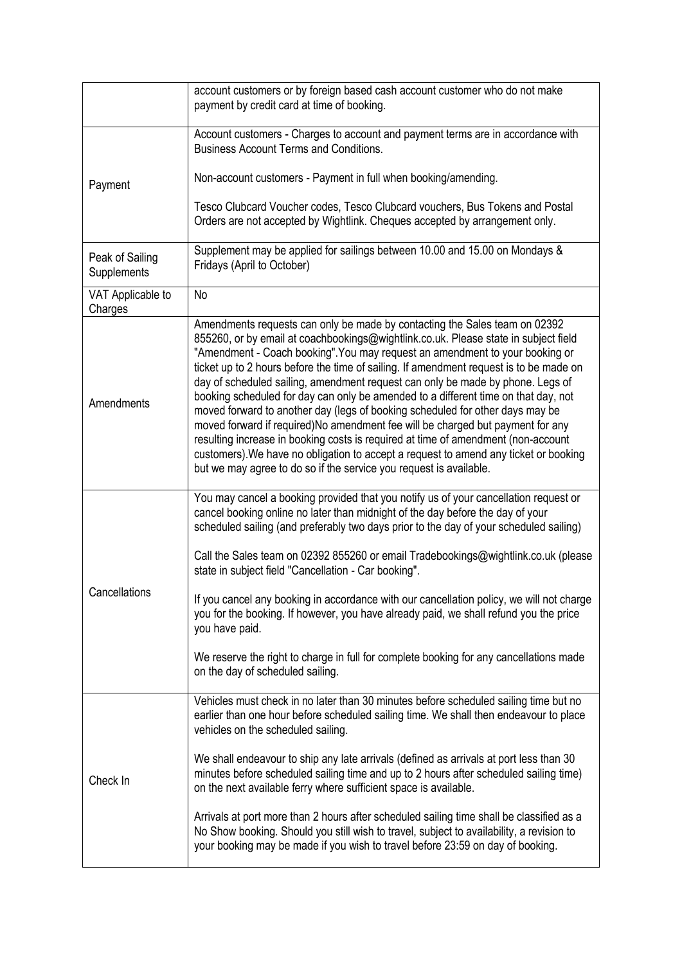|                                | account customers or by foreign based cash account customer who do not make<br>payment by credit card at time of booking.                                                                                                                                                                                                                                                                                                                                                                                                                                                                                                                                                                                                                                                                                                                                                                                                                 |
|--------------------------------|-------------------------------------------------------------------------------------------------------------------------------------------------------------------------------------------------------------------------------------------------------------------------------------------------------------------------------------------------------------------------------------------------------------------------------------------------------------------------------------------------------------------------------------------------------------------------------------------------------------------------------------------------------------------------------------------------------------------------------------------------------------------------------------------------------------------------------------------------------------------------------------------------------------------------------------------|
|                                | Account customers - Charges to account and payment terms are in accordance with<br><b>Business Account Terms and Conditions.</b>                                                                                                                                                                                                                                                                                                                                                                                                                                                                                                                                                                                                                                                                                                                                                                                                          |
| Payment                        | Non-account customers - Payment in full when booking/amending.                                                                                                                                                                                                                                                                                                                                                                                                                                                                                                                                                                                                                                                                                                                                                                                                                                                                            |
|                                | Tesco Clubcard Voucher codes, Tesco Clubcard vouchers, Bus Tokens and Postal<br>Orders are not accepted by Wightlink. Cheques accepted by arrangement only.                                                                                                                                                                                                                                                                                                                                                                                                                                                                                                                                                                                                                                                                                                                                                                               |
| Peak of Sailing<br>Supplements | Supplement may be applied for sailings between 10.00 and 15.00 on Mondays &<br>Fridays (April to October)                                                                                                                                                                                                                                                                                                                                                                                                                                                                                                                                                                                                                                                                                                                                                                                                                                 |
| VAT Applicable to<br>Charges   | No                                                                                                                                                                                                                                                                                                                                                                                                                                                                                                                                                                                                                                                                                                                                                                                                                                                                                                                                        |
| Amendments                     | Amendments requests can only be made by contacting the Sales team on 02392<br>855260, or by email at coachbookings@wightlink.co.uk. Please state in subject field<br>"Amendment - Coach booking". You may request an amendment to your booking or<br>ticket up to 2 hours before the time of sailing. If amendment request is to be made on<br>day of scheduled sailing, amendment request can only be made by phone. Legs of<br>booking scheduled for day can only be amended to a different time on that day, not<br>moved forward to another day (legs of booking scheduled for other days may be<br>moved forward if required)No amendment fee will be charged but payment for any<br>resulting increase in booking costs is required at time of amendment (non-account<br>customers). We have no obligation to accept a request to amend any ticket or booking<br>but we may agree to do so if the service you request is available. |
| Cancellations                  | You may cancel a booking provided that you notify us of your cancellation request or<br>cancel booking online no later than midnight of the day before the day of your<br>scheduled sailing (and preferably two days prior to the day of your scheduled sailing)<br>Call the Sales team on 02392 855260 or email Tradebookings@wightlink.co.uk (please<br>state in subject field "Cancellation - Car booking".<br>If you cancel any booking in accordance with our cancellation policy, we will not charge<br>you for the booking. If however, you have already paid, we shall refund you the price<br>you have paid.<br>We reserve the right to charge in full for complete booking for any cancellations made<br>on the day of scheduled sailing.                                                                                                                                                                                       |
| Check In                       | Vehicles must check in no later than 30 minutes before scheduled sailing time but no<br>earlier than one hour before scheduled sailing time. We shall then endeavour to place<br>vehicles on the scheduled sailing.<br>We shall endeavour to ship any late arrivals (defined as arrivals at port less than 30<br>minutes before scheduled sailing time and up to 2 hours after scheduled sailing time)<br>on the next available ferry where sufficient space is available.<br>Arrivals at port more than 2 hours after scheduled sailing time shall be classified as a<br>No Show booking. Should you still wish to travel, subject to availability, a revision to<br>your booking may be made if you wish to travel before 23:59 on day of booking.                                                                                                                                                                                      |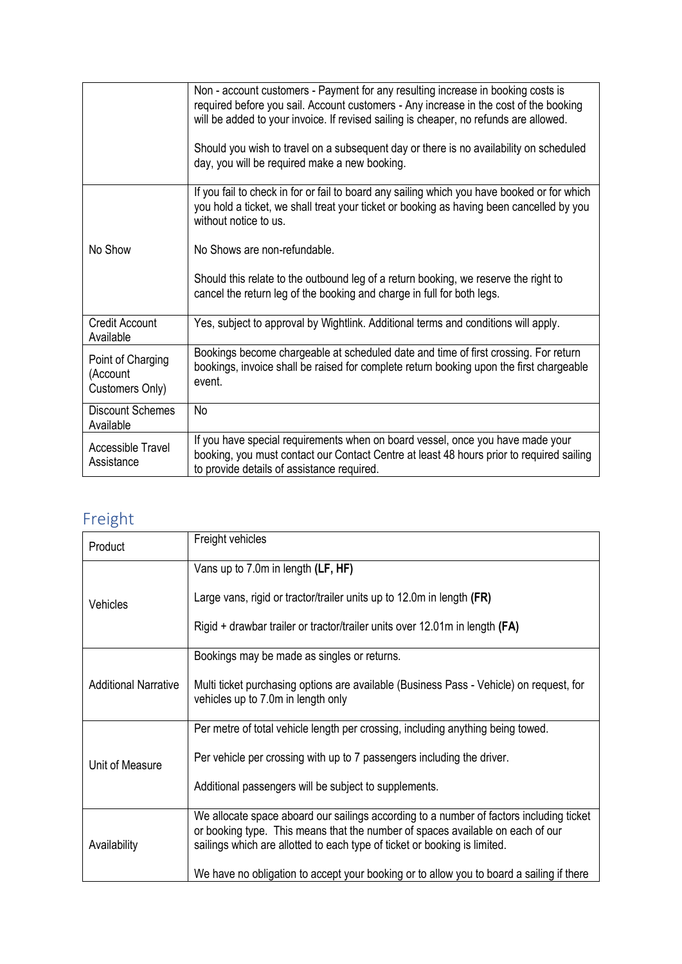|                                                  | Non - account customers - Payment for any resulting increase in booking costs is<br>required before you sail. Account customers - Any increase in the cost of the booking<br>will be added to your invoice. If revised sailing is cheaper, no refunds are allowed.<br>Should you wish to travel on a subsequent day or there is no availability on scheduled<br>day, you will be required make a new booking. |
|--------------------------------------------------|---------------------------------------------------------------------------------------------------------------------------------------------------------------------------------------------------------------------------------------------------------------------------------------------------------------------------------------------------------------------------------------------------------------|
|                                                  | If you fail to check in for or fail to board any sailing which you have booked or for which<br>you hold a ticket, we shall treat your ticket or booking as having been cancelled by you<br>without notice to us.                                                                                                                                                                                              |
| No Show                                          | No Shows are non-refundable.                                                                                                                                                                                                                                                                                                                                                                                  |
|                                                  | Should this relate to the outbound leg of a return booking, we reserve the right to<br>cancel the return leg of the booking and charge in full for both legs.                                                                                                                                                                                                                                                 |
| <b>Credit Account</b><br>Available               | Yes, subject to approval by Wightlink. Additional terms and conditions will apply.                                                                                                                                                                                                                                                                                                                            |
| Point of Charging<br>(Account<br>Customers Only) | Bookings become chargeable at scheduled date and time of first crossing. For return<br>bookings, invoice shall be raised for complete return booking upon the first chargeable<br>event.                                                                                                                                                                                                                      |
| <b>Discount Schemes</b><br>Available             | <b>No</b>                                                                                                                                                                                                                                                                                                                                                                                                     |
| Accessible Travel<br>Assistance                  | If you have special requirements when on board vessel, once you have made your<br>booking, you must contact our Contact Centre at least 48 hours prior to required sailing<br>to provide details of assistance required.                                                                                                                                                                                      |

#### Freight

| Product                     | Freight vehicles                                                                                                                                                                                                                                       |
|-----------------------------|--------------------------------------------------------------------------------------------------------------------------------------------------------------------------------------------------------------------------------------------------------|
| <b>Vehicles</b>             | Vans up to 7.0m in length (LF, HF)                                                                                                                                                                                                                     |
|                             | Large vans, rigid or tractor/trailer units up to 12.0m in length (FR)                                                                                                                                                                                  |
|                             | Rigid + drawbar trailer or tractor/trailer units over 12.01m in length (FA)                                                                                                                                                                            |
|                             | Bookings may be made as singles or returns.                                                                                                                                                                                                            |
| <b>Additional Narrative</b> | Multi ticket purchasing options are available (Business Pass - Vehicle) on request, for<br>vehicles up to 7.0m in length only                                                                                                                          |
|                             | Per metre of total vehicle length per crossing, including anything being towed.                                                                                                                                                                        |
| Unit of Measure             | Per vehicle per crossing with up to 7 passengers including the driver.                                                                                                                                                                                 |
|                             | Additional passengers will be subject to supplements.                                                                                                                                                                                                  |
| Availability                | We allocate space aboard our sailings according to a number of factors including ticket<br>or booking type. This means that the number of spaces available on each of our<br>sailings which are allotted to each type of ticket or booking is limited. |
|                             | We have no obligation to accept your booking or to allow you to board a sailing if there                                                                                                                                                               |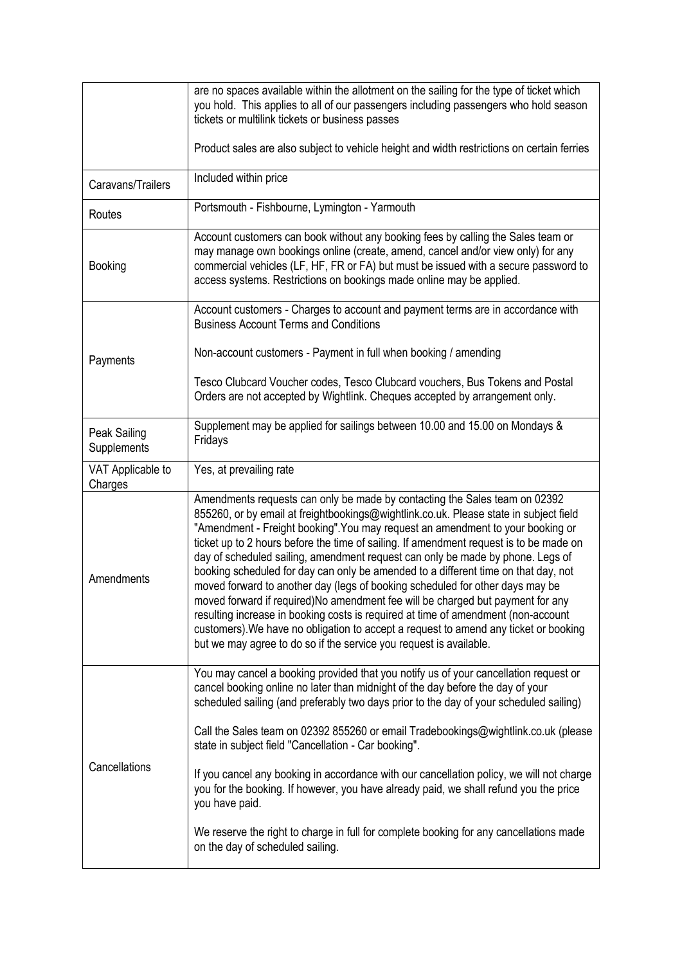|                              | are no spaces available within the allotment on the sailing for the type of ticket which<br>you hold. This applies to all of our passengers including passengers who hold season<br>tickets or multilink tickets or business passes                                                                                                                                                                                                                                                                                                                                                                                                                                                                                                                                                                                                                                                                                                           |
|------------------------------|-----------------------------------------------------------------------------------------------------------------------------------------------------------------------------------------------------------------------------------------------------------------------------------------------------------------------------------------------------------------------------------------------------------------------------------------------------------------------------------------------------------------------------------------------------------------------------------------------------------------------------------------------------------------------------------------------------------------------------------------------------------------------------------------------------------------------------------------------------------------------------------------------------------------------------------------------|
|                              | Product sales are also subject to vehicle height and width restrictions on certain ferries                                                                                                                                                                                                                                                                                                                                                                                                                                                                                                                                                                                                                                                                                                                                                                                                                                                    |
| Caravans/Trailers            | Included within price                                                                                                                                                                                                                                                                                                                                                                                                                                                                                                                                                                                                                                                                                                                                                                                                                                                                                                                         |
| Routes                       | Portsmouth - Fishbourne, Lymington - Yarmouth                                                                                                                                                                                                                                                                                                                                                                                                                                                                                                                                                                                                                                                                                                                                                                                                                                                                                                 |
| <b>Booking</b>               | Account customers can book without any booking fees by calling the Sales team or<br>may manage own bookings online (create, amend, cancel and/or view only) for any<br>commercial vehicles (LF, HF, FR or FA) but must be issued with a secure password to<br>access systems. Restrictions on bookings made online may be applied.                                                                                                                                                                                                                                                                                                                                                                                                                                                                                                                                                                                                            |
|                              | Account customers - Charges to account and payment terms are in accordance with<br><b>Business Account Terms and Conditions</b>                                                                                                                                                                                                                                                                                                                                                                                                                                                                                                                                                                                                                                                                                                                                                                                                               |
| Payments                     | Non-account customers - Payment in full when booking / amending                                                                                                                                                                                                                                                                                                                                                                                                                                                                                                                                                                                                                                                                                                                                                                                                                                                                               |
|                              | Tesco Clubcard Voucher codes, Tesco Clubcard vouchers, Bus Tokens and Postal<br>Orders are not accepted by Wightlink. Cheques accepted by arrangement only.                                                                                                                                                                                                                                                                                                                                                                                                                                                                                                                                                                                                                                                                                                                                                                                   |
| Peak Sailing<br>Supplements  | Supplement may be applied for sailings between 10.00 and 15.00 on Mondays &<br>Fridays                                                                                                                                                                                                                                                                                                                                                                                                                                                                                                                                                                                                                                                                                                                                                                                                                                                        |
| VAT Applicable to<br>Charges | Yes, at prevailing rate                                                                                                                                                                                                                                                                                                                                                                                                                                                                                                                                                                                                                                                                                                                                                                                                                                                                                                                       |
| Amendments                   | Amendments requests can only be made by contacting the Sales team on 02392<br>855260, or by email at freightbookings@wightlink.co.uk. Please state in subject field<br>"Amendment - Freight booking". You may request an amendment to your booking or<br>ticket up to 2 hours before the time of sailing. If amendment request is to be made on<br>day of scheduled sailing, amendment request can only be made by phone. Legs of<br>booking scheduled for day can only be amended to a different time on that day, not<br>moved forward to another day (legs of booking scheduled for other days may be<br>moved forward if required)No amendment fee will be charged but payment for any<br>resulting increase in booking costs is required at time of amendment (non-account<br>customers). We have no obligation to accept a request to amend any ticket or booking<br>but we may agree to do so if the service you request is available. |
| Cancellations                | You may cancel a booking provided that you notify us of your cancellation request or<br>cancel booking online no later than midnight of the day before the day of your<br>scheduled sailing (and preferably two days prior to the day of your scheduled sailing)<br>Call the Sales team on 02392 855260 or email Tradebookings@wightlink.co.uk (please<br>state in subject field "Cancellation - Car booking".<br>If you cancel any booking in accordance with our cancellation policy, we will not charge<br>you for the booking. If however, you have already paid, we shall refund you the price<br>you have paid.<br>We reserve the right to charge in full for complete booking for any cancellations made                                                                                                                                                                                                                               |
|                              | on the day of scheduled sailing.                                                                                                                                                                                                                                                                                                                                                                                                                                                                                                                                                                                                                                                                                                                                                                                                                                                                                                              |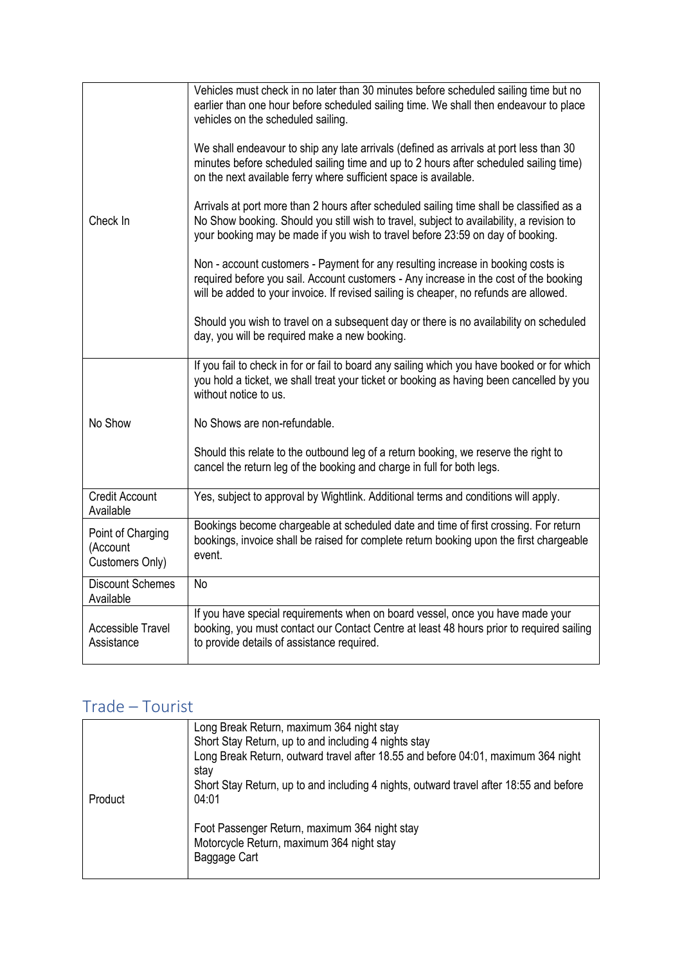| Check In                                         | Vehicles must check in no later than 30 minutes before scheduled sailing time but no<br>earlier than one hour before scheduled sailing time. We shall then endeavour to place<br>vehicles on the scheduled sailing.                                                    |
|--------------------------------------------------|------------------------------------------------------------------------------------------------------------------------------------------------------------------------------------------------------------------------------------------------------------------------|
|                                                  | We shall endeavour to ship any late arrivals (defined as arrivals at port less than 30<br>minutes before scheduled sailing time and up to 2 hours after scheduled sailing time)<br>on the next available ferry where sufficient space is available.                    |
|                                                  | Arrivals at port more than 2 hours after scheduled sailing time shall be classified as a<br>No Show booking. Should you still wish to travel, subject to availability, a revision to<br>your booking may be made if you wish to travel before 23:59 on day of booking. |
|                                                  | Non - account customers - Payment for any resulting increase in booking costs is<br>required before you sail. Account customers - Any increase in the cost of the booking<br>will be added to your invoice. If revised sailing is cheaper, no refunds are allowed.     |
|                                                  | Should you wish to travel on a subsequent day or there is no availability on scheduled<br>day, you will be required make a new booking.                                                                                                                                |
| No Show                                          | If you fail to check in for or fail to board any sailing which you have booked or for which<br>you hold a ticket, we shall treat your ticket or booking as having been cancelled by you<br>without notice to us.                                                       |
|                                                  | No Shows are non-refundable.                                                                                                                                                                                                                                           |
|                                                  | Should this relate to the outbound leg of a return booking, we reserve the right to<br>cancel the return leg of the booking and charge in full for both legs.                                                                                                          |
| <b>Credit Account</b><br>Available               | Yes, subject to approval by Wightlink. Additional terms and conditions will apply.                                                                                                                                                                                     |
| Point of Charging<br>(Account<br>Customers Only) | Bookings become chargeable at scheduled date and time of first crossing. For return<br>bookings, invoice shall be raised for complete return booking upon the first chargeable<br>event.                                                                               |
| <b>Discount Schemes</b><br>Available             | <b>No</b>                                                                                                                                                                                                                                                              |
| <b>Accessible Travel</b><br>Assistance           | If you have special requirements when on board vessel, once you have made your<br>booking, you must contact our Contact Centre at least 48 hours prior to required sailing<br>to provide details of assistance required.                                               |

### Trade – Tourist

|         | Long Break Return, maximum 364 night stay                                                 |
|---------|-------------------------------------------------------------------------------------------|
|         | Short Stay Return, up to and including 4 nights stay                                      |
|         | Long Break Return, outward travel after 18.55 and before 04:01, maximum 364 night<br>stay |
|         | Short Stay Return, up to and including 4 nights, outward travel after 18:55 and before    |
| Product | 04:01                                                                                     |
|         | Foot Passenger Return, maximum 364 night stay                                             |
|         | Motorcycle Return, maximum 364 night stay                                                 |
|         | Baggage Cart                                                                              |
|         |                                                                                           |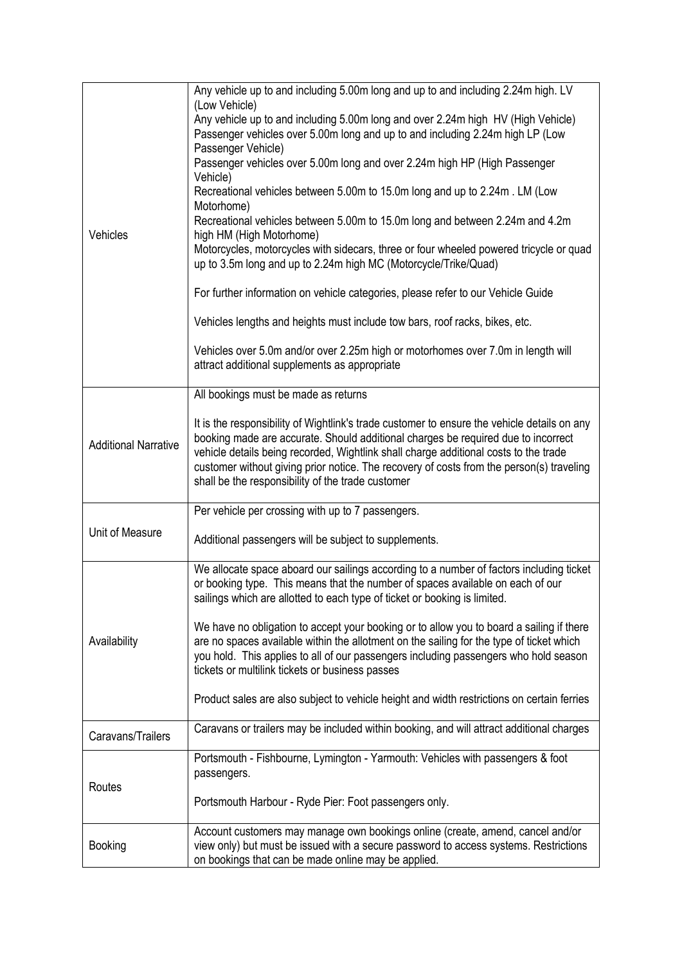| Vehicles                    | Any vehicle up to and including 5.00m long and up to and including 2.24m high. LV<br>(Low Vehicle)<br>Any vehicle up to and including 5.00m long and over 2.24m high HV (High Vehicle)<br>Passenger vehicles over 5.00m long and up to and including 2.24m high LP (Low<br>Passenger Vehicle)<br>Passenger vehicles over 5.00m long and over 2.24m high HP (High Passenger<br>Vehicle)<br>Recreational vehicles between 5.00m to 15.0m long and up to 2.24m. LM (Low<br>Motorhome)<br>Recreational vehicles between 5.00m to 15.0m long and between 2.24m and 4.2m<br>high HM (High Motorhome)<br>Motorcycles, motorcycles with sidecars, three or four wheeled powered tricycle or quad<br>up to 3.5m long and up to 2.24m high MC (Motorcycle/Trike/Quad)<br>For further information on vehicle categories, please refer to our Vehicle Guide<br>Vehicles lengths and heights must include tow bars, roof racks, bikes, etc.<br>Vehicles over 5.0m and/or over 2.25m high or motorhomes over 7.0m in length will<br>attract additional supplements as appropriate |
|-----------------------------|---------------------------------------------------------------------------------------------------------------------------------------------------------------------------------------------------------------------------------------------------------------------------------------------------------------------------------------------------------------------------------------------------------------------------------------------------------------------------------------------------------------------------------------------------------------------------------------------------------------------------------------------------------------------------------------------------------------------------------------------------------------------------------------------------------------------------------------------------------------------------------------------------------------------------------------------------------------------------------------------------------------------------------------------------------------------|
|                             | All bookings must be made as returns                                                                                                                                                                                                                                                                                                                                                                                                                                                                                                                                                                                                                                                                                                                                                                                                                                                                                                                                                                                                                                |
| <b>Additional Narrative</b> | It is the responsibility of Wightlink's trade customer to ensure the vehicle details on any<br>booking made are accurate. Should additional charges be required due to incorrect<br>vehicle details being recorded, Wightlink shall charge additional costs to the trade<br>customer without giving prior notice. The recovery of costs from the person(s) traveling<br>shall be the responsibility of the trade customer                                                                                                                                                                                                                                                                                                                                                                                                                                                                                                                                                                                                                                           |
|                             | Per vehicle per crossing with up to 7 passengers.                                                                                                                                                                                                                                                                                                                                                                                                                                                                                                                                                                                                                                                                                                                                                                                                                                                                                                                                                                                                                   |
| Unit of Measure             | Additional passengers will be subject to supplements.                                                                                                                                                                                                                                                                                                                                                                                                                                                                                                                                                                                                                                                                                                                                                                                                                                                                                                                                                                                                               |
| Availability                | We allocate space aboard our sailings according to a number of factors including ticket<br>or booking type. This means that the number of spaces available on each of our<br>sailings which are allotted to each type of ticket or booking is limited.                                                                                                                                                                                                                                                                                                                                                                                                                                                                                                                                                                                                                                                                                                                                                                                                              |
|                             | We have no obligation to accept your booking or to allow you to board a sailing if there<br>are no spaces available within the allotment on the sailing for the type of ticket which<br>you hold. This applies to all of our passengers including passengers who hold season<br>tickets or multilink tickets or business passes                                                                                                                                                                                                                                                                                                                                                                                                                                                                                                                                                                                                                                                                                                                                     |
|                             | Product sales are also subject to vehicle height and width restrictions on certain ferries                                                                                                                                                                                                                                                                                                                                                                                                                                                                                                                                                                                                                                                                                                                                                                                                                                                                                                                                                                          |
| Caravans/Trailers           | Caravans or trailers may be included within booking, and will attract additional charges                                                                                                                                                                                                                                                                                                                                                                                                                                                                                                                                                                                                                                                                                                                                                                                                                                                                                                                                                                            |
| Routes                      | Portsmouth - Fishbourne, Lymington - Yarmouth: Vehicles with passengers & foot<br>passengers.                                                                                                                                                                                                                                                                                                                                                                                                                                                                                                                                                                                                                                                                                                                                                                                                                                                                                                                                                                       |
|                             | Portsmouth Harbour - Ryde Pier: Foot passengers only.                                                                                                                                                                                                                                                                                                                                                                                                                                                                                                                                                                                                                                                                                                                                                                                                                                                                                                                                                                                                               |
| Booking                     | Account customers may manage own bookings online (create, amend, cancel and/or<br>view only) but must be issued with a secure password to access systems. Restrictions<br>on bookings that can be made online may be applied.                                                                                                                                                                                                                                                                                                                                                                                                                                                                                                                                                                                                                                                                                                                                                                                                                                       |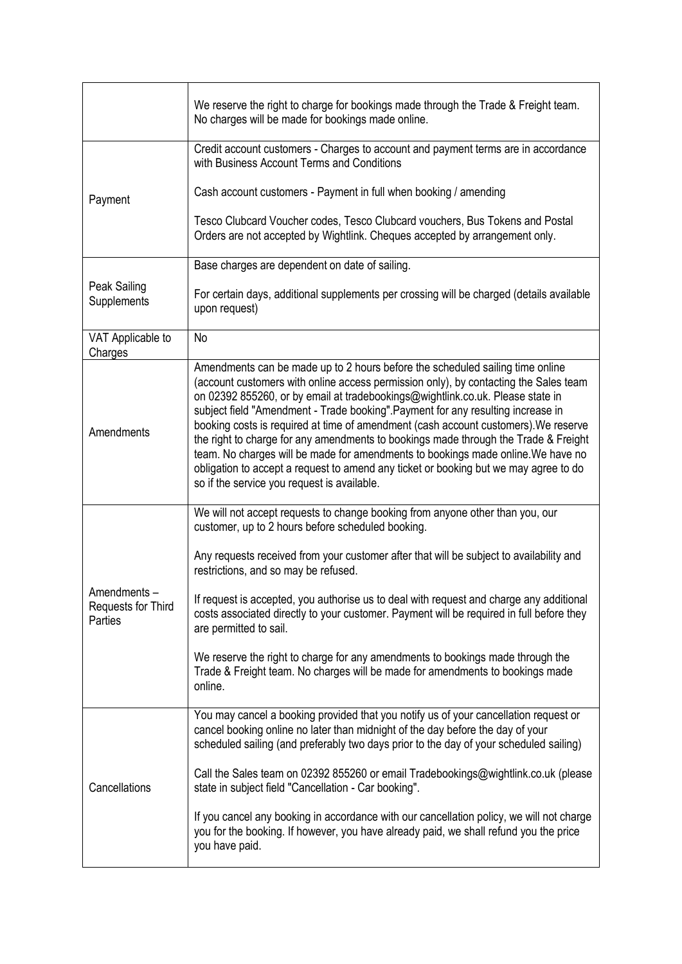|                                              | We reserve the right to charge for bookings made through the Trade & Freight team.<br>No charges will be made for bookings made online.                                                                                                                                                                                                                                                                                                                                                                                                                                                                                                                                                                                                              |
|----------------------------------------------|------------------------------------------------------------------------------------------------------------------------------------------------------------------------------------------------------------------------------------------------------------------------------------------------------------------------------------------------------------------------------------------------------------------------------------------------------------------------------------------------------------------------------------------------------------------------------------------------------------------------------------------------------------------------------------------------------------------------------------------------------|
|                                              | Credit account customers - Charges to account and payment terms are in accordance<br>with Business Account Terms and Conditions                                                                                                                                                                                                                                                                                                                                                                                                                                                                                                                                                                                                                      |
| Payment                                      | Cash account customers - Payment in full when booking / amending                                                                                                                                                                                                                                                                                                                                                                                                                                                                                                                                                                                                                                                                                     |
|                                              | Tesco Clubcard Voucher codes, Tesco Clubcard vouchers, Bus Tokens and Postal<br>Orders are not accepted by Wightlink. Cheques accepted by arrangement only.                                                                                                                                                                                                                                                                                                                                                                                                                                                                                                                                                                                          |
|                                              | Base charges are dependent on date of sailing.                                                                                                                                                                                                                                                                                                                                                                                                                                                                                                                                                                                                                                                                                                       |
| Peak Sailing<br>Supplements                  | For certain days, additional supplements per crossing will be charged (details available<br>upon request)                                                                                                                                                                                                                                                                                                                                                                                                                                                                                                                                                                                                                                            |
| VAT Applicable to<br>Charges                 | <b>No</b>                                                                                                                                                                                                                                                                                                                                                                                                                                                                                                                                                                                                                                                                                                                                            |
| Amendments                                   | Amendments can be made up to 2 hours before the scheduled sailing time online<br>(account customers with online access permission only), by contacting the Sales team<br>on 02392 855260, or by email at tradebookings@wightlink.co.uk. Please state in<br>subject field "Amendment - Trade booking". Payment for any resulting increase in<br>booking costs is required at time of amendment (cash account customers). We reserve<br>the right to charge for any amendments to bookings made through the Trade & Freight<br>team. No charges will be made for amendments to bookings made online. We have no<br>obligation to accept a request to amend any ticket or booking but we may agree to do<br>so if the service you request is available. |
|                                              | We will not accept requests to change booking from anyone other than you, our<br>customer, up to 2 hours before scheduled booking.                                                                                                                                                                                                                                                                                                                                                                                                                                                                                                                                                                                                                   |
|                                              | Any requests received from your customer after that will be subject to availability and<br>restrictions, and so may be refused.                                                                                                                                                                                                                                                                                                                                                                                                                                                                                                                                                                                                                      |
| Amendments-<br>Requests for Third<br>Parties | If request is accepted, you authorise us to deal with request and charge any additional<br>costs associated directly to your customer. Payment will be required in full before they<br>are permitted to sail.                                                                                                                                                                                                                                                                                                                                                                                                                                                                                                                                        |
|                                              | We reserve the right to charge for any amendments to bookings made through the<br>Trade & Freight team. No charges will be made for amendments to bookings made<br>online.                                                                                                                                                                                                                                                                                                                                                                                                                                                                                                                                                                           |
| Cancellations                                | You may cancel a booking provided that you notify us of your cancellation request or<br>cancel booking online no later than midnight of the day before the day of your<br>scheduled sailing (and preferably two days prior to the day of your scheduled sailing)                                                                                                                                                                                                                                                                                                                                                                                                                                                                                     |
|                                              | Call the Sales team on 02392 855260 or email Tradebookings@wightlink.co.uk (please<br>state in subject field "Cancellation - Car booking".                                                                                                                                                                                                                                                                                                                                                                                                                                                                                                                                                                                                           |
|                                              | If you cancel any booking in accordance with our cancellation policy, we will not charge<br>you for the booking. If however, you have already paid, we shall refund you the price<br>you have paid.                                                                                                                                                                                                                                                                                                                                                                                                                                                                                                                                                  |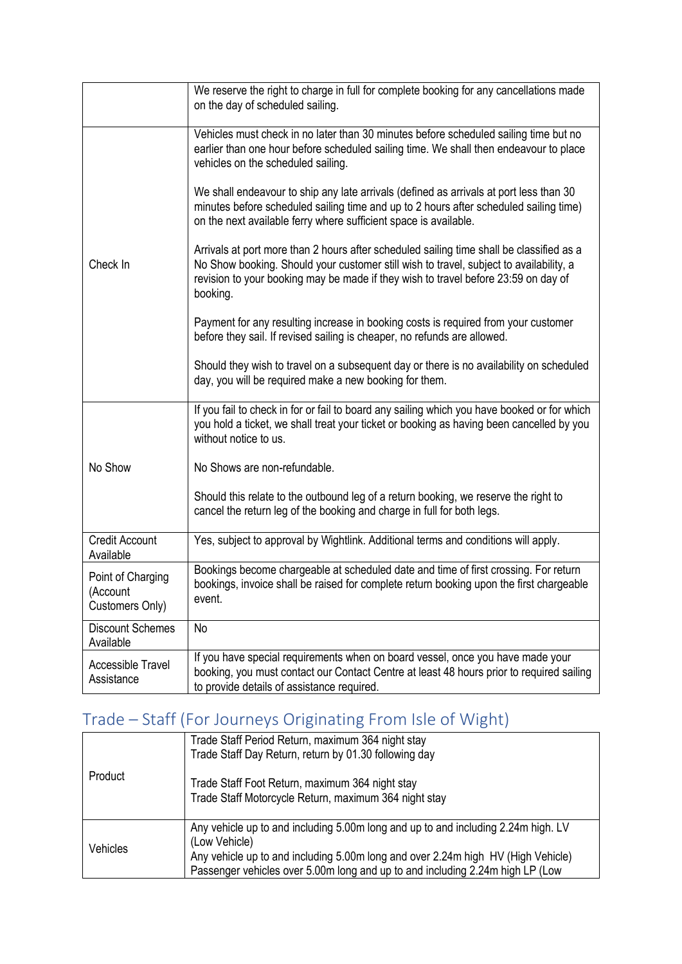|                                                  | We reserve the right to charge in full for complete booking for any cancellations made<br>on the day of scheduled sailing.                                                                                                                                                           |
|--------------------------------------------------|--------------------------------------------------------------------------------------------------------------------------------------------------------------------------------------------------------------------------------------------------------------------------------------|
| Check In                                         | Vehicles must check in no later than 30 minutes before scheduled sailing time but no<br>earlier than one hour before scheduled sailing time. We shall then endeavour to place<br>vehicles on the scheduled sailing.                                                                  |
|                                                  | We shall endeavour to ship any late arrivals (defined as arrivals at port less than 30<br>minutes before scheduled sailing time and up to 2 hours after scheduled sailing time)<br>on the next available ferry where sufficient space is available.                                  |
|                                                  | Arrivals at port more than 2 hours after scheduled sailing time shall be classified as a<br>No Show booking. Should your customer still wish to travel, subject to availability, a<br>revision to your booking may be made if they wish to travel before 23:59 on day of<br>booking. |
|                                                  | Payment for any resulting increase in booking costs is required from your customer<br>before they sail. If revised sailing is cheaper, no refunds are allowed.                                                                                                                       |
|                                                  | Should they wish to travel on a subsequent day or there is no availability on scheduled<br>day, you will be required make a new booking for them.                                                                                                                                    |
|                                                  | If you fail to check in for or fail to board any sailing which you have booked or for which<br>you hold a ticket, we shall treat your ticket or booking as having been cancelled by you<br>without notice to us.                                                                     |
| No Show                                          | No Shows are non-refundable.                                                                                                                                                                                                                                                         |
|                                                  | Should this relate to the outbound leg of a return booking, we reserve the right to<br>cancel the return leg of the booking and charge in full for both legs.                                                                                                                        |
| <b>Credit Account</b><br>Available               | Yes, subject to approval by Wightlink. Additional terms and conditions will apply.                                                                                                                                                                                                   |
| Point of Charging<br>(Account<br>Customers Only) | Bookings become chargeable at scheduled date and time of first crossing. For return<br>bookings, invoice shall be raised for complete return booking upon the first chargeable<br>event.                                                                                             |
| <b>Discount Schemes</b><br>Available             | <b>No</b>                                                                                                                                                                                                                                                                            |
| <b>Accessible Travel</b><br>Assistance           | If you have special requirements when on board vessel, once you have made your<br>booking, you must contact our Contact Centre at least 48 hours prior to required sailing<br>to provide details of assistance required.                                                             |

# Trade – Staff (For Journeys Originating From Isle of Wight)

| Product  | Trade Staff Period Return, maximum 364 night stay<br>Trade Staff Day Return, return by 01.30 following day                                                                                                                                                              |
|----------|-------------------------------------------------------------------------------------------------------------------------------------------------------------------------------------------------------------------------------------------------------------------------|
|          | Trade Staff Foot Return, maximum 364 night stay<br>Trade Staff Motorcycle Return, maximum 364 night stay                                                                                                                                                                |
| Vehicles | Any vehicle up to and including 5.00m long and up to and including 2.24m high. LV<br>(Low Vehicle)<br>Any vehicle up to and including 5.00m long and over 2.24m high HV (High Vehicle)<br>Passenger vehicles over 5.00m long and up to and including 2.24m high LP (Low |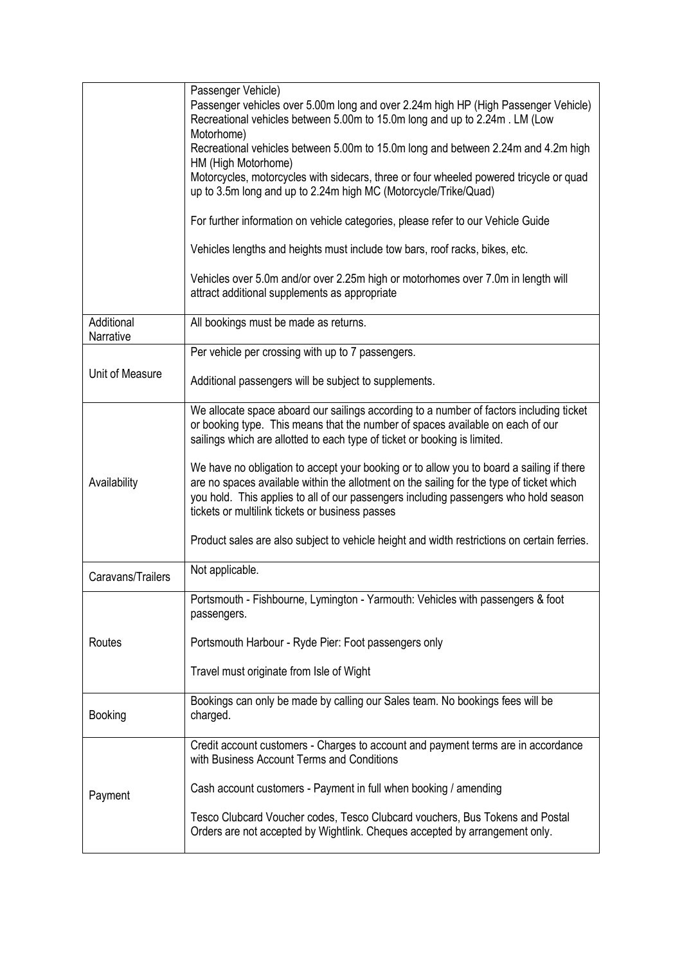|                         | Passenger Vehicle)                                                                                                                                                                                                                                                                                                              |
|-------------------------|---------------------------------------------------------------------------------------------------------------------------------------------------------------------------------------------------------------------------------------------------------------------------------------------------------------------------------|
|                         | Passenger vehicles over 5.00m long and over 2.24m high HP (High Passenger Vehicle)<br>Recreational vehicles between 5.00m to 15.0m long and up to 2.24m. LM (Low<br>Motorhome)                                                                                                                                                  |
|                         | Recreational vehicles between 5.00m to 15.0m long and between 2.24m and 4.2m high<br>HM (High Motorhome)                                                                                                                                                                                                                        |
|                         | Motorcycles, motorcycles with sidecars, three or four wheeled powered tricycle or quad<br>up to 3.5m long and up to 2.24m high MC (Motorcycle/Trike/Quad)                                                                                                                                                                       |
|                         | For further information on vehicle categories, please refer to our Vehicle Guide                                                                                                                                                                                                                                                |
|                         | Vehicles lengths and heights must include tow bars, roof racks, bikes, etc.                                                                                                                                                                                                                                                     |
|                         | Vehicles over 5.0m and/or over 2.25m high or motorhomes over 7.0m in length will<br>attract additional supplements as appropriate                                                                                                                                                                                               |
| Additional<br>Narrative | All bookings must be made as returns.                                                                                                                                                                                                                                                                                           |
|                         | Per vehicle per crossing with up to 7 passengers.                                                                                                                                                                                                                                                                               |
| Unit of Measure         | Additional passengers will be subject to supplements.                                                                                                                                                                                                                                                                           |
|                         | We allocate space aboard our sailings according to a number of factors including ticket<br>or booking type. This means that the number of spaces available on each of our<br>sailings which are allotted to each type of ticket or booking is limited.                                                                          |
| Availability            | We have no obligation to accept your booking or to allow you to board a sailing if there<br>are no spaces available within the allotment on the sailing for the type of ticket which<br>you hold. This applies to all of our passengers including passengers who hold season<br>tickets or multilink tickets or business passes |
|                         | Product sales are also subject to vehicle height and width restrictions on certain ferries.                                                                                                                                                                                                                                     |
| Caravans/Trailers       | Not applicable.                                                                                                                                                                                                                                                                                                                 |
|                         | Portsmouth - Fishbourne, Lymington - Yarmouth: Vehicles with passengers & foot<br>passengers.                                                                                                                                                                                                                                   |
| Routes                  | Portsmouth Harbour - Ryde Pier: Foot passengers only                                                                                                                                                                                                                                                                            |
|                         | Travel must originate from Isle of Wight                                                                                                                                                                                                                                                                                        |
| <b>Booking</b>          | Bookings can only be made by calling our Sales team. No bookings fees will be<br>charged.                                                                                                                                                                                                                                       |
|                         | Credit account customers - Charges to account and payment terms are in accordance<br>with Business Account Terms and Conditions                                                                                                                                                                                                 |
| Payment                 | Cash account customers - Payment in full when booking / amending                                                                                                                                                                                                                                                                |
|                         | Tesco Clubcard Voucher codes, Tesco Clubcard vouchers, Bus Tokens and Postal<br>Orders are not accepted by Wightlink. Cheques accepted by arrangement only.                                                                                                                                                                     |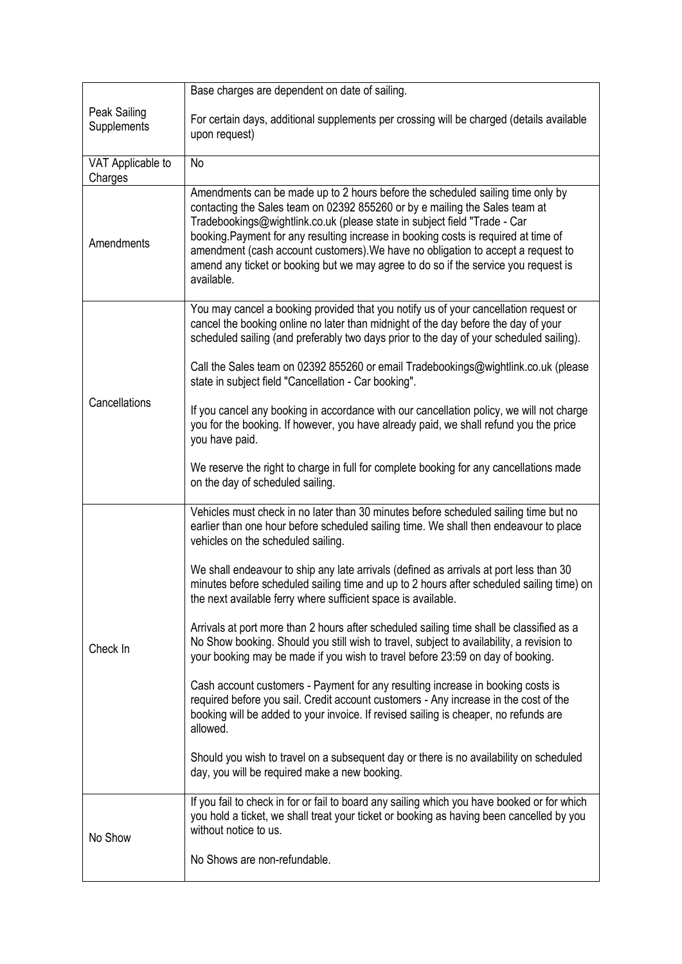|                              | Base charges are dependent on date of sailing.                                                                                                                                                                                                                                                                                                                                                                                                                                                                             |
|------------------------------|----------------------------------------------------------------------------------------------------------------------------------------------------------------------------------------------------------------------------------------------------------------------------------------------------------------------------------------------------------------------------------------------------------------------------------------------------------------------------------------------------------------------------|
| Peak Sailing<br>Supplements  | For certain days, additional supplements per crossing will be charged (details available<br>upon request)                                                                                                                                                                                                                                                                                                                                                                                                                  |
| VAT Applicable to<br>Charges | No                                                                                                                                                                                                                                                                                                                                                                                                                                                                                                                         |
| Amendments                   | Amendments can be made up to 2 hours before the scheduled sailing time only by<br>contacting the Sales team on 02392 855260 or by e mailing the Sales team at<br>Tradebookings@wightlink.co.uk (please state in subject field "Trade - Car<br>booking. Payment for any resulting increase in booking costs is required at time of<br>amendment (cash account customers). We have no obligation to accept a request to<br>amend any ticket or booking but we may agree to do so if the service you request is<br>available. |
|                              | You may cancel a booking provided that you notify us of your cancellation request or<br>cancel the booking online no later than midnight of the day before the day of your<br>scheduled sailing (and preferably two days prior to the day of your scheduled sailing).                                                                                                                                                                                                                                                      |
|                              | Call the Sales team on 02392 855260 or email Tradebookings@wightlink.co.uk (please<br>state in subject field "Cancellation - Car booking".                                                                                                                                                                                                                                                                                                                                                                                 |
| Cancellations                | If you cancel any booking in accordance with our cancellation policy, we will not charge<br>you for the booking. If however, you have already paid, we shall refund you the price<br>you have paid.                                                                                                                                                                                                                                                                                                                        |
|                              | We reserve the right to charge in full for complete booking for any cancellations made<br>on the day of scheduled sailing.                                                                                                                                                                                                                                                                                                                                                                                                 |
| Check In                     | Vehicles must check in no later than 30 minutes before scheduled sailing time but no<br>earlier than one hour before scheduled sailing time. We shall then endeavour to place<br>vehicles on the scheduled sailing.                                                                                                                                                                                                                                                                                                        |
|                              | We shall endeavour to ship any late arrivals (defined as arrivals at port less than 30<br>minutes before scheduled sailing time and up to 2 hours after scheduled sailing time) on<br>the next available ferry where sufficient space is available.                                                                                                                                                                                                                                                                        |
|                              | Arrivals at port more than 2 hours after scheduled sailing time shall be classified as a<br>No Show booking. Should you still wish to travel, subject to availability, a revision to<br>your booking may be made if you wish to travel before 23:59 on day of booking.                                                                                                                                                                                                                                                     |
|                              | Cash account customers - Payment for any resulting increase in booking costs is<br>required before you sail. Credit account customers - Any increase in the cost of the<br>booking will be added to your invoice. If revised sailing is cheaper, no refunds are<br>allowed.                                                                                                                                                                                                                                                |
|                              | Should you wish to travel on a subsequent day or there is no availability on scheduled<br>day, you will be required make a new booking.                                                                                                                                                                                                                                                                                                                                                                                    |
| No Show                      | If you fail to check in for or fail to board any sailing which you have booked or for which<br>you hold a ticket, we shall treat your ticket or booking as having been cancelled by you<br>without notice to us.                                                                                                                                                                                                                                                                                                           |
|                              | No Shows are non-refundable.                                                                                                                                                                                                                                                                                                                                                                                                                                                                                               |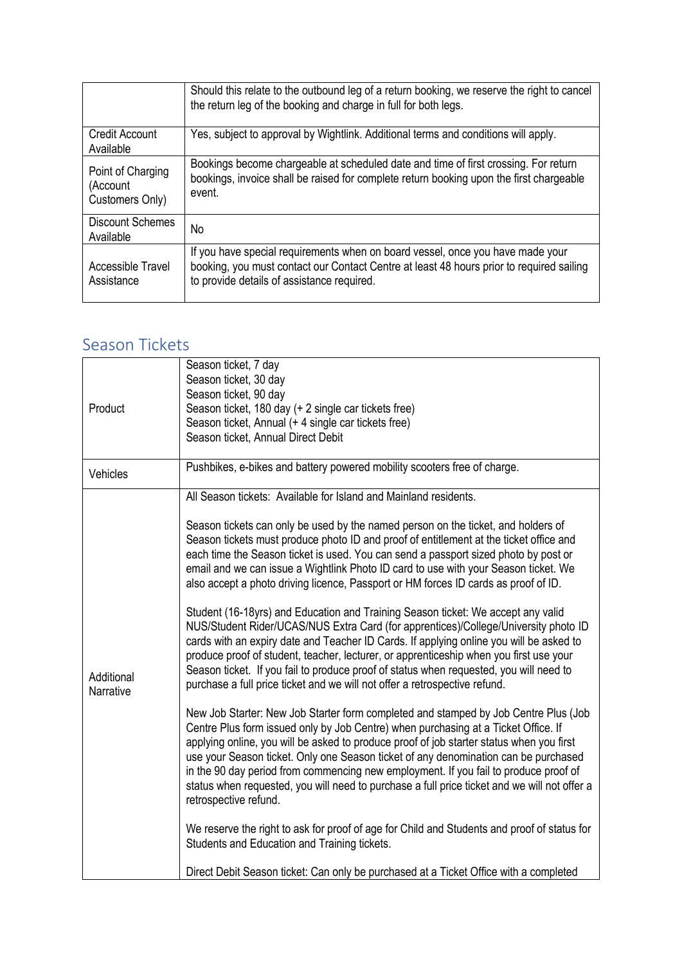|                                                  | Should this relate to the outbound leg of a return booking, we reserve the right to cancel<br>the return leg of the booking and charge in full for both legs.                                                            |
|--------------------------------------------------|--------------------------------------------------------------------------------------------------------------------------------------------------------------------------------------------------------------------------|
| Credit Account<br>Available                      | Yes, subject to approval by Wightlink. Additional terms and conditions will apply.                                                                                                                                       |
| Point of Charging<br>(Account<br>Customers Only) | Bookings become chargeable at scheduled date and time of first crossing. For return<br>bookings, invoice shall be raised for complete return booking upon the first chargeable<br>event.                                 |
| <b>Discount Schemes</b><br>Available             | No                                                                                                                                                                                                                       |
| Accessible Travel<br>Assistance                  | If you have special requirements when on board vessel, once you have made your<br>booking, you must contact our Contact Centre at least 48 hours prior to required sailing<br>to provide details of assistance required. |

#### Season Tickets

| Product                 | Season ticket, 7 day                                                                                                                                                                                                                                                                                                                                                                                                                                                                                                                                                          |
|-------------------------|-------------------------------------------------------------------------------------------------------------------------------------------------------------------------------------------------------------------------------------------------------------------------------------------------------------------------------------------------------------------------------------------------------------------------------------------------------------------------------------------------------------------------------------------------------------------------------|
|                         | Season ticket, 30 day                                                                                                                                                                                                                                                                                                                                                                                                                                                                                                                                                         |
|                         | Season ticket, 90 day<br>Season ticket, 180 day (+ 2 single car tickets free)                                                                                                                                                                                                                                                                                                                                                                                                                                                                                                 |
|                         | Season ticket, Annual (+ 4 single car tickets free)                                                                                                                                                                                                                                                                                                                                                                                                                                                                                                                           |
|                         | Season ticket, Annual Direct Debit                                                                                                                                                                                                                                                                                                                                                                                                                                                                                                                                            |
|                         |                                                                                                                                                                                                                                                                                                                                                                                                                                                                                                                                                                               |
| Vehicles                | Pushbikes, e-bikes and battery powered mobility scooters free of charge.                                                                                                                                                                                                                                                                                                                                                                                                                                                                                                      |
|                         | All Season tickets: Available for Island and Mainland residents.                                                                                                                                                                                                                                                                                                                                                                                                                                                                                                              |
| Additional<br>Narrative | Season tickets can only be used by the named person on the ticket, and holders of<br>Season tickets must produce photo ID and proof of entitlement at the ticket office and<br>each time the Season ticket is used. You can send a passport sized photo by post or<br>email and we can issue a Wightlink Photo ID card to use with your Season ticket. We<br>also accept a photo driving licence, Passport or HM forces ID cards as proof of ID.                                                                                                                              |
|                         | Student (16-18yrs) and Education and Training Season ticket: We accept any valid<br>NUS/Student Rider/UCAS/NUS Extra Card (for apprentices)/College/University photo ID<br>cards with an expiry date and Teacher ID Cards. If applying online you will be asked to<br>produce proof of student, teacher, lecturer, or apprenticeship when you first use your<br>Season ticket. If you fail to produce proof of status when requested, you will need to<br>purchase a full price ticket and we will not offer a retrospective refund.                                          |
|                         | New Job Starter: New Job Starter form completed and stamped by Job Centre Plus (Job<br>Centre Plus form issued only by Job Centre) when purchasing at a Ticket Office. If<br>applying online, you will be asked to produce proof of job starter status when you first<br>use your Season ticket. Only one Season ticket of any denomination can be purchased<br>in the 90 day period from commencing new employment. If you fail to produce proof of<br>status when requested, you will need to purchase a full price ticket and we will not offer a<br>retrospective refund. |
|                         | We reserve the right to ask for proof of age for Child and Students and proof of status for<br>Students and Education and Training tickets.                                                                                                                                                                                                                                                                                                                                                                                                                                   |
|                         | Direct Debit Season ticket: Can only be purchased at a Ticket Office with a completed                                                                                                                                                                                                                                                                                                                                                                                                                                                                                         |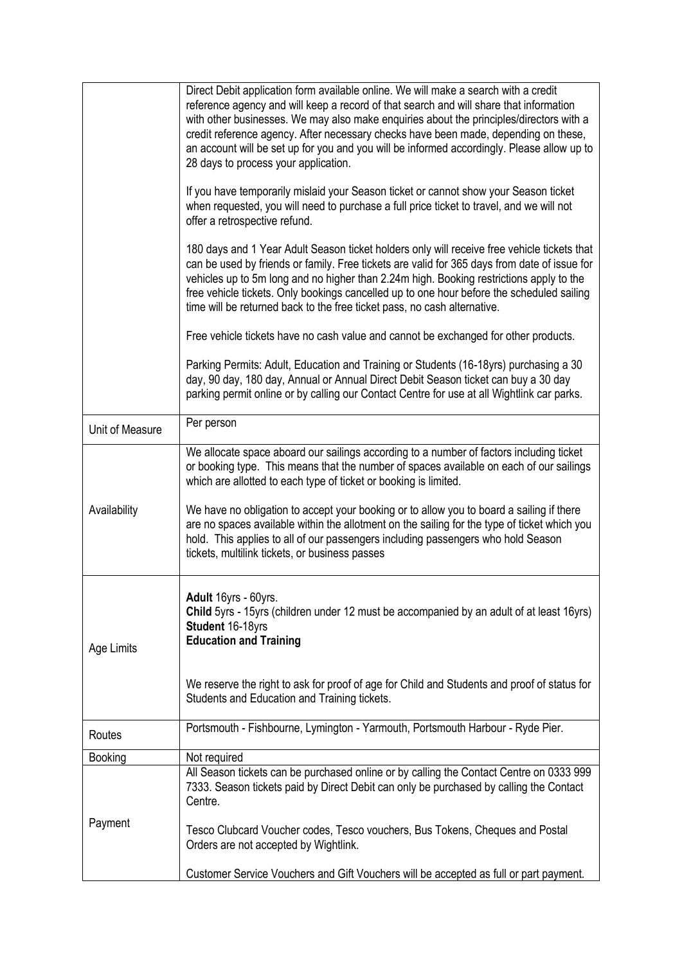|                 | Direct Debit application form available online. We will make a search with a credit<br>reference agency and will keep a record of that search and will share that information<br>with other businesses. We may also make enquiries about the principles/directors with a<br>credit reference agency. After necessary checks have been made, depending on these,<br>an account will be set up for you and you will be informed accordingly. Please allow up to<br>28 days to process your application. |
|-----------------|-------------------------------------------------------------------------------------------------------------------------------------------------------------------------------------------------------------------------------------------------------------------------------------------------------------------------------------------------------------------------------------------------------------------------------------------------------------------------------------------------------|
|                 | If you have temporarily mislaid your Season ticket or cannot show your Season ticket<br>when requested, you will need to purchase a full price ticket to travel, and we will not<br>offer a retrospective refund.                                                                                                                                                                                                                                                                                     |
|                 | 180 days and 1 Year Adult Season ticket holders only will receive free vehicle tickets that<br>can be used by friends or family. Free tickets are valid for 365 days from date of issue for<br>vehicles up to 5m long and no higher than 2.24m high. Booking restrictions apply to the<br>free vehicle tickets. Only bookings cancelled up to one hour before the scheduled sailing<br>time will be returned back to the free ticket pass, no cash alternative.                                       |
|                 | Free vehicle tickets have no cash value and cannot be exchanged for other products.                                                                                                                                                                                                                                                                                                                                                                                                                   |
|                 | Parking Permits: Adult, Education and Training or Students (16-18yrs) purchasing a 30<br>day, 90 day, 180 day, Annual or Annual Direct Debit Season ticket can buy a 30 day<br>parking permit online or by calling our Contact Centre for use at all Wightlink car parks.                                                                                                                                                                                                                             |
| Unit of Measure | Per person                                                                                                                                                                                                                                                                                                                                                                                                                                                                                            |
|                 | We allocate space aboard our sailings according to a number of factors including ticket<br>or booking type. This means that the number of spaces available on each of our sailings<br>which are allotted to each type of ticket or booking is limited.                                                                                                                                                                                                                                                |
| Availability    | We have no obligation to accept your booking or to allow you to board a sailing if there<br>are no spaces available within the allotment on the sailing for the type of ticket which you<br>hold. This applies to all of our passengers including passengers who hold Season<br>tickets, multilink tickets, or business passes                                                                                                                                                                        |
| Age Limits      | Adult 16yrs - 60yrs.<br>Child 5yrs - 15yrs (children under 12 must be accompanied by an adult of at least 16yrs)<br>Student 16-18yrs<br><b>Education and Training</b>                                                                                                                                                                                                                                                                                                                                 |
|                 | We reserve the right to ask for proof of age for Child and Students and proof of status for<br>Students and Education and Training tickets.                                                                                                                                                                                                                                                                                                                                                           |
| Routes          | Portsmouth - Fishbourne, Lymington - Yarmouth, Portsmouth Harbour - Ryde Pier.                                                                                                                                                                                                                                                                                                                                                                                                                        |
| <b>Booking</b>  | Not required                                                                                                                                                                                                                                                                                                                                                                                                                                                                                          |
|                 | All Season tickets can be purchased online or by calling the Contact Centre on 0333 999<br>7333. Season tickets paid by Direct Debit can only be purchased by calling the Contact<br>Centre.                                                                                                                                                                                                                                                                                                          |
| Payment         | Tesco Clubcard Voucher codes, Tesco vouchers, Bus Tokens, Cheques and Postal<br>Orders are not accepted by Wightlink.                                                                                                                                                                                                                                                                                                                                                                                 |
|                 | Customer Service Vouchers and Gift Vouchers will be accepted as full or part payment.                                                                                                                                                                                                                                                                                                                                                                                                                 |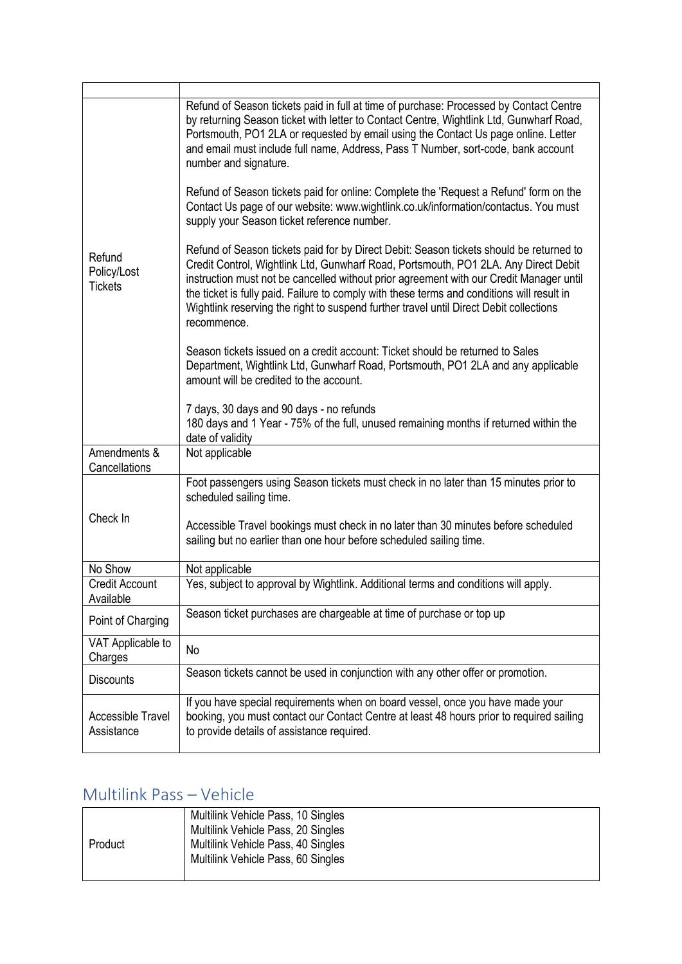| Refund<br>Policy/Lost<br><b>Tickets</b> | Refund of Season tickets paid in full at time of purchase: Processed by Contact Centre<br>by returning Season ticket with letter to Contact Centre, Wightlink Ltd, Gunwharf Road,<br>Portsmouth, PO1 2LA or requested by email using the Contact Us page online. Letter<br>and email must include full name, Address, Pass T Number, sort-code, bank account<br>number and signature.                                                                                            |
|-----------------------------------------|----------------------------------------------------------------------------------------------------------------------------------------------------------------------------------------------------------------------------------------------------------------------------------------------------------------------------------------------------------------------------------------------------------------------------------------------------------------------------------|
|                                         | Refund of Season tickets paid for online: Complete the 'Request a Refund' form on the<br>Contact Us page of our website: www.wightlink.co.uk/information/contactus. You must<br>supply your Season ticket reference number.                                                                                                                                                                                                                                                      |
|                                         | Refund of Season tickets paid for by Direct Debit: Season tickets should be returned to<br>Credit Control, Wightlink Ltd, Gunwharf Road, Portsmouth, PO1 2LA. Any Direct Debit<br>instruction must not be cancelled without prior agreement with our Credit Manager until<br>the ticket is fully paid. Failure to comply with these terms and conditions will result in<br>Wightlink reserving the right to suspend further travel until Direct Debit collections<br>recommence. |
|                                         | Season tickets issued on a credit account: Ticket should be returned to Sales<br>Department, Wightlink Ltd, Gunwharf Road, Portsmouth, PO1 2LA and any applicable<br>amount will be credited to the account.                                                                                                                                                                                                                                                                     |
|                                         | 7 days, 30 days and 90 days - no refunds<br>180 days and 1 Year - 75% of the full, unused remaining months if returned within the<br>date of validity                                                                                                                                                                                                                                                                                                                            |
| Amendments &<br>Cancellations           | Not applicable                                                                                                                                                                                                                                                                                                                                                                                                                                                                   |
|                                         | Foot passengers using Season tickets must check in no later than 15 minutes prior to<br>scheduled sailing time.                                                                                                                                                                                                                                                                                                                                                                  |
| Check In                                | Accessible Travel bookings must check in no later than 30 minutes before scheduled<br>sailing but no earlier than one hour before scheduled sailing time.                                                                                                                                                                                                                                                                                                                        |
| No Show                                 | Not applicable                                                                                                                                                                                                                                                                                                                                                                                                                                                                   |
| <b>Credit Account</b><br>Available      | Yes, subject to approval by Wightlink. Additional terms and conditions will apply.                                                                                                                                                                                                                                                                                                                                                                                               |
| Point of Charging                       | Season ticket purchases are chargeable at time of purchase or top up                                                                                                                                                                                                                                                                                                                                                                                                             |
| VAT Applicable to<br>Charges            | No                                                                                                                                                                                                                                                                                                                                                                                                                                                                               |
| <b>Discounts</b>                        | Season tickets cannot be used in conjunction with any other offer or promotion.                                                                                                                                                                                                                                                                                                                                                                                                  |
| <b>Accessible Travel</b><br>Assistance  | If you have special requirements when on board vessel, once you have made your<br>booking, you must contact our Contact Centre at least 48 hours prior to required sailing<br>to provide details of assistance required.                                                                                                                                                                                                                                                         |

#### Multilink Pass – Vehicle

| Product | Multilink Vehicle Pass, 10 Singles<br>Multilink Vehicle Pass, 20 Singles<br>Multilink Vehicle Pass, 40 Singles<br>Multilink Vehicle Pass, 60 Singles |
|---------|------------------------------------------------------------------------------------------------------------------------------------------------------|
|---------|------------------------------------------------------------------------------------------------------------------------------------------------------|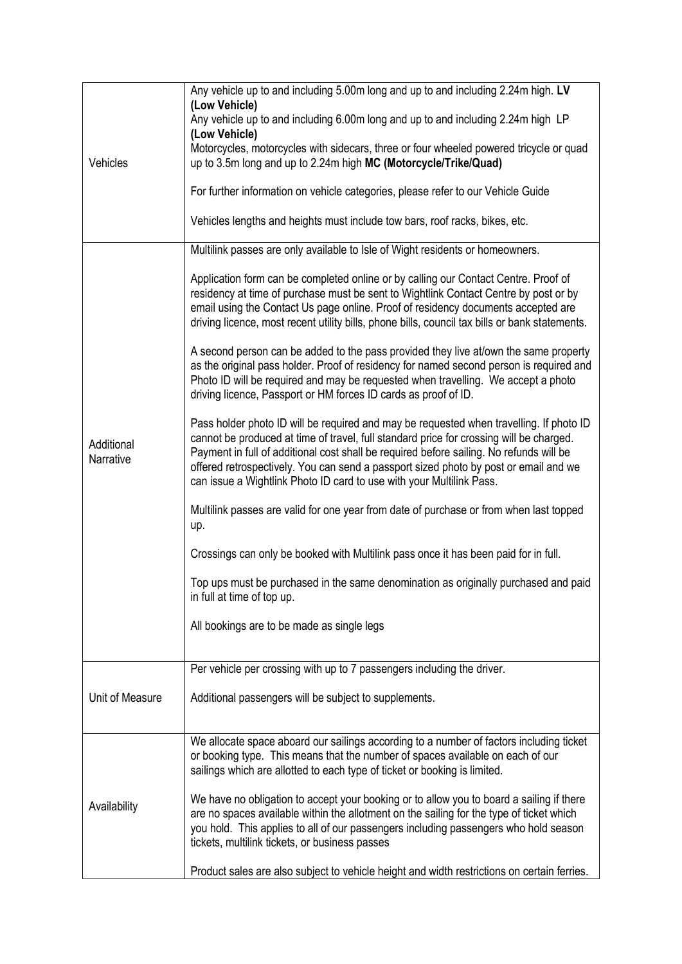| Vehicles                | Any vehicle up to and including 5.00m long and up to and including 2.24m high. LV<br>(Low Vehicle)<br>Any vehicle up to and including 6.00m long and up to and including 2.24m high LP<br>(Low Vehicle)<br>Motorcycles, motorcycles with sidecars, three or four wheeled powered tricycle or quad<br>up to 3.5m long and up to 2.24m high MC (Motorcycle/Trike/Quad)<br>For further information on vehicle categories, please refer to our Vehicle Guide<br>Vehicles lengths and heights must include tow bars, roof racks, bikes, etc. |
|-------------------------|-----------------------------------------------------------------------------------------------------------------------------------------------------------------------------------------------------------------------------------------------------------------------------------------------------------------------------------------------------------------------------------------------------------------------------------------------------------------------------------------------------------------------------------------|
|                         | Multilink passes are only available to Isle of Wight residents or homeowners.                                                                                                                                                                                                                                                                                                                                                                                                                                                           |
| Additional<br>Narrative | Application form can be completed online or by calling our Contact Centre. Proof of<br>residency at time of purchase must be sent to Wightlink Contact Centre by post or by<br>email using the Contact Us page online. Proof of residency documents accepted are<br>driving licence, most recent utility bills, phone bills, council tax bills or bank statements.                                                                                                                                                                      |
|                         | A second person can be added to the pass provided they live at/own the same property<br>as the original pass holder. Proof of residency for named second person is required and<br>Photo ID will be required and may be requested when travelling. We accept a photo<br>driving licence, Passport or HM forces ID cards as proof of ID.                                                                                                                                                                                                 |
|                         | Pass holder photo ID will be required and may be requested when travelling. If photo ID<br>cannot be produced at time of travel, full standard price for crossing will be charged.<br>Payment in full of additional cost shall be required before sailing. No refunds will be<br>offered retrospectively. You can send a passport sized photo by post or email and we<br>can issue a Wightlink Photo ID card to use with your Multilink Pass.                                                                                           |
|                         | Multilink passes are valid for one year from date of purchase or from when last topped<br>up.                                                                                                                                                                                                                                                                                                                                                                                                                                           |
|                         | Crossings can only be booked with Multilink pass once it has been paid for in full.                                                                                                                                                                                                                                                                                                                                                                                                                                                     |
|                         | Top ups must be purchased in the same denomination as originally purchased and paid<br>in full at time of top up.                                                                                                                                                                                                                                                                                                                                                                                                                       |
|                         | All bookings are to be made as single legs                                                                                                                                                                                                                                                                                                                                                                                                                                                                                              |
|                         | Per vehicle per crossing with up to 7 passengers including the driver.                                                                                                                                                                                                                                                                                                                                                                                                                                                                  |
| Unit of Measure         | Additional passengers will be subject to supplements.                                                                                                                                                                                                                                                                                                                                                                                                                                                                                   |
| Availability            | We allocate space aboard our sailings according to a number of factors including ticket<br>or booking type. This means that the number of spaces available on each of our<br>sailings which are allotted to each type of ticket or booking is limited.                                                                                                                                                                                                                                                                                  |
|                         | We have no obligation to accept your booking or to allow you to board a sailing if there<br>are no spaces available within the allotment on the sailing for the type of ticket which<br>you hold. This applies to all of our passengers including passengers who hold season<br>tickets, multilink tickets, or business passes                                                                                                                                                                                                          |
|                         | Product sales are also subject to vehicle height and width restrictions on certain ferries.                                                                                                                                                                                                                                                                                                                                                                                                                                             |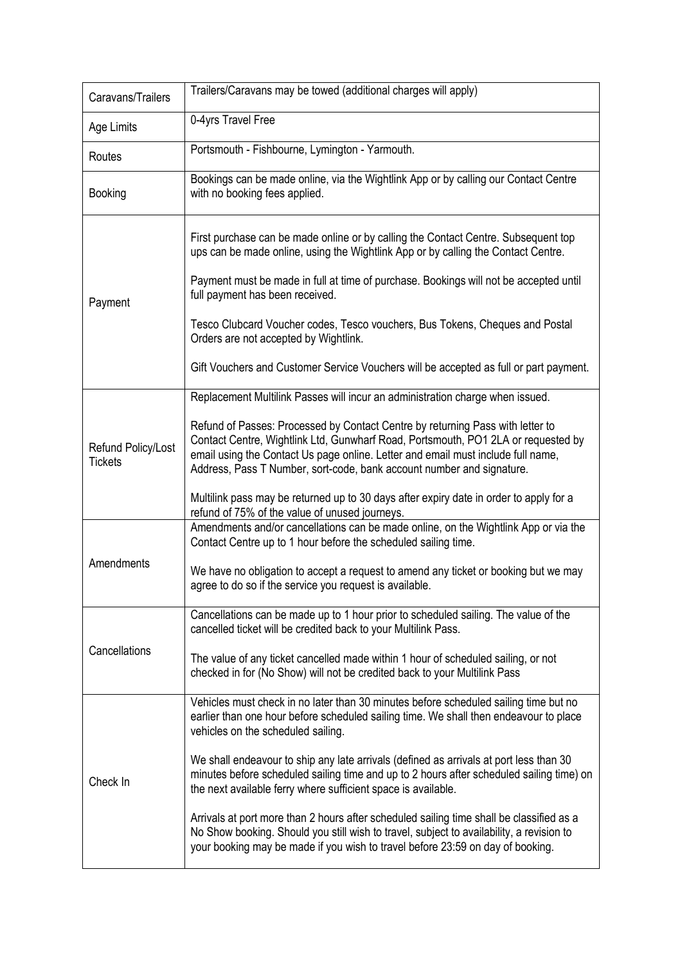| Caravans/Trailers                    | Trailers/Caravans may be towed (additional charges will apply)                                                                                                                                                                                                                                                                   |
|--------------------------------------|----------------------------------------------------------------------------------------------------------------------------------------------------------------------------------------------------------------------------------------------------------------------------------------------------------------------------------|
| Age Limits                           | 0-4yrs Travel Free                                                                                                                                                                                                                                                                                                               |
| Routes                               | Portsmouth - Fishbourne, Lymington - Yarmouth.                                                                                                                                                                                                                                                                                   |
| <b>Booking</b>                       | Bookings can be made online, via the Wightlink App or by calling our Contact Centre<br>with no booking fees applied.                                                                                                                                                                                                             |
|                                      | First purchase can be made online or by calling the Contact Centre. Subsequent top<br>ups can be made online, using the Wightlink App or by calling the Contact Centre.                                                                                                                                                          |
| Payment                              | Payment must be made in full at time of purchase. Bookings will not be accepted until<br>full payment has been received.                                                                                                                                                                                                         |
|                                      | Tesco Clubcard Voucher codes, Tesco vouchers, Bus Tokens, Cheques and Postal<br>Orders are not accepted by Wightlink.                                                                                                                                                                                                            |
|                                      | Gift Vouchers and Customer Service Vouchers will be accepted as full or part payment.                                                                                                                                                                                                                                            |
|                                      | Replacement Multilink Passes will incur an administration charge when issued.                                                                                                                                                                                                                                                    |
| Refund Policy/Lost<br><b>Tickets</b> | Refund of Passes: Processed by Contact Centre by returning Pass with letter to<br>Contact Centre, Wightlink Ltd, Gunwharf Road, Portsmouth, PO1 2LA or requested by<br>email using the Contact Us page online. Letter and email must include full name,<br>Address, Pass T Number, sort-code, bank account number and signature. |
|                                      | Multilink pass may be returned up to 30 days after expiry date in order to apply for a<br>refund of 75% of the value of unused journeys.                                                                                                                                                                                         |
|                                      | Amendments and/or cancellations can be made online, on the Wightlink App or via the<br>Contact Centre up to 1 hour before the scheduled sailing time.                                                                                                                                                                            |
| Amendments                           | We have no obligation to accept a request to amend any ticket or booking but we may<br>agree to do so if the service you request is available.                                                                                                                                                                                   |
| Cancellations                        | Cancellations can be made up to 1 hour prior to scheduled sailing. The value of the<br>cancelled ticket will be credited back to your Multilink Pass.                                                                                                                                                                            |
|                                      | The value of any ticket cancelled made within 1 hour of scheduled sailing, or not<br>checked in for (No Show) will not be credited back to your Multilink Pass                                                                                                                                                                   |
| Check In                             | Vehicles must check in no later than 30 minutes before scheduled sailing time but no<br>earlier than one hour before scheduled sailing time. We shall then endeavour to place<br>vehicles on the scheduled sailing.                                                                                                              |
|                                      | We shall endeavour to ship any late arrivals (defined as arrivals at port less than 30<br>minutes before scheduled sailing time and up to 2 hours after scheduled sailing time) on<br>the next available ferry where sufficient space is available.                                                                              |
|                                      | Arrivals at port more than 2 hours after scheduled sailing time shall be classified as a<br>No Show booking. Should you still wish to travel, subject to availability, a revision to<br>your booking may be made if you wish to travel before 23:59 on day of booking.                                                           |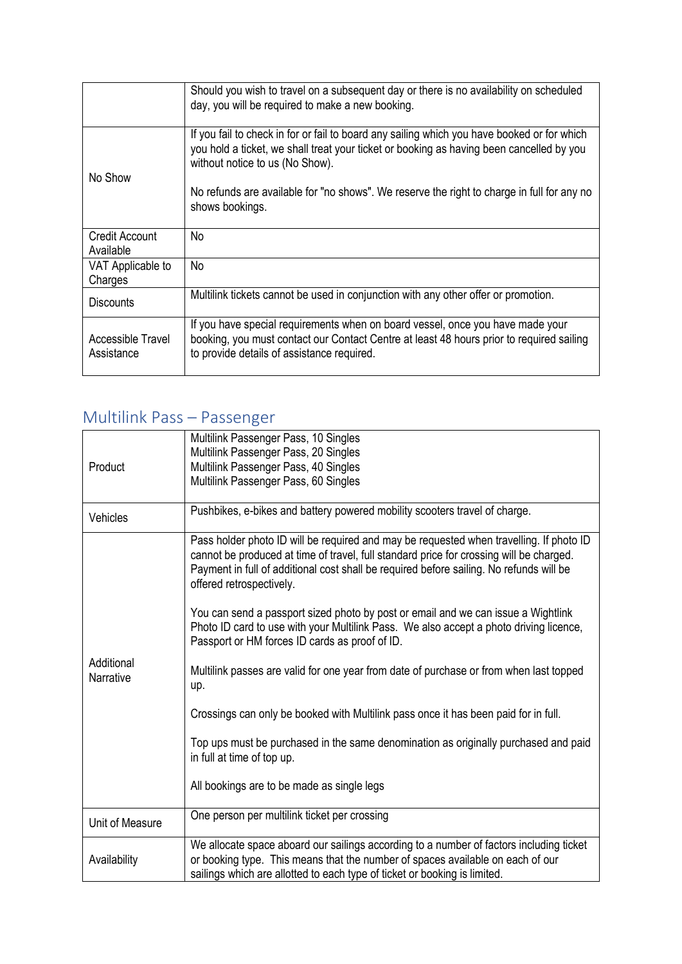|                                 | Should you wish to travel on a subsequent day or there is no availability on scheduled<br>day, you will be required to make a new booking.                                                                                                                                                                                                  |
|---------------------------------|---------------------------------------------------------------------------------------------------------------------------------------------------------------------------------------------------------------------------------------------------------------------------------------------------------------------------------------------|
| No Show                         | If you fail to check in for or fail to board any sailing which you have booked or for which<br>you hold a ticket, we shall treat your ticket or booking as having been cancelled by you<br>without notice to us (No Show).<br>No refunds are available for "no shows". We reserve the right to charge in full for any no<br>shows bookings. |
| Credit Account<br>Available     | No                                                                                                                                                                                                                                                                                                                                          |
| VAT Applicable to<br>Charges    | <b>No</b>                                                                                                                                                                                                                                                                                                                                   |
| <b>Discounts</b>                | Multilink tickets cannot be used in conjunction with any other offer or promotion.                                                                                                                                                                                                                                                          |
| Accessible Travel<br>Assistance | If you have special requirements when on board vessel, once you have made your<br>booking, you must contact our Contact Centre at least 48 hours prior to required sailing<br>to provide details of assistance required.                                                                                                                    |

## Multilink Pass – Passenger

| Product                 | Multilink Passenger Pass, 10 Singles<br>Multilink Passenger Pass, 20 Singles<br>Multilink Passenger Pass, 40 Singles<br>Multilink Passenger Pass, 60 Singles                                                                                                                                              |
|-------------------------|-----------------------------------------------------------------------------------------------------------------------------------------------------------------------------------------------------------------------------------------------------------------------------------------------------------|
| Vehicles                | Pushbikes, e-bikes and battery powered mobility scooters travel of charge.                                                                                                                                                                                                                                |
| Additional<br>Narrative | Pass holder photo ID will be required and may be requested when travelling. If photo ID<br>cannot be produced at time of travel, full standard price for crossing will be charged.<br>Payment in full of additional cost shall be required before sailing. No refunds will be<br>offered retrospectively. |
|                         | You can send a passport sized photo by post or email and we can issue a Wightlink<br>Photo ID card to use with your Multilink Pass. We also accept a photo driving licence,<br>Passport or HM forces ID cards as proof of ID.                                                                             |
|                         | Multilink passes are valid for one year from date of purchase or from when last topped<br>up.                                                                                                                                                                                                             |
|                         | Crossings can only be booked with Multilink pass once it has been paid for in full.                                                                                                                                                                                                                       |
|                         | Top ups must be purchased in the same denomination as originally purchased and paid<br>in full at time of top up.                                                                                                                                                                                         |
|                         | All bookings are to be made as single legs                                                                                                                                                                                                                                                                |
| Unit of Measure         | One person per multilink ticket per crossing                                                                                                                                                                                                                                                              |
| Availability            | We allocate space aboard our sailings according to a number of factors including ticket<br>or booking type. This means that the number of spaces available on each of our<br>sailings which are allotted to each type of ticket or booking is limited.                                                    |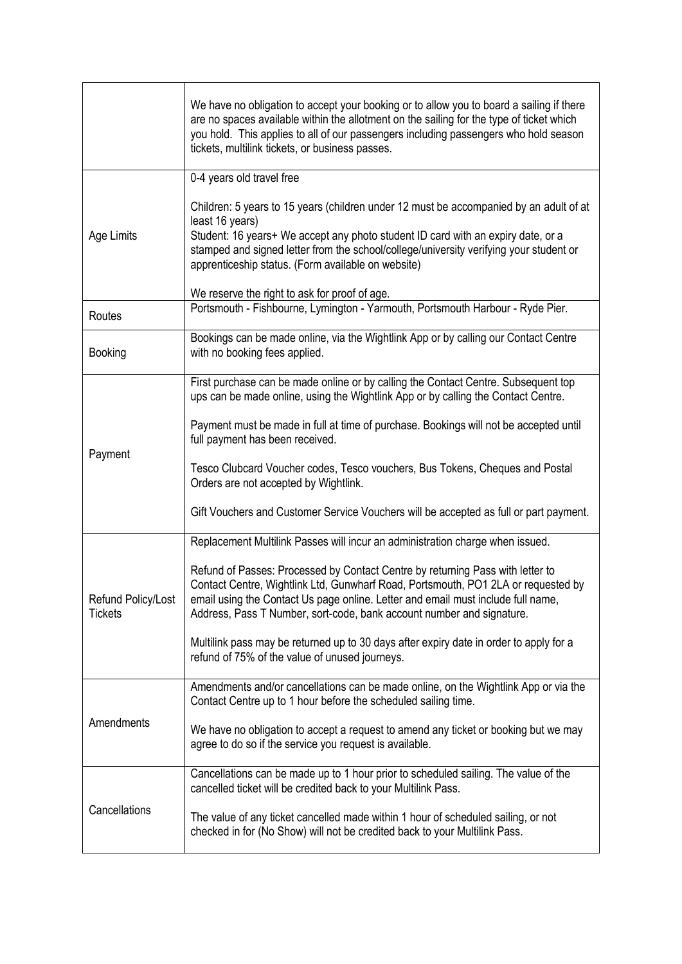|                                                 | We have no obligation to accept your booking or to allow you to board a sailing if there<br>are no spaces available within the allotment on the sailing for the type of ticket which<br>you hold. This applies to all of our passengers including passengers who hold season<br>tickets, multilink tickets, or business passes.                                                                                                                                                                                                                                                                                                                                                                                                                                                                                                                                                                                                                                                                                                      |
|-------------------------------------------------|--------------------------------------------------------------------------------------------------------------------------------------------------------------------------------------------------------------------------------------------------------------------------------------------------------------------------------------------------------------------------------------------------------------------------------------------------------------------------------------------------------------------------------------------------------------------------------------------------------------------------------------------------------------------------------------------------------------------------------------------------------------------------------------------------------------------------------------------------------------------------------------------------------------------------------------------------------------------------------------------------------------------------------------|
| Age Limits                                      | 0-4 years old travel free<br>Children: 5 years to 15 years (children under 12 must be accompanied by an adult of at<br>least 16 years)<br>Student: 16 years+ We accept any photo student ID card with an expiry date, or a<br>stamped and signed letter from the school/college/university verifying your student or<br>apprenticeship status. (Form available on website)                                                                                                                                                                                                                                                                                                                                                                                                                                                                                                                                                                                                                                                           |
|                                                 | We reserve the right to ask for proof of age.<br>Portsmouth - Fishbourne, Lymington - Yarmouth, Portsmouth Harbour - Ryde Pier.                                                                                                                                                                                                                                                                                                                                                                                                                                                                                                                                                                                                                                                                                                                                                                                                                                                                                                      |
| Routes<br><b>Booking</b>                        | Bookings can be made online, via the Wightlink App or by calling our Contact Centre<br>with no booking fees applied.                                                                                                                                                                                                                                                                                                                                                                                                                                                                                                                                                                                                                                                                                                                                                                                                                                                                                                                 |
| Payment<br>Refund Policy/Lost<br><b>Tickets</b> | First purchase can be made online or by calling the Contact Centre. Subsequent top<br>ups can be made online, using the Wightlink App or by calling the Contact Centre.<br>Payment must be made in full at time of purchase. Bookings will not be accepted until<br>full payment has been received.<br>Tesco Clubcard Voucher codes, Tesco vouchers, Bus Tokens, Cheques and Postal<br>Orders are not accepted by Wightlink.<br>Gift Vouchers and Customer Service Vouchers will be accepted as full or part payment.<br>Replacement Multilink Passes will incur an administration charge when issued.<br>Refund of Passes: Processed by Contact Centre by returning Pass with letter to<br>Contact Centre, Wightlink Ltd, Gunwharf Road, Portsmouth, PO1 2LA or requested by<br>email using the Contact Us page online. Letter and email must include full name,<br>Address, Pass T Number, sort-code, bank account number and signature.<br>Multilink pass may be returned up to 30 days after expiry date in order to apply for a |
| Amendments                                      | refund of 75% of the value of unused journeys.<br>Amendments and/or cancellations can be made online, on the Wightlink App or via the<br>Contact Centre up to 1 hour before the scheduled sailing time.                                                                                                                                                                                                                                                                                                                                                                                                                                                                                                                                                                                                                                                                                                                                                                                                                              |
|                                                 | We have no obligation to accept a request to amend any ticket or booking but we may<br>agree to do so if the service you request is available.                                                                                                                                                                                                                                                                                                                                                                                                                                                                                                                                                                                                                                                                                                                                                                                                                                                                                       |
| Cancellations                                   | Cancellations can be made up to 1 hour prior to scheduled sailing. The value of the<br>cancelled ticket will be credited back to your Multilink Pass.<br>The value of any ticket cancelled made within 1 hour of scheduled sailing, or not<br>checked in for (No Show) will not be credited back to your Multilink Pass.                                                                                                                                                                                                                                                                                                                                                                                                                                                                                                                                                                                                                                                                                                             |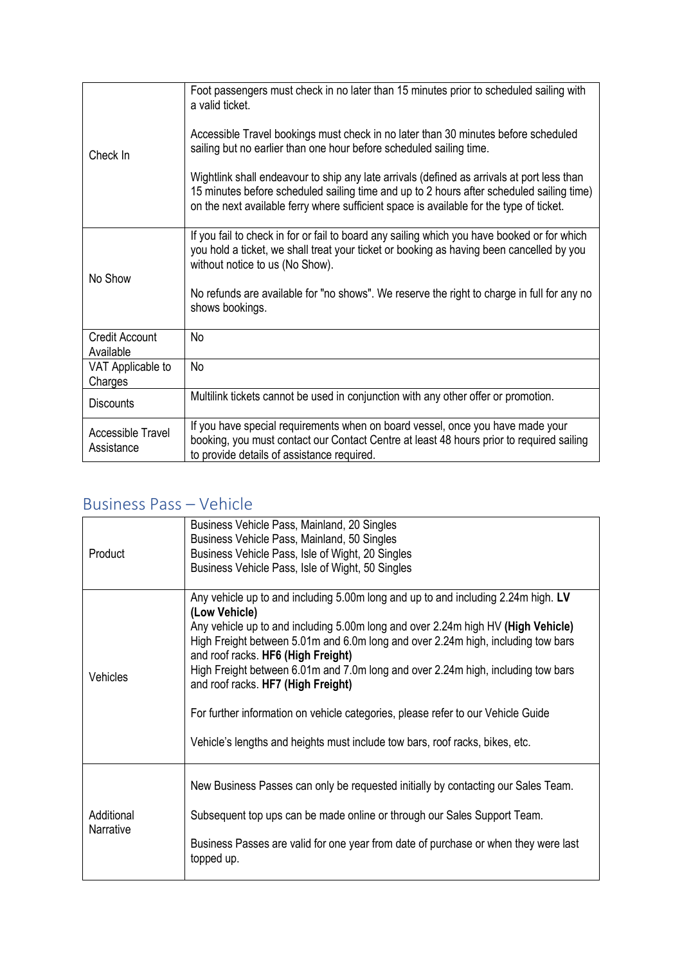| Check In                           | Foot passengers must check in no later than 15 minutes prior to scheduled sailing with<br>a valid ticket.                                                                                                                                                                         |
|------------------------------------|-----------------------------------------------------------------------------------------------------------------------------------------------------------------------------------------------------------------------------------------------------------------------------------|
|                                    | Accessible Travel bookings must check in no later than 30 minutes before scheduled<br>sailing but no earlier than one hour before scheduled sailing time.                                                                                                                         |
|                                    | Wightlink shall endeavour to ship any late arrivals (defined as arrivals at port less than<br>15 minutes before scheduled sailing time and up to 2 hours after scheduled sailing time)<br>on the next available ferry where sufficient space is available for the type of ticket. |
| No Show                            | If you fail to check in for or fail to board any sailing which you have booked or for which<br>you hold a ticket, we shall treat your ticket or booking as having been cancelled by you<br>without notice to us (No Show).                                                        |
|                                    | No refunds are available for "no shows". We reserve the right to charge in full for any no<br>shows bookings.                                                                                                                                                                     |
| <b>Credit Account</b><br>Available | No                                                                                                                                                                                                                                                                                |
| VAT Applicable to<br>Charges       | No                                                                                                                                                                                                                                                                                |
| <b>Discounts</b>                   | Multilink tickets cannot be used in conjunction with any other offer or promotion.                                                                                                                                                                                                |
| Accessible Travel<br>Assistance    | If you have special requirements when on board vessel, once you have made your<br>booking, you must contact our Contact Centre at least 48 hours prior to required sailing<br>to provide details of assistance required.                                                          |

#### Business Pass – Vehicle

| Product                 | Business Vehicle Pass, Mainland, 20 Singles<br>Business Vehicle Pass, Mainland, 50 Singles<br>Business Vehicle Pass, Isle of Wight, 20 Singles<br>Business Vehicle Pass, Isle of Wight, 50 Singles                                                                                                                                                                                                                                                                                                                                                                                                             |
|-------------------------|----------------------------------------------------------------------------------------------------------------------------------------------------------------------------------------------------------------------------------------------------------------------------------------------------------------------------------------------------------------------------------------------------------------------------------------------------------------------------------------------------------------------------------------------------------------------------------------------------------------|
| Vehicles                | Any vehicle up to and including 5.00m long and up to and including 2.24m high. LV<br>(Low Vehicle)<br>Any vehicle up to and including 5.00m long and over 2.24m high HV (High Vehicle)<br>High Freight between 5.01m and 6.0m long and over 2.24m high, including tow bars<br>and roof racks. HF6 (High Freight)<br>High Freight between 6.01m and 7.0m long and over 2.24m high, including tow bars<br>and roof racks. HF7 (High Freight)<br>For further information on vehicle categories, please refer to our Vehicle Guide<br>Vehicle's lengths and heights must include tow bars, roof racks, bikes, etc. |
| Additional<br>Narrative | New Business Passes can only be requested initially by contacting our Sales Team.<br>Subsequent top ups can be made online or through our Sales Support Team.<br>Business Passes are valid for one year from date of purchase or when they were last<br>topped up.                                                                                                                                                                                                                                                                                                                                             |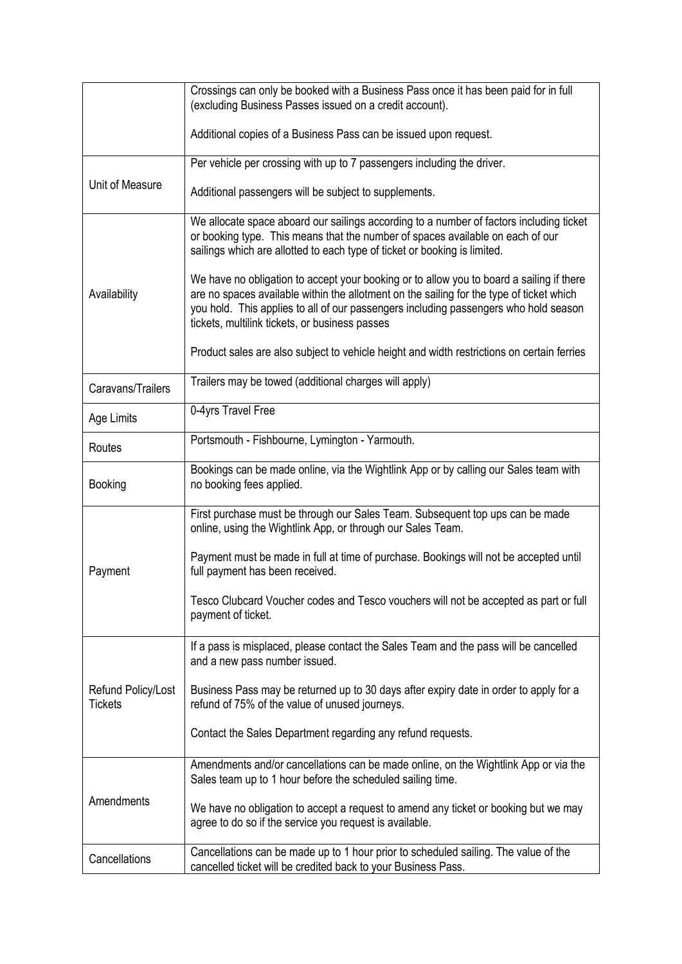|                                      | Crossings can only be booked with a Business Pass once it has been paid for in full<br>(excluding Business Passes issued on a credit account).                                                                                                                                                                                 |
|--------------------------------------|--------------------------------------------------------------------------------------------------------------------------------------------------------------------------------------------------------------------------------------------------------------------------------------------------------------------------------|
|                                      | Additional copies of a Business Pass can be issued upon request.                                                                                                                                                                                                                                                               |
| Unit of Measure                      | Per vehicle per crossing with up to 7 passengers including the driver.                                                                                                                                                                                                                                                         |
|                                      | Additional passengers will be subject to supplements.                                                                                                                                                                                                                                                                          |
| Availability                         | We allocate space aboard our sailings according to a number of factors including ticket<br>or booking type. This means that the number of spaces available on each of our<br>sailings which are allotted to each type of ticket or booking is limited.                                                                         |
|                                      | We have no obligation to accept your booking or to allow you to board a sailing if there<br>are no spaces available within the allotment on the sailing for the type of ticket which<br>you hold. This applies to all of our passengers including passengers who hold season<br>tickets, multilink tickets, or business passes |
|                                      | Product sales are also subject to vehicle height and width restrictions on certain ferries                                                                                                                                                                                                                                     |
| Caravans/Trailers                    | Trailers may be towed (additional charges will apply)                                                                                                                                                                                                                                                                          |
| Age Limits                           | 0-4yrs Travel Free                                                                                                                                                                                                                                                                                                             |
| Routes                               | Portsmouth - Fishbourne, Lymington - Yarmouth.                                                                                                                                                                                                                                                                                 |
| Booking                              | Bookings can be made online, via the Wightlink App or by calling our Sales team with<br>no booking fees applied.                                                                                                                                                                                                               |
| Payment                              | First purchase must be through our Sales Team. Subsequent top ups can be made<br>online, using the Wightlink App, or through our Sales Team.                                                                                                                                                                                   |
|                                      | Payment must be made in full at time of purchase. Bookings will not be accepted until<br>full payment has been received.                                                                                                                                                                                                       |
|                                      | Tesco Clubcard Voucher codes and Tesco vouchers will not be accepted as part or full<br>payment of ticket.                                                                                                                                                                                                                     |
| Refund Policy/Lost<br><b>Tickets</b> | If a pass is misplaced, please contact the Sales Team and the pass will be cancelled<br>and a new pass number issued.                                                                                                                                                                                                          |
|                                      | Business Pass may be returned up to 30 days after expiry date in order to apply for a<br>refund of 75% of the value of unused journeys.                                                                                                                                                                                        |
|                                      | Contact the Sales Department regarding any refund requests.                                                                                                                                                                                                                                                                    |
| Amendments                           | Amendments and/or cancellations can be made online, on the Wightlink App or via the<br>Sales team up to 1 hour before the scheduled sailing time.                                                                                                                                                                              |
|                                      | We have no obligation to accept a request to amend any ticket or booking but we may<br>agree to do so if the service you request is available.                                                                                                                                                                                 |
| Cancellations                        | Cancellations can be made up to 1 hour prior to scheduled sailing. The value of the<br>cancelled ticket will be credited back to your Business Pass.                                                                                                                                                                           |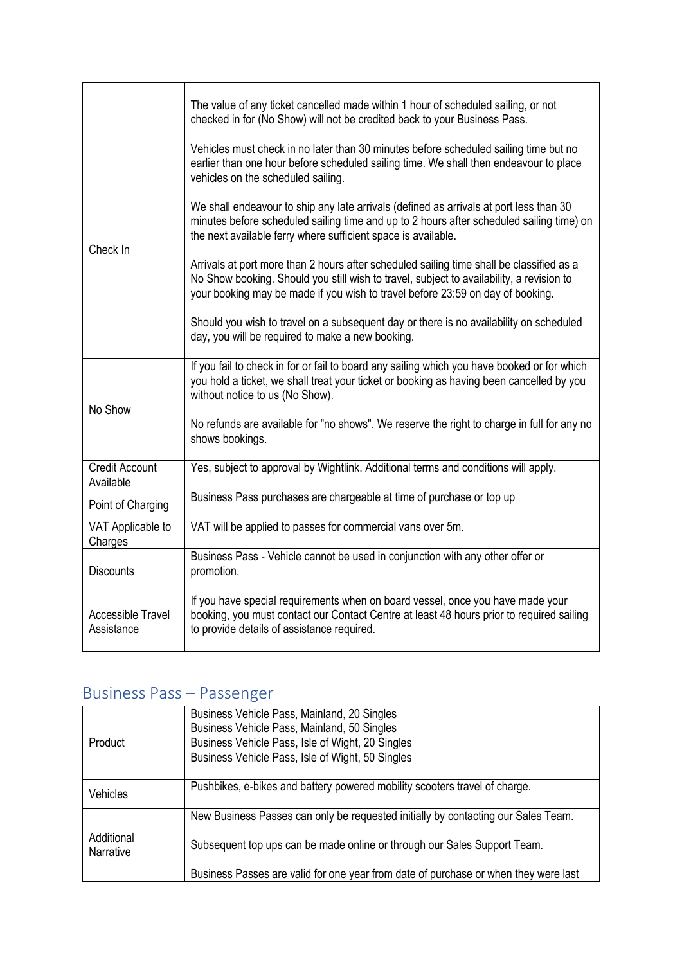|                                        | The value of any ticket cancelled made within 1 hour of scheduled sailing, or not<br>checked in for (No Show) will not be credited back to your Business Pass.                                                                                                         |
|----------------------------------------|------------------------------------------------------------------------------------------------------------------------------------------------------------------------------------------------------------------------------------------------------------------------|
| Check In                               | Vehicles must check in no later than 30 minutes before scheduled sailing time but no<br>earlier than one hour before scheduled sailing time. We shall then endeavour to place<br>vehicles on the scheduled sailing.                                                    |
|                                        | We shall endeavour to ship any late arrivals (defined as arrivals at port less than 30<br>minutes before scheduled sailing time and up to 2 hours after scheduled sailing time) on<br>the next available ferry where sufficient space is available.                    |
|                                        | Arrivals at port more than 2 hours after scheduled sailing time shall be classified as a<br>No Show booking. Should you still wish to travel, subject to availability, a revision to<br>your booking may be made if you wish to travel before 23:59 on day of booking. |
|                                        | Should you wish to travel on a subsequent day or there is no availability on scheduled<br>day, you will be required to make a new booking.                                                                                                                             |
| No Show                                | If you fail to check in for or fail to board any sailing which you have booked or for which<br>you hold a ticket, we shall treat your ticket or booking as having been cancelled by you<br>without notice to us (No Show).                                             |
|                                        | No refunds are available for "no shows". We reserve the right to charge in full for any no<br>shows bookings.                                                                                                                                                          |
| <b>Credit Account</b><br>Available     | Yes, subject to approval by Wightlink. Additional terms and conditions will apply.                                                                                                                                                                                     |
| Point of Charging                      | Business Pass purchases are chargeable at time of purchase or top up                                                                                                                                                                                                   |
| VAT Applicable to<br>Charges           | VAT will be applied to passes for commercial vans over 5m.                                                                                                                                                                                                             |
| <b>Discounts</b>                       | Business Pass - Vehicle cannot be used in conjunction with any other offer or<br>promotion.                                                                                                                                                                            |
| <b>Accessible Travel</b><br>Assistance | If you have special requirements when on board vessel, once you have made your<br>booking, you must contact our Contact Centre at least 48 hours prior to required sailing<br>to provide details of assistance required.                                               |

### Business Pass – Passenger

| Product                 | Business Vehicle Pass, Mainland, 20 Singles<br>Business Vehicle Pass, Mainland, 50 Singles<br>Business Vehicle Pass, Isle of Wight, 20 Singles<br>Business Vehicle Pass, Isle of Wight, 50 Singles |
|-------------------------|----------------------------------------------------------------------------------------------------------------------------------------------------------------------------------------------------|
| <b>Vehicles</b>         | Pushbikes, e-bikes and battery powered mobility scooters travel of charge.                                                                                                                         |
|                         | New Business Passes can only be requested initially by contacting our Sales Team.                                                                                                                  |
| Additional<br>Narrative | Subsequent top ups can be made online or through our Sales Support Team.                                                                                                                           |
|                         | Business Passes are valid for one year from date of purchase or when they were last                                                                                                                |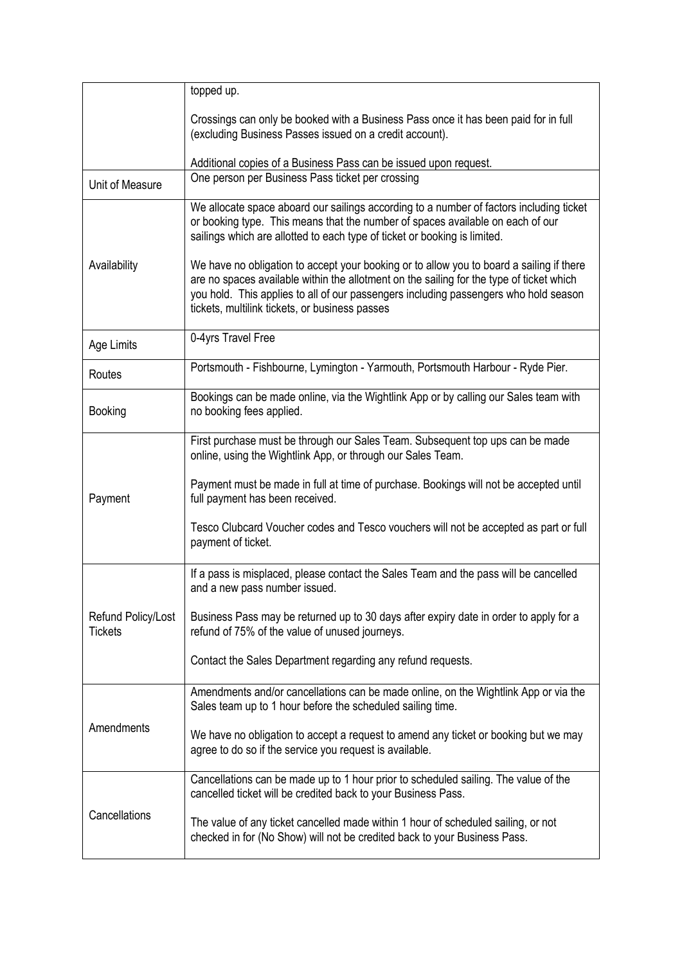|                                      | topped up.                                                                                                                                                                                                                                                                                                                     |
|--------------------------------------|--------------------------------------------------------------------------------------------------------------------------------------------------------------------------------------------------------------------------------------------------------------------------------------------------------------------------------|
|                                      | Crossings can only be booked with a Business Pass once it has been paid for in full<br>(excluding Business Passes issued on a credit account).                                                                                                                                                                                 |
|                                      | Additional copies of a Business Pass can be issued upon request.                                                                                                                                                                                                                                                               |
| Unit of Measure                      | One person per Business Pass ticket per crossing                                                                                                                                                                                                                                                                               |
| Availability                         | We allocate space aboard our sailings according to a number of factors including ticket<br>or booking type. This means that the number of spaces available on each of our<br>sailings which are allotted to each type of ticket or booking is limited.                                                                         |
|                                      | We have no obligation to accept your booking or to allow you to board a sailing if there<br>are no spaces available within the allotment on the sailing for the type of ticket which<br>you hold. This applies to all of our passengers including passengers who hold season<br>tickets, multilink tickets, or business passes |
| Age Limits                           | 0-4yrs Travel Free                                                                                                                                                                                                                                                                                                             |
| Routes                               | Portsmouth - Fishbourne, Lymington - Yarmouth, Portsmouth Harbour - Ryde Pier.                                                                                                                                                                                                                                                 |
| Booking                              | Bookings can be made online, via the Wightlink App or by calling our Sales team with<br>no booking fees applied.                                                                                                                                                                                                               |
| Payment                              | First purchase must be through our Sales Team. Subsequent top ups can be made<br>online, using the Wightlink App, or through our Sales Team.                                                                                                                                                                                   |
|                                      | Payment must be made in full at time of purchase. Bookings will not be accepted until<br>full payment has been received.                                                                                                                                                                                                       |
|                                      | Tesco Clubcard Voucher codes and Tesco vouchers will not be accepted as part or full<br>payment of ticket.                                                                                                                                                                                                                     |
|                                      | If a pass is misplaced, please contact the Sales Team and the pass will be cancelled<br>and a new pass number issued.                                                                                                                                                                                                          |
| Refund Policy/Lost<br><b>Tickets</b> | Business Pass may be returned up to 30 days after expiry date in order to apply for a<br>refund of 75% of the value of unused journeys.                                                                                                                                                                                        |
|                                      | Contact the Sales Department regarding any refund requests.                                                                                                                                                                                                                                                                    |
| Amendments                           | Amendments and/or cancellations can be made online, on the Wightlink App or via the<br>Sales team up to 1 hour before the scheduled sailing time.                                                                                                                                                                              |
|                                      | We have no obligation to accept a request to amend any ticket or booking but we may<br>agree to do so if the service you request is available.                                                                                                                                                                                 |
| Cancellations                        | Cancellations can be made up to 1 hour prior to scheduled sailing. The value of the<br>cancelled ticket will be credited back to your Business Pass.                                                                                                                                                                           |
|                                      | The value of any ticket cancelled made within 1 hour of scheduled sailing, or not<br>checked in for (No Show) will not be credited back to your Business Pass.                                                                                                                                                                 |